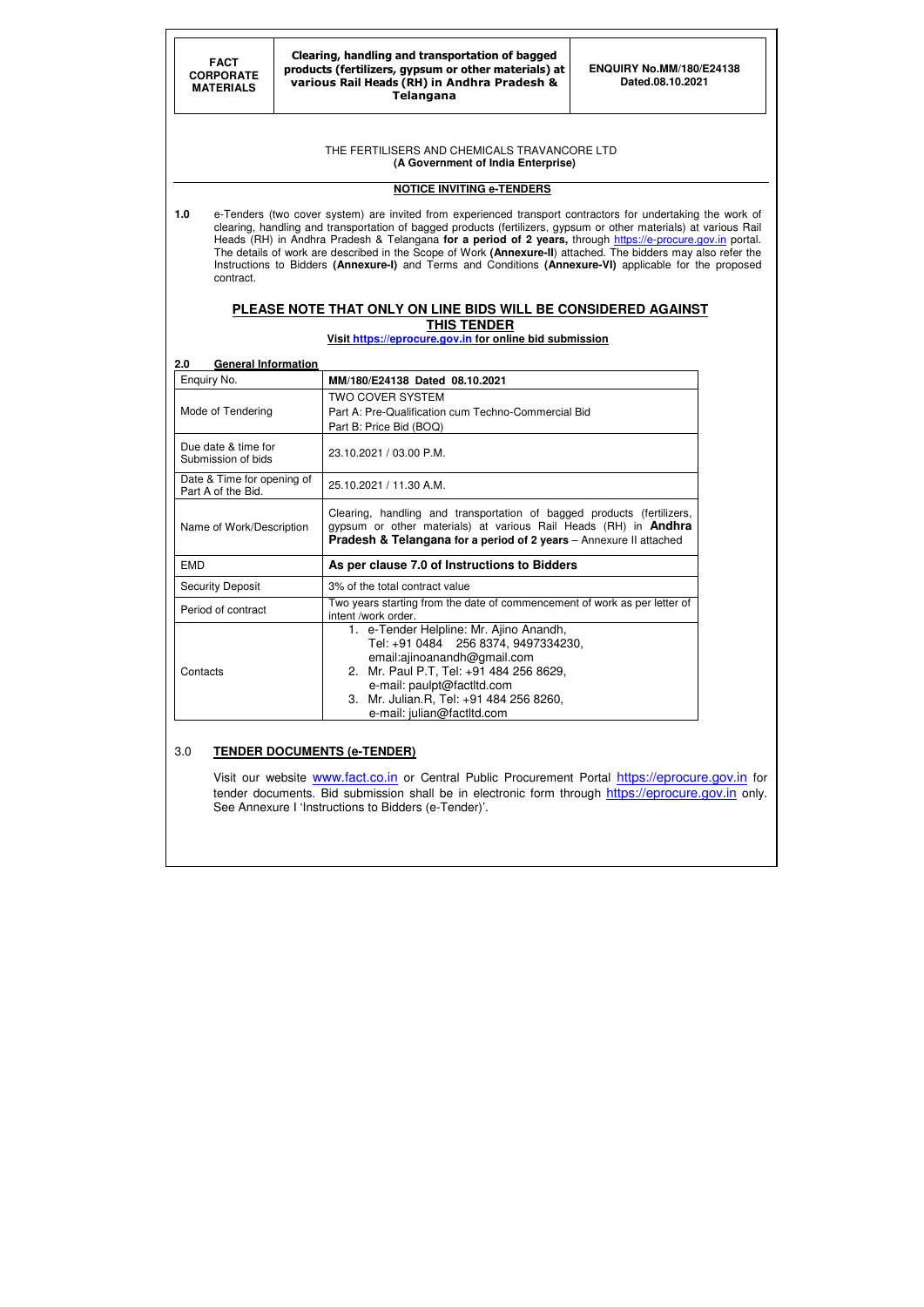# THE FERTILISERS AND CHEMICALS TRAVANCORE LTD

 **(A Government of India Enterprise)** 

# **NOTICE INVITING e-TENDERS**

**1.0** e-Tenders (two cover system) are invited from experienced transport contractors for undertaking the work of clearing, handling and transportation of bagged products (fertilizers, gypsum or other materials) at various Rail Heads (RH) in Andhra Pradesh & Telangana **for a period of 2 years**, through https://e-procure.gov.in portal. The details of work are described in the Scope of Work **(Annexure-II**) attached. The bidders may also refer the Instructions to Bidders **(Annexure-I)** and Terms and Conditions **(Annexure-VI)** applicable for the proposed contract.

# **PLEASE NOTE THAT ONLY ON LINE BIDS WILL BE CONSIDERED AGAINST THIS TENDER**

**Visit https://eprocure.gov.in for online bid submission** 

### **2.0 General Information**

Visit our website www.fact.co.in or Central Public Procurement Portal https://eprocure.gov.in for tender documents. Bid submission shall be in electronic form through https://eprocure.gov.in only. See Annexure I 'Instructions to Bidders (e-Tender)'.

| Enquiry No.                                      | MM/180/E24138 Dated 08.10.2021                                                                                                                                                                                                    |
|--------------------------------------------------|-----------------------------------------------------------------------------------------------------------------------------------------------------------------------------------------------------------------------------------|
| Mode of Tendering                                | <b>TWO COVER SYSTEM</b><br>Part A: Pre-Qualification cum Techno-Commercial Bid<br>Part B: Price Bid (BOQ)                                                                                                                         |
| Due date & time for<br>Submission of bids        | 23.10.2021 / 03.00 P.M.                                                                                                                                                                                                           |
| Date & Time for opening of<br>Part A of the Bid. | 25.10.2021 / 11.30 A.M.                                                                                                                                                                                                           |
| Name of Work/Description                         | Clearing, handling and transportation of bagged products (fertilizers,<br>gypsum or other materials) at various Rail Heads (RH) in <b>Andhra</b><br><b>Pradesh &amp; Telangana for a period of 2 years</b> - Annexure II attached |
| <b>EMD</b>                                       | As per clause 7.0 of Instructions to Bidders                                                                                                                                                                                      |
| <b>Security Deposit</b>                          | 3% of the total contract value                                                                                                                                                                                                    |
|                                                  | Two years starting from the date of commencement of work as per letter of                                                                                                                                                         |
| Period of contract                               | intent /work order.                                                                                                                                                                                                               |

### 3.0 **TENDER DOCUMENTS (e-TENDER)**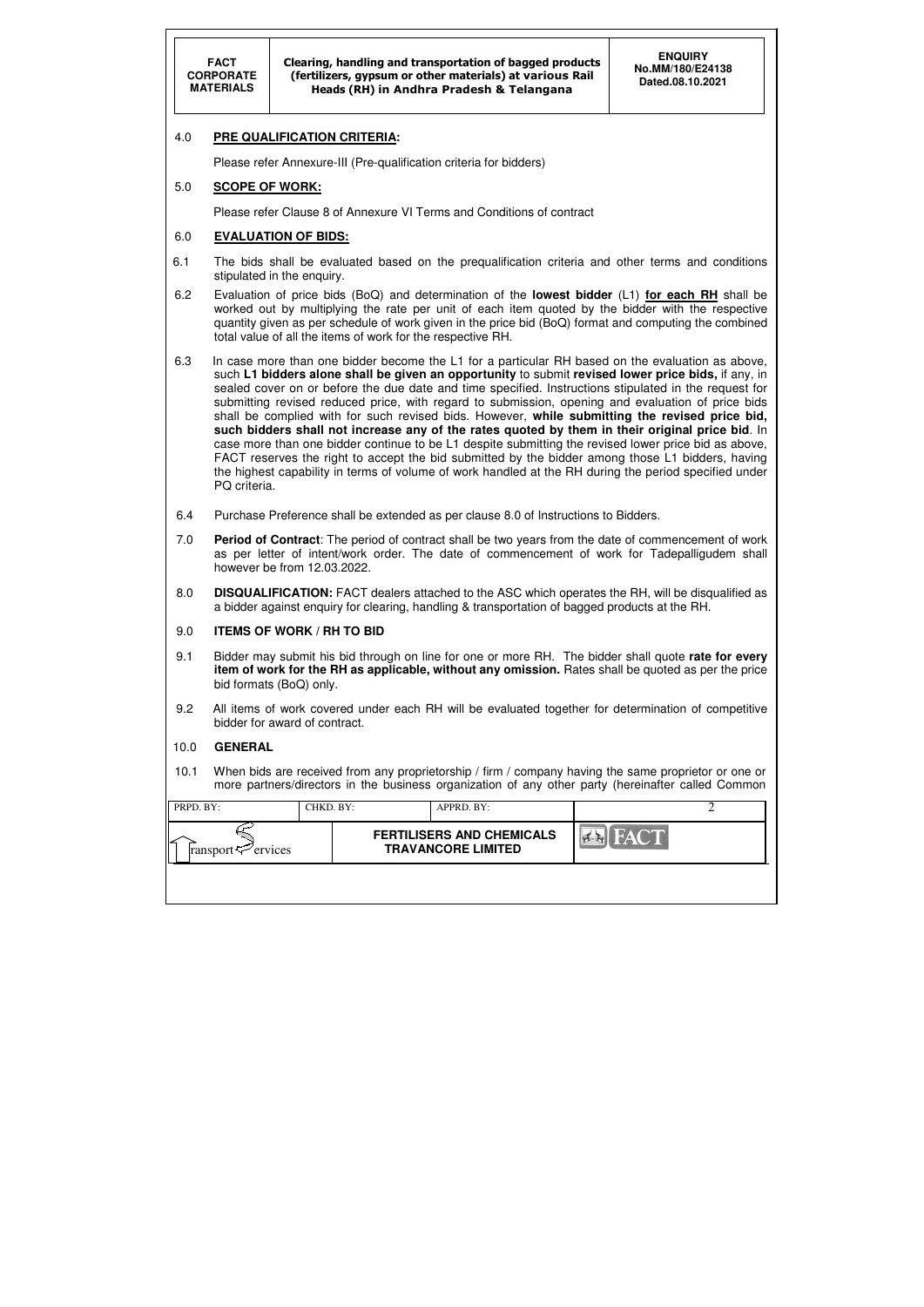| PRPD. BY:                      | CHKD. BY: | APPRD. BY:                                                    |             |  |
|--------------------------------|-----------|---------------------------------------------------------------|-------------|--|
| ransport $\mathcal{P}$ ervices |           | <b>FERTILISERS AND CHEMICALS</b><br><b>TRAVANCORE LIMITED</b> | <b>FACT</b> |  |
|                                |           |                                                               |             |  |

### 4.0 **PRE QUALIFICATION CRITERIA:**

Please refer Annexure-III (Pre-qualification criteria for bidders)

#### 5.0 **SCOPE OF WORK:**

Please refer Clause 8 of Annexure VI Terms and Conditions of contract

#### 6.0 **EVALUATION OF BIDS:**

- 6.1 The bids shall be evaluated based on the prequalification criteria and other terms and conditions stipulated in the enquiry.
- 6.2 Evaluation of price bids (BoQ) and determination of the **lowest bidder** (L1) **for each RH** shall be worked out by multiplying the rate per unit of each item quoted by the bidder with the respective quantity given as per schedule of work given in the price bid (BoQ) format and computing the combined total value of all the items of work for the respective RH.
- 6.3 In case more than one bidder become the L1 for a particular RH based on the evaluation as above, such **L1 bidders alone shall be given an opportunity** to submit **revised lower price bids,** if any, in sealed cover on or before the due date and time specified. Instructions stipulated in the request for submitting revised reduced price, with regard to submission, opening and evaluation of price bids shall be complied with for such revised bids. However, **while submitting the revised price bid, such bidders shall not increase any of the rates quoted by them in their original price bid**. In case more than one bidder continue to be L1 despite submitting the revised lower price bid as above, FACT reserves the right to accept the bid submitted by the bidder among those L1 bidders, having the highest capability in terms of volume of work handled at the RH during the period specified under PQ criteria.
- 6.4 Purchase Preference shall be extended as per clause 8.0 of Instructions to Bidders.
- 7.0 **Period of Contract**: The period of contract shall be two years from the date of commencement of work as per letter of intent/work order. The date of commencement of work for Tadepalligudem shall however be from 12.03.2022.
- 8.0 **DISQUALIFICATION:** FACT dealers attached to the ASC which operates the RH, will be disqualified as a bidder against enquiry for clearing, handling & transportation of bagged products at the RH.

#### 9.0 **ITEMS OF WORK / RH TO BID**

- 9.1 Bidder may submit his bid through on line for one or more RH. The bidder shall quote **rate for every item of work for the RH as applicable, without any omission.** Rates shall be quoted as per the price bid formats (BoQ) only.
- 9.2 All items of work covered under each RH will be evaluated together for determination of competitive bidder for award of contract.

#### 10.0 **GENERAL**

10.1 When bids are received from any proprietorship / firm / company having the same proprietor or one or more partners/directors in the business organization of any other party (hereinafter called Common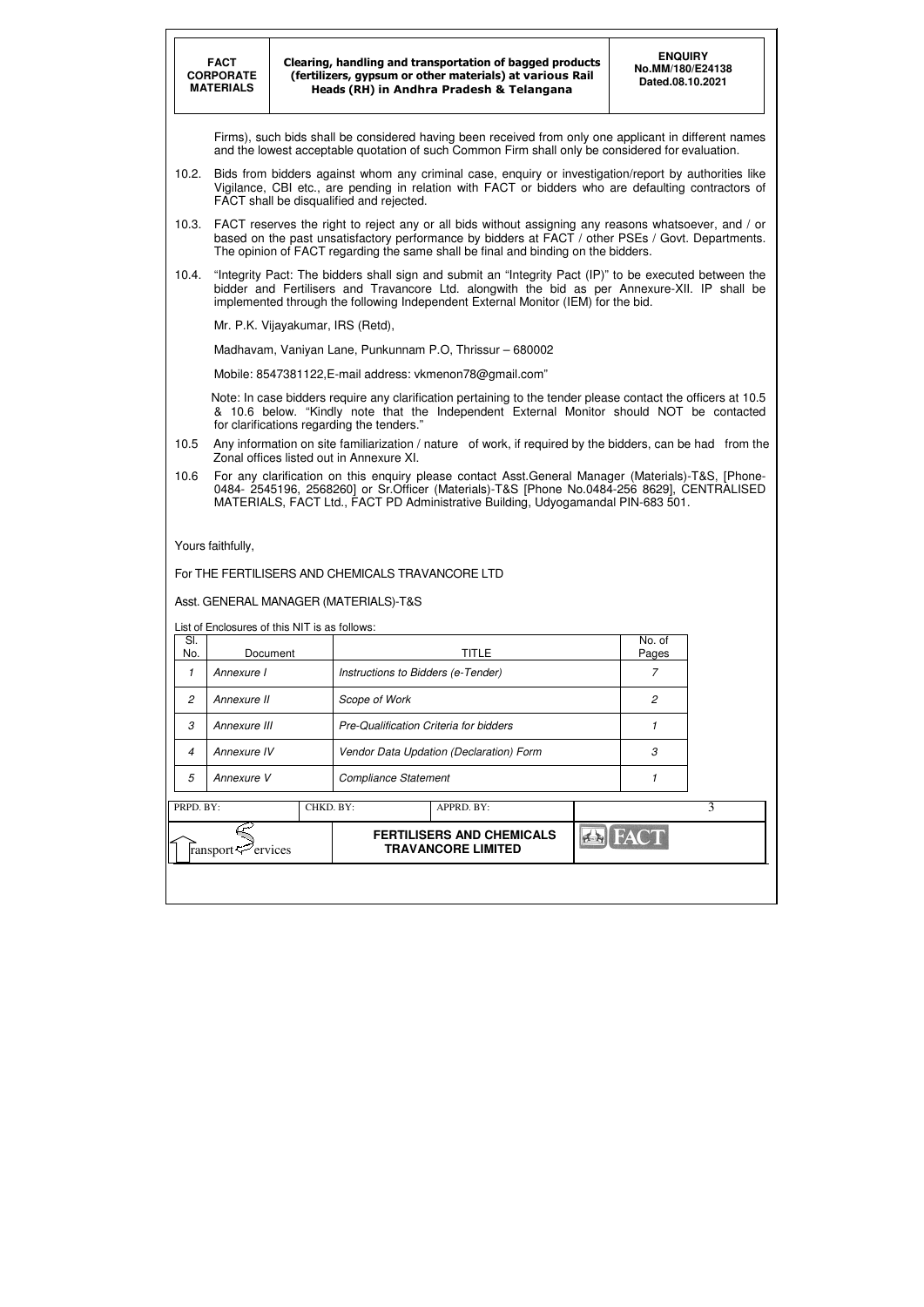|           | <b>FACT</b><br><b>CORPORATE</b><br><b>MATERIALS</b>                                                                                                                                                                                                                                            |                                   |                                                  | Clearing, handling and transportation of bagged products<br>(fertilizers, gypsum or other materials) at various Rail<br>Heads (RH) in Andhra Pradesh & Telangana                                                                                                                        |         | <b>ENQUIRY</b><br>No.MM/180/E24138<br>Dated.08.10.2021 |   |  |  |  |
|-----------|------------------------------------------------------------------------------------------------------------------------------------------------------------------------------------------------------------------------------------------------------------------------------------------------|-----------------------------------|--------------------------------------------------|-----------------------------------------------------------------------------------------------------------------------------------------------------------------------------------------------------------------------------------------------------------------------------------------|---------|--------------------------------------------------------|---|--|--|--|
|           |                                                                                                                                                                                                                                                                                                |                                   |                                                  | Firms), such bids shall be considered having been received from only one applicant in different names<br>and the lowest acceptable quotation of such Common Firm shall only be considered for evaluation.                                                                               |         |                                                        |   |  |  |  |
| 10.2.     |                                                                                                                                                                                                                                                                                                |                                   | FACT shall be disqualified and rejected.         | Bids from bidders against whom any criminal case, enquiry or investigation/report by authorities like<br>Vigilance, CBI etc., are pending in relation with FACT or bidders who are defaulting contractors of                                                                            |         |                                                        |   |  |  |  |
| 10.3.     | FACT reserves the right to reject any or all bids without assigning any reasons whatsoever, and / or<br>based on the past unsatisfactory performance by bidders at FACT / other PSEs / Govt. Departments.<br>The opinion of FACT regarding the same shall be final and binding on the bidders. |                                   |                                                  |                                                                                                                                                                                                                                                                                         |         |                                                        |   |  |  |  |
| 10.4.     | "Integrity Pact: The bidders shall sign and submit an "Integrity Pact (IP)" to be executed between the<br>bidder and Fertilisers and Travancore Ltd. alongwith the bid as per Annexure-XII. IP shall be<br>implemented through the following Independent External Monitor (IEM) for the bid.   |                                   |                                                  |                                                                                                                                                                                                                                                                                         |         |                                                        |   |  |  |  |
|           |                                                                                                                                                                                                                                                                                                | Mr. P.K. Vijayakumar, IRS (Retd), |                                                  |                                                                                                                                                                                                                                                                                         |         |                                                        |   |  |  |  |
|           |                                                                                                                                                                                                                                                                                                |                                   |                                                  | Madhavam, Vaniyan Lane, Punkunnam P.O, Thrissur - 680002                                                                                                                                                                                                                                |         |                                                        |   |  |  |  |
|           |                                                                                                                                                                                                                                                                                                |                                   |                                                  | Mobile: 8547381122, E-mail address: vkmenon 78@gmail.com"                                                                                                                                                                                                                               |         |                                                        |   |  |  |  |
|           | Note: In case bidders require any clarification pertaining to the tender please contact the officers at 10.5<br>& 10.6 below. "Kindly note that the Independent External Monitor should NOT be contacted<br>for clarifications regarding the tenders."                                         |                                   |                                                  |                                                                                                                                                                                                                                                                                         |         |                                                        |   |  |  |  |
| 10.5      |                                                                                                                                                                                                                                                                                                |                                   | Zonal offices listed out in Annexure XI.         | Any information on site familiarization / nature of work, if required by the bidders, can be had from the                                                                                                                                                                               |         |                                                        |   |  |  |  |
| 10.6      |                                                                                                                                                                                                                                                                                                |                                   |                                                  | For any clarification on this enquiry please contact Asst. General Manager (Materials)-T&S, [Phone-<br>0484- 2545196, 2568260] or Sr. Officer (Materials)-T&S [Phone No.0484-256 8629], CENTRALISED<br>MATERIALS, FACT Ltd., FACT PD Administrative Building, Udyogamandal PIN-683 501. |         |                                                        |   |  |  |  |
|           | Yours faithfully,                                                                                                                                                                                                                                                                              |                                   |                                                  |                                                                                                                                                                                                                                                                                         |         |                                                        |   |  |  |  |
|           |                                                                                                                                                                                                                                                                                                |                                   | For THE FERTILISERS AND CHEMICALS TRAVANCORE LTD |                                                                                                                                                                                                                                                                                         |         |                                                        |   |  |  |  |
|           |                                                                                                                                                                                                                                                                                                |                                   | Asst. GENERAL MANAGER (MATERIALS)-T&S            |                                                                                                                                                                                                                                                                                         |         |                                                        |   |  |  |  |
|           | List of Enclosures of this NIT is as follows:                                                                                                                                                                                                                                                  |                                   |                                                  |                                                                                                                                                                                                                                                                                         |         |                                                        |   |  |  |  |
| SI.       |                                                                                                                                                                                                                                                                                                |                                   |                                                  |                                                                                                                                                                                                                                                                                         |         | No. of                                                 |   |  |  |  |
| No.<br>1  | Document<br>Annexure I                                                                                                                                                                                                                                                                         |                                   |                                                  | <b>TITLE</b><br>Instructions to Bidders (e-Tender)                                                                                                                                                                                                                                      |         | Pages<br>7                                             |   |  |  |  |
| 2         | Annexure II                                                                                                                                                                                                                                                                                    |                                   | Scope of Work                                    |                                                                                                                                                                                                                                                                                         |         | 2                                                      |   |  |  |  |
| 3         | Annexure III                                                                                                                                                                                                                                                                                   |                                   |                                                  | Pre-Qualification Criteria for bidders                                                                                                                                                                                                                                                  |         | 1                                                      |   |  |  |  |
| 4         | Annexure IV                                                                                                                                                                                                                                                                                    |                                   |                                                  | 3                                                                                                                                                                                                                                                                                       |         |                                                        |   |  |  |  |
| 5         | Annexure V                                                                                                                                                                                                                                                                                     |                                   |                                                  | Vendor Data Updation (Declaration) Form                                                                                                                                                                                                                                                 |         | 1                                                      |   |  |  |  |
|           |                                                                                                                                                                                                                                                                                                |                                   | <b>Compliance Statement</b>                      |                                                                                                                                                                                                                                                                                         |         |                                                        |   |  |  |  |
| PRPD. BY: |                                                                                                                                                                                                                                                                                                | CHKD. BY:                         |                                                  | APPRD. BY:                                                                                                                                                                                                                                                                              |         |                                                        | 3 |  |  |  |
|           | ransport < Pervices                                                                                                                                                                                                                                                                            |                                   |                                                  | <b>FERTILISERS AND CHEMICALS</b><br><b>TRAVANCORE LIMITED</b>                                                                                                                                                                                                                           | $7 - 1$ |                                                        |   |  |  |  |
|           |                                                                                                                                                                                                                                                                                                |                                   |                                                  |                                                                                                                                                                                                                                                                                         |         |                                                        |   |  |  |  |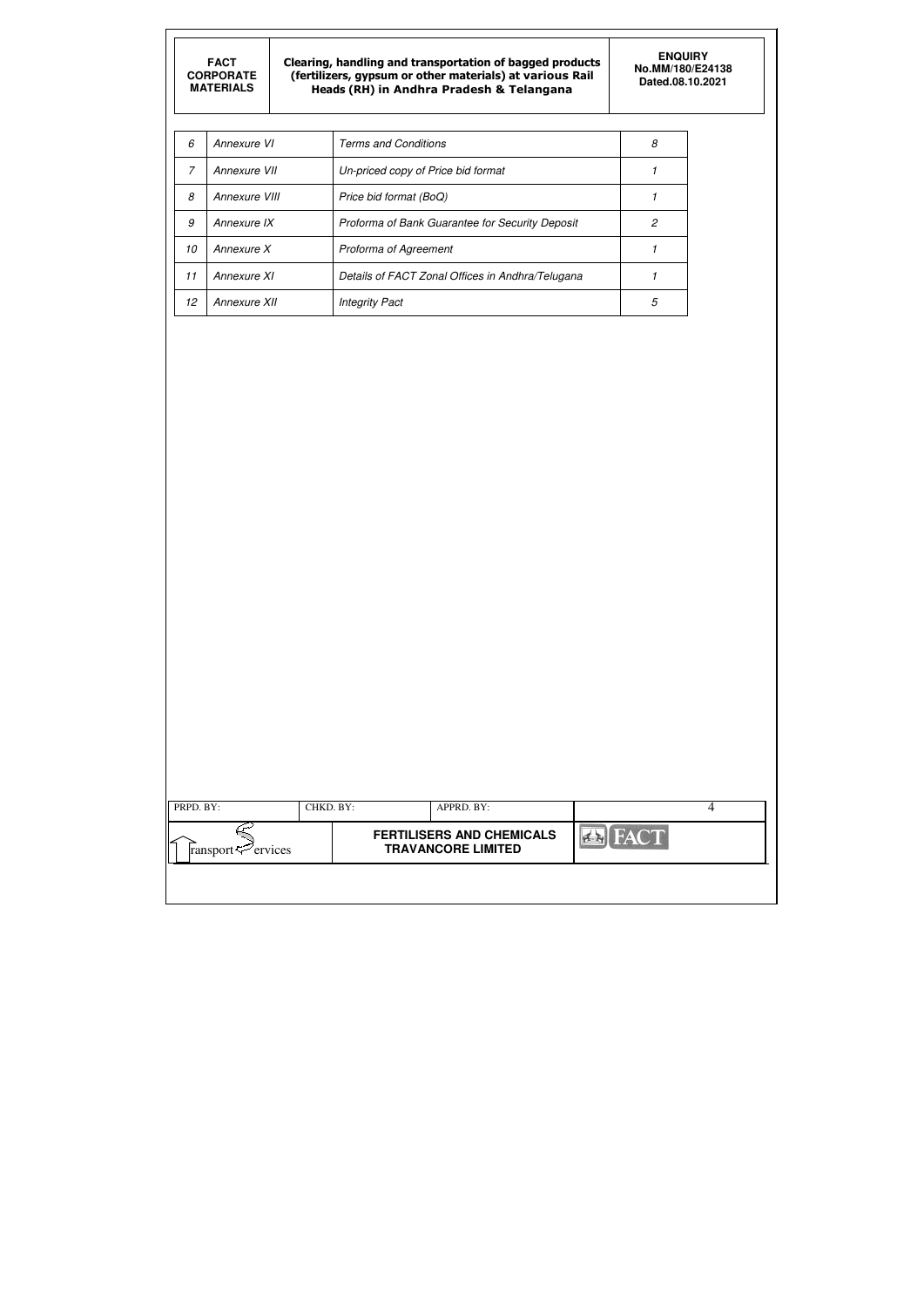Clearing, handling and transportation of bagged products (fertilizers, gypsum or other materials) at various Rail Heads (RH) in Andhra Pradesh & Telangana

| PRPD. BY:                  | CHKD. BY: | APPRD. BY:                                                    |  |
|----------------------------|-----------|---------------------------------------------------------------|--|
| ransport $\approx$ ervices |           | <b>FERTILISERS AND CHEMICALS</b><br><b>TRAVANCORE LIMITED</b> |  |

| 6  | Annexure VI   | <b>Terms and Conditions</b>                      | 8 |
|----|---------------|--------------------------------------------------|---|
| 7  | Annexure VII  | Un-priced copy of Price bid format               |   |
| 8  | Annexure VIII | Price bid format (BoQ)                           |   |
| 9  | Annexure IX   | Proforma of Bank Guarantee for Security Deposit  |   |
| 10 | Annexure X    | Proforma of Agreement                            |   |
| 11 | Annexure XI   | Details of FACT Zonal Offices in Andhra/Telugana |   |
| 12 | Annexure XII  | <b>Integrity Pact</b>                            | 5 |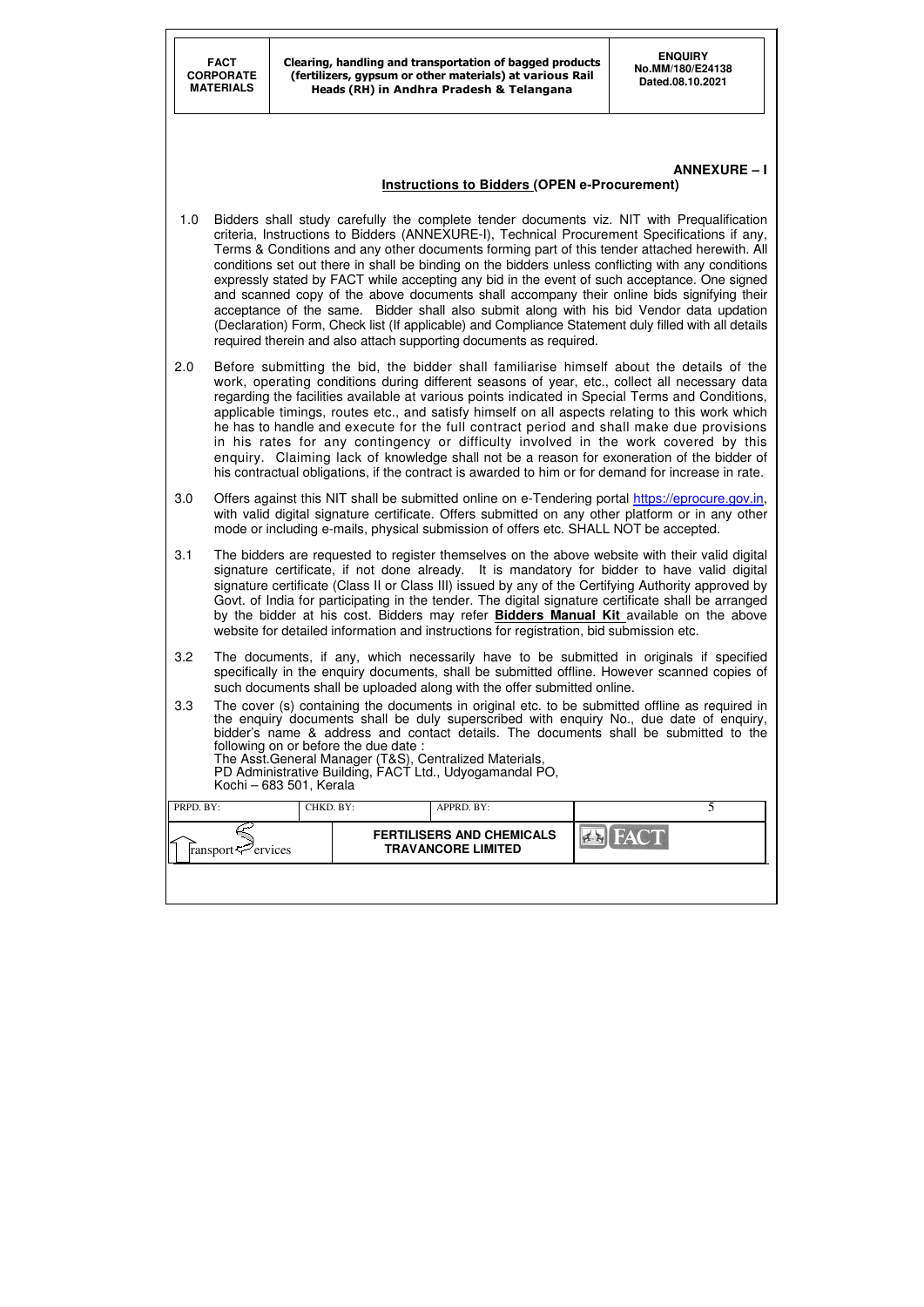| PRPD. BY:                           | CHKD. BY: | APPRD. BY:                                                    |              |  |
|-------------------------------------|-----------|---------------------------------------------------------------|--------------|--|
| ⊷<br>ransport $\mathcal{L}$ ervices |           | <b>FERTILISERS AND CHEMICALS</b><br><b>TRAVANCORE LIMITED</b> | <b>FACT!</b> |  |
|                                     |           |                                                               |              |  |

# **ANNEXURE – I**

### **Instructions to Bidders (OPEN e-Procurement)**

- 1.0 Bidders shall study carefully the complete tender documents viz. NIT with Prequalification criteria, Instructions to Bidders (ANNEXURE-I), Technical Procurement Specifications if any, Terms & Conditions and any other documents forming part of this tender attached herewith. All conditions set out there in shall be binding on the bidders unless conflicting with any conditions expressly stated by FACT while accepting any bid in the event of such acceptance. One signed and scanned copy of the above documents shall accompany their online bids signifying their acceptance of the same. Bidder shall also submit along with his bid Vendor data updation (Declaration) Form, Check list (If applicable) and Compliance Statement duly filled with all details required therein and also attach supporting documents as required.
- 2.0 Before submitting the bid, the bidder shall familiarise himself about the details of the work, operating conditions during different seasons of year, etc., collect all necessary data regarding the facilities available at various points indicated in Special Terms and Conditions, applicable timings, routes etc., and satisfy himself on all aspects relating to this work which he has to handle and execute for the full contract period and shall make due provisions in his rates for any contingency or difficulty involved in the work covered by this enquiry. Claiming lack of knowledge shall not be a reason for exoneration of the bidder of his contractual obligations, if the contract is awarded to him or for demand for increase in rate.
- 3.0 Offers against this NIT shall be submitted online on e-Tendering portal https://eprocure.gov.in, with valid digital signature certificate. Offers submitted on any other platform or in any other mode or including e-mails, physical submission of offers etc. SHALL NOT be accepted.
- 3.1 The bidders are requested to register themselves on the above website with their valid digital signature certificate, if not done already. It is mandatory for bidder to have valid digital signature certificate (Class II or Class III) issued by any of the Certifying Authority approved by Govt. of India for participating in the tender. The digital signature certificate shall be arranged by the bidder at his cost. Bidders may refer **Bidders Manual Kit** available on the above website for detailed information and instructions for registration, bid submission etc.
- 3.2 The documents, if any, which necessarily have to be submitted in originals if specified specifically in the enquiry documents, shall be submitted offline. However scanned copies of such documents shall be uploaded along with the offer submitted online.
- 3.3 The cover (s) containing the documents in original etc. to be submitted offline as required in the enquiry documents shall be duly superscribed with enquiry No., due date of enquiry, bidder's name & address and contact details. The documents shall be submitted to the following on or before the due date : The Asst.General Manager (T&S), Centralized Materials, PD Administrative Building, FACT Ltd., Udyogamandal PO, Kochi – 683 501, Kerala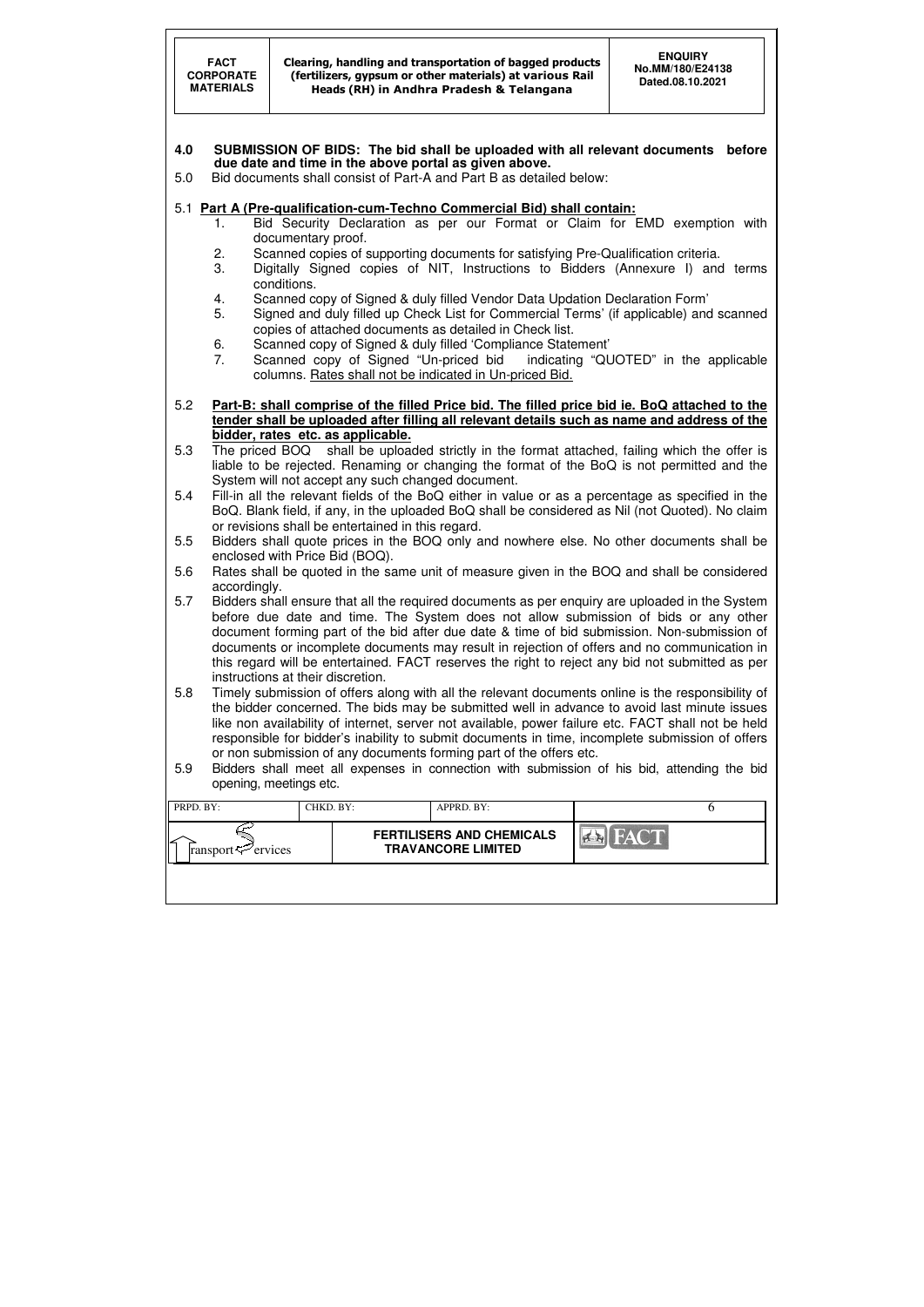|            | <b>FACT</b><br><b>CORPORATE</b><br><b>MATERIALS</b>                                                                                                                                                                 |                                   |                                                   | Clearing, handling and transportation of bagged products<br>(fertilizers, gypsum or other materials) at various Rail<br>Heads (RH) in Andhra Pradesh & Telangana |           | <b>ENQUIRY</b><br>No.MM/180/E24138<br>Dated.08.10.2021                                                                                                                                                |  |  |  |
|------------|---------------------------------------------------------------------------------------------------------------------------------------------------------------------------------------------------------------------|-----------------------------------|---------------------------------------------------|------------------------------------------------------------------------------------------------------------------------------------------------------------------|-----------|-------------------------------------------------------------------------------------------------------------------------------------------------------------------------------------------------------|--|--|--|
| 4.0<br>5.0 | SUBMISSION OF BIDS: The bid shall be uploaded with all relevant documents<br>before<br>due date and time in the above portal as given above.<br>Bid documents shall consist of Part-A and Part B as detailed below: |                                   |                                                   |                                                                                                                                                                  |           |                                                                                                                                                                                                       |  |  |  |
|            |                                                                                                                                                                                                                     |                                   |                                                   | 5.1 Part A (Pre-qualification-cum-Techno Commercial Bid) shall contain:                                                                                          |           |                                                                                                                                                                                                       |  |  |  |
|            | 1.                                                                                                                                                                                                                  | documentary proof.                |                                                   |                                                                                                                                                                  |           | Bid Security Declaration as per our Format or Claim for EMD exemption with                                                                                                                            |  |  |  |
|            | 2.                                                                                                                                                                                                                  |                                   |                                                   | Scanned copies of supporting documents for satisfying Pre-Qualification criteria.                                                                                |           |                                                                                                                                                                                                       |  |  |  |
|            | 3.                                                                                                                                                                                                                  |                                   |                                                   |                                                                                                                                                                  |           | Digitally Signed copies of NIT, Instructions to Bidders (Annexure I) and terms                                                                                                                        |  |  |  |
|            |                                                                                                                                                                                                                     | conditions.                       |                                                   |                                                                                                                                                                  |           |                                                                                                                                                                                                       |  |  |  |
|            | 4.<br>5.                                                                                                                                                                                                            |                                   |                                                   | Scanned copy of Signed & duly filled Vendor Data Updation Declaration Form'                                                                                      |           | Signed and duly filled up Check List for Commercial Terms' (if applicable) and scanned                                                                                                                |  |  |  |
|            |                                                                                                                                                                                                                     |                                   |                                                   | copies of attached documents as detailed in Check list.                                                                                                          |           |                                                                                                                                                                                                       |  |  |  |
|            | 6.<br>7.                                                                                                                                                                                                            |                                   | Scanned copy of Signed "Un-priced bid             | Scanned copy of Signed & duly filled 'Compliance Statement'                                                                                                      |           | indicating "QUOTED" in the applicable                                                                                                                                                                 |  |  |  |
|            |                                                                                                                                                                                                                     |                                   |                                                   | columns. Rates shall not be indicated in Un-priced Bid.                                                                                                          |           |                                                                                                                                                                                                       |  |  |  |
|            |                                                                                                                                                                                                                     |                                   |                                                   |                                                                                                                                                                  |           |                                                                                                                                                                                                       |  |  |  |
| 5.2        |                                                                                                                                                                                                                     |                                   |                                                   |                                                                                                                                                                  |           | Part-B: shall comprise of the filled Price bid. The filled price bid ie. BoQ attached to the<br>tender shall be uploaded after filling all relevant details such as name and address of the           |  |  |  |
|            |                                                                                                                                                                                                                     |                                   | bidder, rates etc. as applicable.                 |                                                                                                                                                                  |           |                                                                                                                                                                                                       |  |  |  |
| 5.3        |                                                                                                                                                                                                                     |                                   |                                                   |                                                                                                                                                                  |           | The priced BOQ shall be uploaded strictly in the format attached, failing which the offer is                                                                                                          |  |  |  |
|            |                                                                                                                                                                                                                     |                                   | System will not accept any such changed document. |                                                                                                                                                                  |           | liable to be rejected. Renaming or changing the format of the BoQ is not permitted and the                                                                                                            |  |  |  |
| 5.4        |                                                                                                                                                                                                                     |                                   |                                                   |                                                                                                                                                                  |           | Fill-in all the relevant fields of the BoQ either in value or as a percentage as specified in the                                                                                                     |  |  |  |
|            |                                                                                                                                                                                                                     |                                   |                                                   |                                                                                                                                                                  |           | BoQ. Blank field, if any, in the uploaded BoQ shall be considered as Nil (not Quoted). No claim                                                                                                       |  |  |  |
|            |                                                                                                                                                                                                                     |                                   | or revisions shall be entertained in this regard. |                                                                                                                                                                  |           |                                                                                                                                                                                                       |  |  |  |
| 5.5        |                                                                                                                                                                                                                     |                                   | enclosed with Price Bid (BOQ).                    |                                                                                                                                                                  |           | Bidders shall quote prices in the BOQ only and nowhere else. No other documents shall be                                                                                                              |  |  |  |
| 5.6        |                                                                                                                                                                                                                     |                                   |                                                   |                                                                                                                                                                  |           | Rates shall be quoted in the same unit of measure given in the BOQ and shall be considered                                                                                                            |  |  |  |
|            | accordingly.                                                                                                                                                                                                        |                                   |                                                   |                                                                                                                                                                  |           |                                                                                                                                                                                                       |  |  |  |
| 5.7        |                                                                                                                                                                                                                     |                                   |                                                   |                                                                                                                                                                  |           | Bidders shall ensure that all the required documents as per enquiry are uploaded in the System<br>before due date and time. The System does not allow submission of bids or any other                 |  |  |  |
|            |                                                                                                                                                                                                                     |                                   |                                                   |                                                                                                                                                                  |           | document forming part of the bid after due date & time of bid submission. Non-submission of                                                                                                           |  |  |  |
|            |                                                                                                                                                                                                                     |                                   |                                                   |                                                                                                                                                                  |           | documents or incomplete documents may result in rejection of offers and no communication in                                                                                                           |  |  |  |
|            |                                                                                                                                                                                                                     | instructions at their discretion. |                                                   |                                                                                                                                                                  |           | this regard will be entertained. FACT reserves the right to reject any bid not submitted as per                                                                                                       |  |  |  |
| 5.8        |                                                                                                                                                                                                                     |                                   |                                                   |                                                                                                                                                                  |           | Timely submission of offers along with all the relevant documents online is the responsibility of                                                                                                     |  |  |  |
|            |                                                                                                                                                                                                                     |                                   |                                                   |                                                                                                                                                                  |           | the bidder concerned. The bids may be submitted well in advance to avoid last minute issues                                                                                                           |  |  |  |
|            |                                                                                                                                                                                                                     |                                   |                                                   |                                                                                                                                                                  |           | like non availability of internet, server not available, power failure etc. FACT shall not be held<br>responsible for bidder's inability to submit documents in time, incomplete submission of offers |  |  |  |
|            |                                                                                                                                                                                                                     |                                   |                                                   | or non submission of any documents forming part of the offers etc.                                                                                               |           |                                                                                                                                                                                                       |  |  |  |
| 5.9        |                                                                                                                                                                                                                     |                                   |                                                   |                                                                                                                                                                  |           | Bidders shall meet all expenses in connection with submission of his bid, attending the bid                                                                                                           |  |  |  |
|            |                                                                                                                                                                                                                     | opening, meetings etc.            |                                                   |                                                                                                                                                                  |           |                                                                                                                                                                                                       |  |  |  |
| PRPD. BY:  |                                                                                                                                                                                                                     | CHKD. BY:                         |                                                   | APPRD. BY:                                                                                                                                                       |           | 6                                                                                                                                                                                                     |  |  |  |
|            |                                                                                                                                                                                                                     |                                   |                                                   | <b>FERTILISERS AND CHEMICALS</b>                                                                                                                                 | $ A - B $ |                                                                                                                                                                                                       |  |  |  |
|            | ransport = ervices                                                                                                                                                                                                  |                                   |                                                   | <b>TRAVANCORE LIMITED</b>                                                                                                                                        |           |                                                                                                                                                                                                       |  |  |  |

┸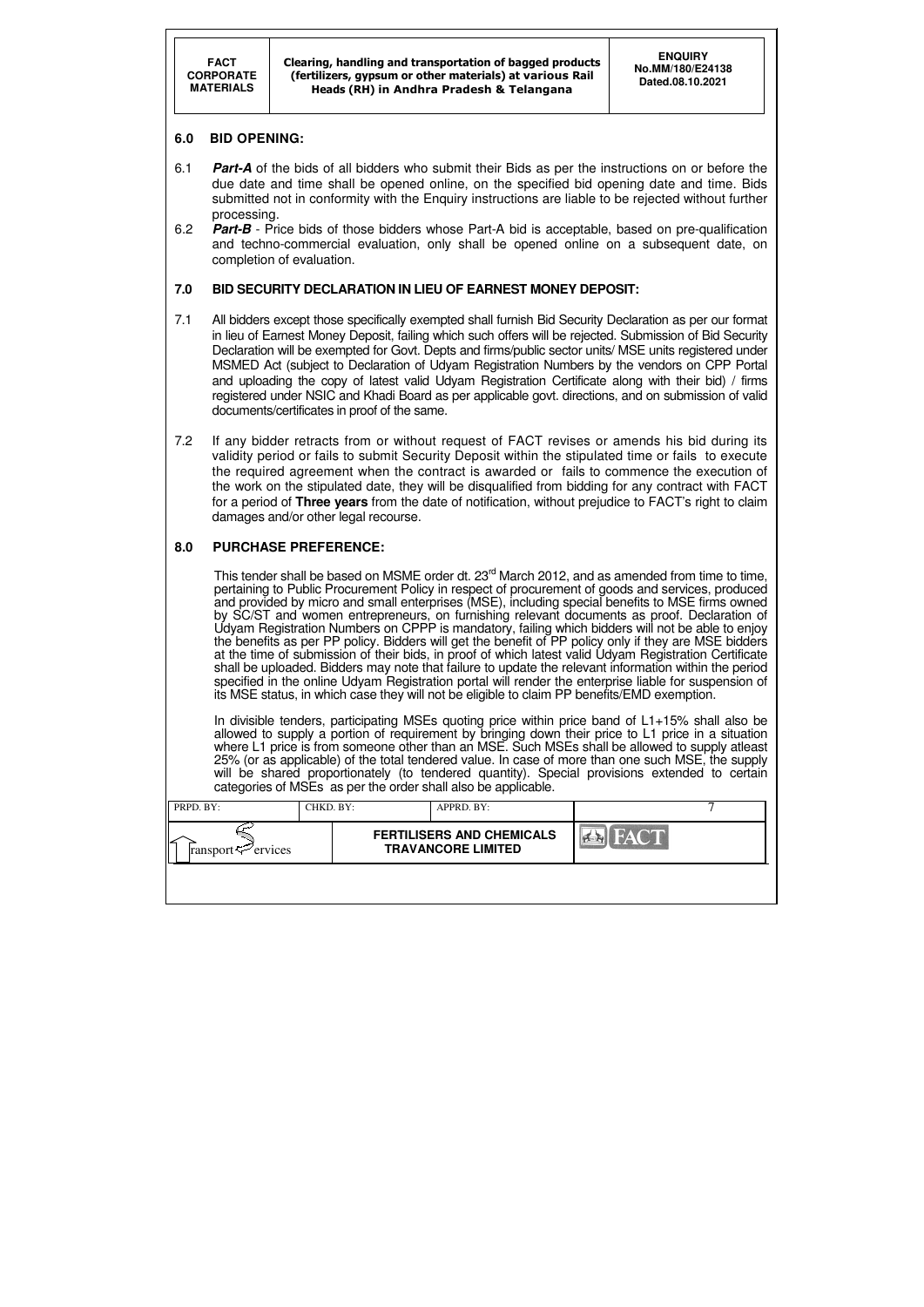| PRPD. BY:                      | CHKD. BY: | APPRD. BY:                                                    |             |  |
|--------------------------------|-----------|---------------------------------------------------------------|-------------|--|
| ransport $\mathcal{F}$ ervices |           | <b>FERTILISERS AND CHEMICALS</b><br><b>TRAVANCORE LIMITED</b> | <b>FACT</b> |  |
|                                |           |                                                               |             |  |

# **6.0 BID OPENING:**

- 6.1 **Part-A** of the bids of all bidders who submit their Bids as per the instructions on or before the due date and time shall be opened online, on the specified bid opening date and time. Bids submitted not in conformity with the Enquiry instructions are liable to be rejected without further processing.
- 6.2 **Part-B** Price bids of those bidders whose Part-A bid is acceptable, based on pre-qualification and techno-commercial evaluation, only shall be opened online on a subsequent date, on completion of evaluation.

# **7.0 BID SECURITY DECLARATION IN LIEU OF EARNEST MONEY DEPOSIT:**

- 7.1 All bidders except those specifically exempted shall furnish Bid Security Declaration as per our format in lieu of Earnest Money Deposit, failing which such offers will be rejected. Submission of Bid Security Declaration will be exempted for Govt. Depts and firms/public sector units/ MSE units registered under MSMED Act (subject to Declaration of Udyam Registration Numbers by the vendors on CPP Portal and uploading the copy of latest valid Udyam Registration Certificate along with their bid) / firms registered under NSIC and Khadi Board as per applicable govt. directions, and on submission of valid documents/certificates in proof of the same.
- 7.2 If any bidder retracts from or without request of FACT revises or amends his bid during its validity period or fails to submit Security Deposit within the stipulated time or fails to execute the required agreement when the contract is awarded or fails to commence the execution of the work on the stipulated date, they will be disqualified from bidding for any contract with FACT for a period of **Three years** from the date of notification, without prejudice to FACT's right to claim damages and/or other legal recourse.

This tender shall be based on MSME order dt. 23<sup>rd</sup> March 2012, and as amended from time to time, pertaining to Public Procurement Policy in respect of procurement of goods and services, produced and provided by micro and small enterprises (MSE), including special benefits to MSE firms owned by SC/ST and women entrepreneurs, on furnishing relevant documents as proof. Declaration of Udyam Registration Numbers on CPPP is mandatory, failing which bidders will not be able to enjoy the benefits as per PP policy. Bidders will get the benefit of PP policy only if they are MSE bidders at the time of submission of their bids, in proof of which latest valid Udyam Registration Certificate shall be uploaded. Bidders may note that failure to update the relevant information within the period specified in the online Udyam Registration portal will render the enterprise liable for suspension of its MSE status, in which case they will not be eligible to claim PP benefits/EMD exemption.

# **8.0 PURCHASE PREFERENCE:**

In divisible tenders, participating MSEs quoting price within price band of L1+15% shall also be allowed to supply a portion of requirement by bringing down their price to L1 price in a situation where L1 price is from someone other than an MSE. Such MSEs shall be allowed to supply atleast 25% (or as applicable) of the total tendered value. In case of more than one such MSE, the supply will be shared proportionately (to tendered quantity). Special provisions extended to certain categories of MSEs as per the order shall also be applicable.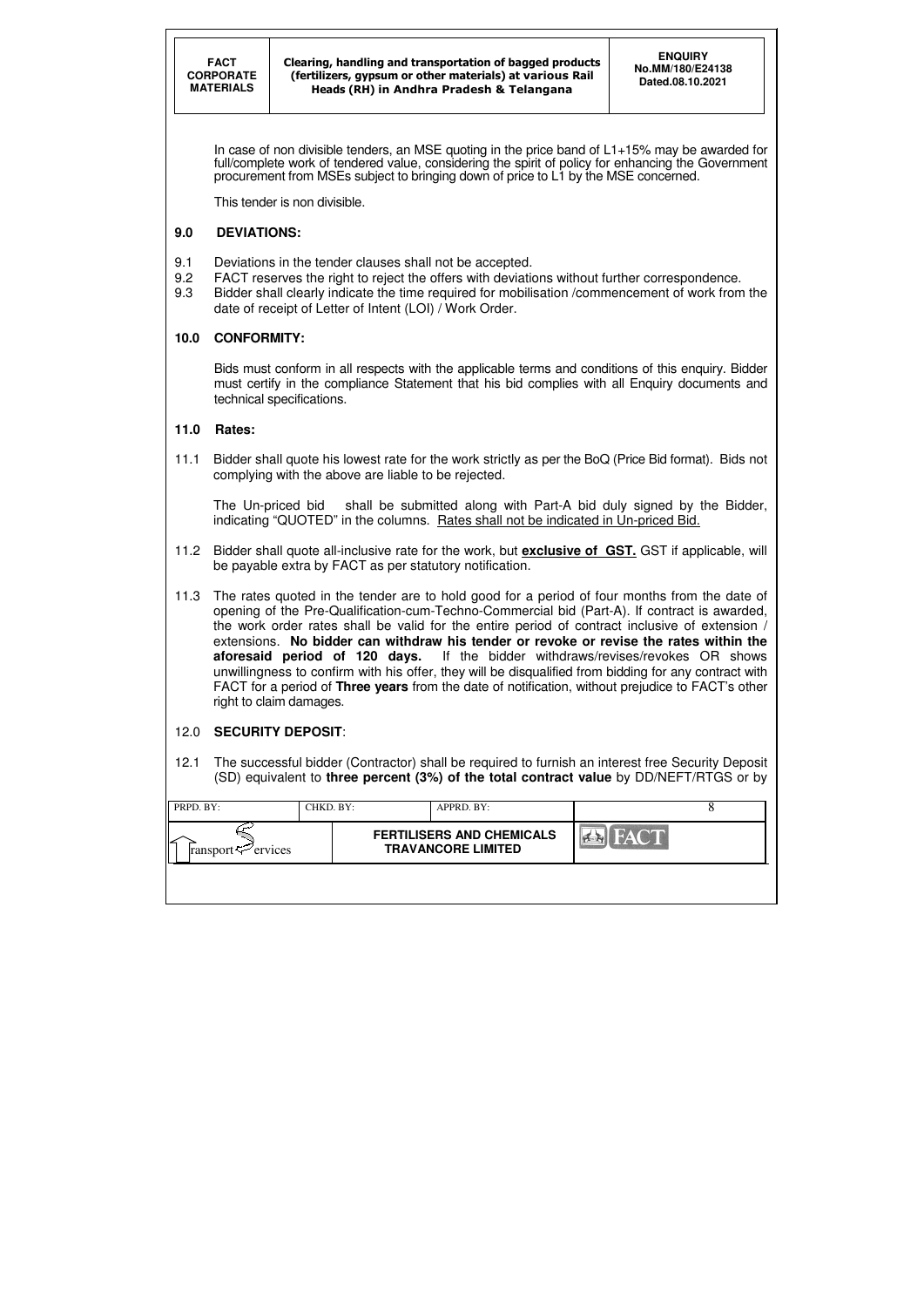| PRPD. BY:                      | CHKD. BY: | APPRD. BY:                                                    |      |  |
|--------------------------------|-----------|---------------------------------------------------------------|------|--|
| ransport $\mathcal{P}$ ervices |           | <b>FERTILISERS AND CHEMICALS</b><br><b>TRAVANCORE LIMITED</b> | FACT |  |
|                                |           |                                                               |      |  |

In case of non divisible tenders, an MSE quoting in the price band of L1+15% may be awarded for full/complete work of tendered value, considering the spirit of policy for enhancing the Government procurement from MSEs subject to bringing down of price to L1 by the MSE concerned.

This tender is non divisible.

# **9.0 DEVIATIONS:**

- 9.1 Deviations in the tender clauses shall not be accepted.
- 9.2 FACT reserves the right to reject the offers with deviations without further correspondence.
- 9.3 Bidder shall clearly indicate the time required for mobilisation /commencement of work from the date of receipt of Letter of Intent (LOI) / Work Order.

# **10.0 CONFORMITY:**

Bids must conform in all respects with the applicable terms and conditions of this enquiry. Bidder must certify in the compliance Statement that his bid complies with all Enquiry documents and technical specifications.

# **11.0 Rates:**

11.1 Bidder shall quote his lowest rate for the work strictly as per the BoQ (Price Bid format). Bids not complying with the above are liable to be rejected.

The Un-priced bid shall be submitted along with Part-A bid duly signed by the Bidder, indicating "QUOTED" in the columns. Rates shall not be indicated in Un-priced Bid.

- 11.2 Bidder shall quote all-inclusive rate for the work, but **exclusive of GST.** GST if applicable, will be payable extra by FACT as per statutory notification.
- 11.3 The rates quoted in the tender are to hold good for a period of four months from the date of opening of the Pre-Qualification-cum-Techno-Commercial bid (Part-A). If contract is awarded, the work order rates shall be valid for the entire period of contract inclusive of extension / extensions. **No bidder can withdraw his tender or revoke or revise the rates within the aforesaid period of 120 days.** If the bidder withdraws/revises/revokes OR shows unwillingness to confirm with his offer, they will be disqualified from bidding for any contract with FACT for a period of **Three years** from the date of notification, without prejudice to FACT's other right to claim damages.

# 12.0 **SECURITY DEPOSIT**:

12.1 The successful bidder (Contractor) shall be required to furnish an interest free Security Deposit (SD) equivalent to **three percent (3%) of the total contract value** by DD/NEFT/RTGS or by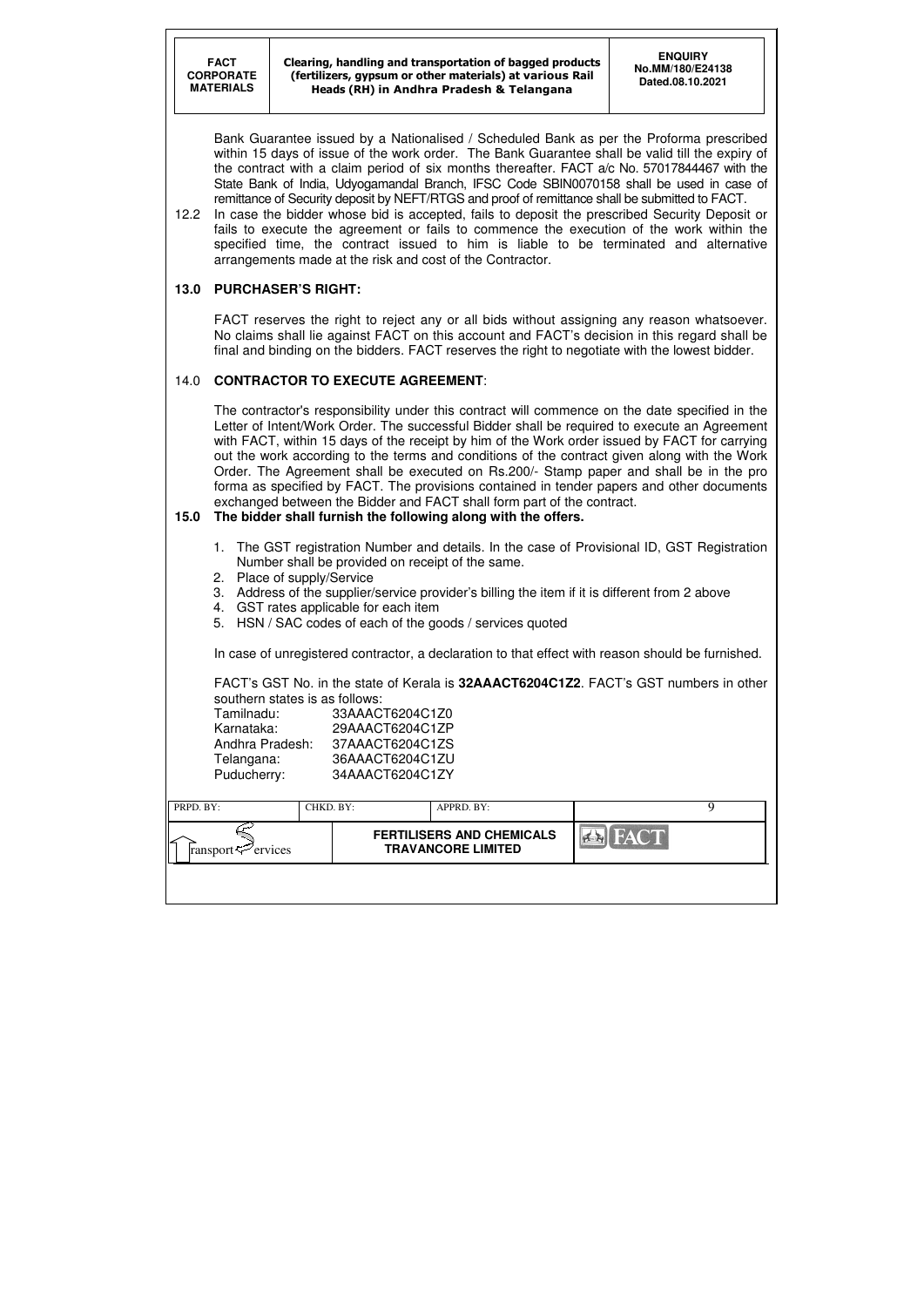| PRPD. BY:                           | CHKD. BY: | APPRD. BY:                                                    |  |
|-------------------------------------|-----------|---------------------------------------------------------------|--|
| ↙<br>ransport $\mathcal{F}$ ervices |           | <b>FERTILISERS AND CHEMICALS</b><br><b>TRAVANCORE LIMITED</b> |  |
|                                     |           |                                                               |  |

Bank Guarantee issued by a Nationalised / Scheduled Bank as per the Proforma prescribed within 15 days of issue of the work order. The Bank Guarantee shall be valid till the expiry of the contract with a claim period of six months thereafter. FACT a/c No. 57017844467 with the State Bank of India, Udyogamandal Branch, IFSC Code SBIN0070158 shall be used in case of remittance of Security deposit by NEFT/RTGS and proof of remittance shall be submitted to FACT.

12.2 In case the bidder whose bid is accepted, fails to deposit the prescribed Security Deposit or fails to execute the agreement or fails to commence the execution of the work within the specified time, the contract issued to him is liable to be terminated and alternative arrangements made at the risk and cost of the Contractor.

# **13.0 PURCHASER'S RIGHT:**

 FACT reserves the right to reject any or all bids without assigning any reason whatsoever. No claims shall lie against FACT on this account and FACT's decision in this regard shall be final and binding on the bidders. FACT reserves the right to negotiate with the lowest bidder.

# 14.0 **CONTRACTOR TO EXECUTE AGREEMENT**:

 The contractor's responsibility under this contract will commence on the date specified in the Letter of Intent/Work Order. The successful Bidder shall be required to execute an Agreement with FACT, within 15 days of the receipt by him of the Work order issued by FACT for carrying out the work according to the terms and conditions of the contract given along with the Work Order. The Agreement shall be executed on Rs.200/- Stamp paper and shall be in the pro forma as specified by FACT. The provisions contained in tender papers and other documents exchanged between the Bidder and FACT shall form part of the contract.

# **15.0 The bidder shall furnish the following along with the offers.**

- 1. The GST registration Number and details. In the case of Provisional ID, GST Registration Number shall be provided on receipt of the same.
- 2. Place of supply/Service
- 3. Address of the supplier/service provider's billing the item if it is different from 2 above
- 4. GST rates applicable for each item
- 5. HSN / SAC codes of each of the goods / services quoted

In case of unregistered contractor, a declaration to that effect with reason should be furnished.

FACT's GST No. in the state of Kerala is **32AAACT6204C1Z2**. FACT's GST numbers in other southern states is as follows:

| Tamilnadu:      | 33AAACT6204C1Z0 |
|-----------------|-----------------|
| Karnataka:      | 29AAACT6204C1ZP |
| Andhra Pradesh: | 37AAACT6204C1ZS |
| Telangana:      | 36AAACT6204C1ZU |
| Puducherry:     | 34AAACT6204C1ZY |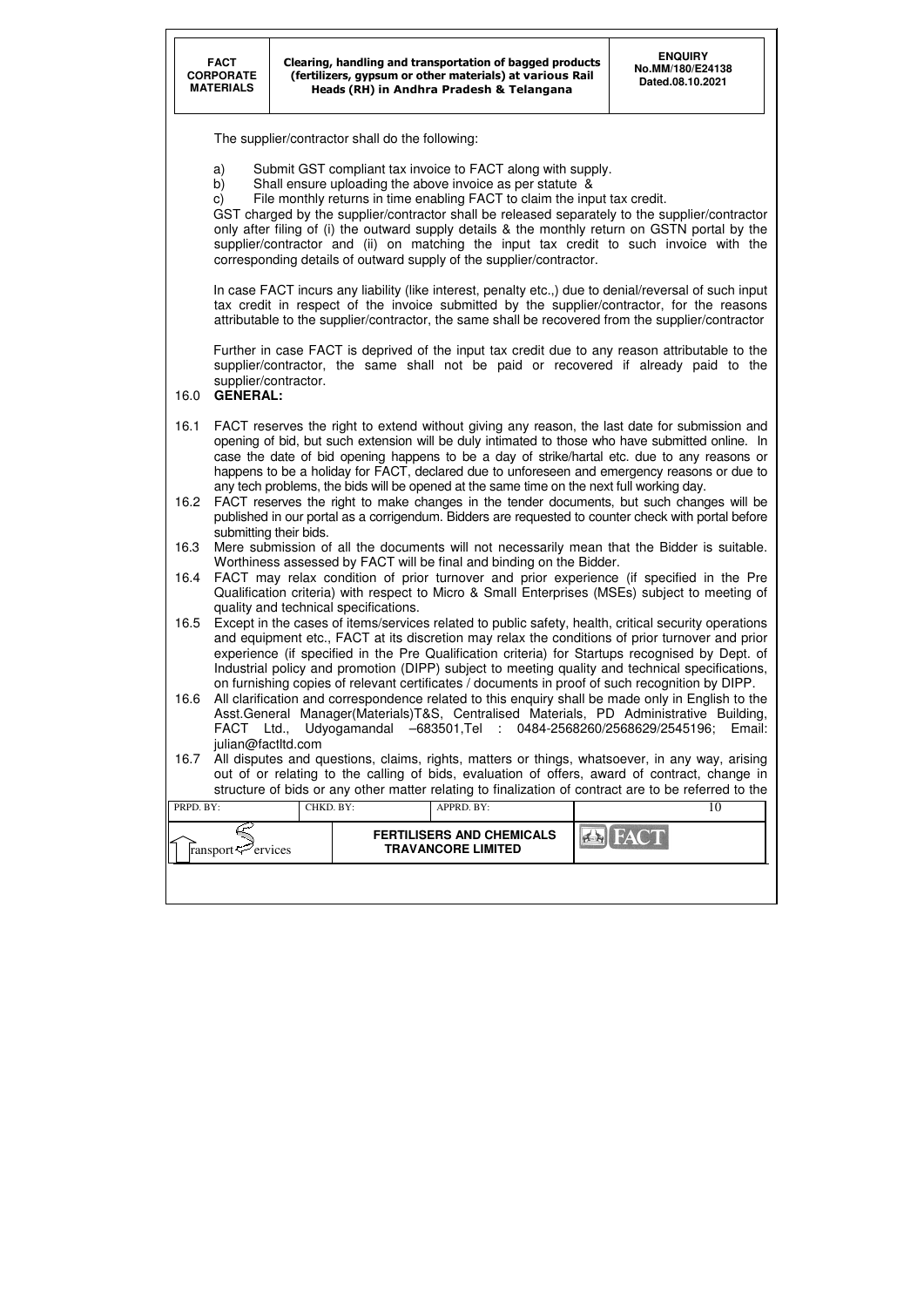| PRPD. BY:                      | CHKD. BY: | APPRD. BY:                                                    |             |  |
|--------------------------------|-----------|---------------------------------------------------------------|-------------|--|
| ransport $\mathcal{P}$ ervices |           | <b>FERTILISERS AND CHEMICALS</b><br><b>TRAVANCORE LIMITED</b> | <b>FACT</b> |  |
|                                |           |                                                               |             |  |

The supplier/contractor shall do the following:

- a) Submit GST compliant tax invoice to FACT along with supply.
- b) Shall ensure uploading the above invoice as per statute &
- c) File monthly returns in time enabling FACT to claim the input tax credit.

GST charged by the supplier/contractor shall be released separately to the supplier/contractor only after filing of (i) the outward supply details & the monthly return on GSTN portal by the supplier/contractor and (ii) on matching the input tax credit to such invoice with the corresponding details of outward supply of the supplier/contractor.

In case FACT incurs any liability (like interest, penalty etc.,) due to denial/reversal of such input tax credit in respect of the invoice submitted by the supplier/contractor, for the reasons attributable to the supplier/contractor, the same shall be recovered from the supplier/contractor

Further in case FACT is deprived of the input tax credit due to any reason attributable to the supplier/contractor, the same shall not be paid or recovered if already paid to the supplier/contractor.

# 16.0 **GENERAL:**

- 16.1 FACT reserves the right to extend without giving any reason, the last date for submission and opening of bid, but such extension will be duly intimated to those who have submitted online. In case the date of bid opening happens to be a day of strike/hartal etc. due to any reasons or happens to be a holiday for FACT, declared due to unforeseen and emergency reasons or due to any tech problems, the bids will be opened at the same time on the next full working day.
- 16.2 FACT reserves the right to make changes in the tender documents, but such changes will be published in our portal as a corrigendum. Bidders are requested to counter check with portal before submitting their bids.
- 16.3 Mere submission of all the documents will not necessarily mean that the Bidder is suitable. Worthiness assessed by FACT will be final and binding on the Bidder.
- 16.4 FACT may relax condition of prior turnover and prior experience (if specified in the Pre Qualification criteria) with respect to Micro & Small Enterprises (MSEs) subject to meeting of quality and technical specifications.
- 16.5 Except in the cases of items/services related to public safety, health, critical security operations and equipment etc., FACT at its discretion may relax the conditions of prior turnover and prior experience (if specified in the Pre Qualification criteria) for Startups recognised by Dept. of Industrial policy and promotion (DIPP) subject to meeting quality and technical specifications, on furnishing copies of relevant certificates / documents in proof of such recognition by DIPP.
- 16.6 All clarification and correspondence related to this enquiry shall be made only in English to the Asst.General Manager(Materials)T&S, Centralised Materials, PD Administrative Building, FACT Ltd., Udyogamandal –683501,Tel : 0484-2568260/2568629/2545196; Email: julian@factltd.com
- 16.7 All disputes and questions, claims, rights, matters or things, whatsoever, in any way, arising out of or relating to the calling of bids, evaluation of offers, award of contract, change in structure of bids or any other matter relating to finalization of contract are to be referred to the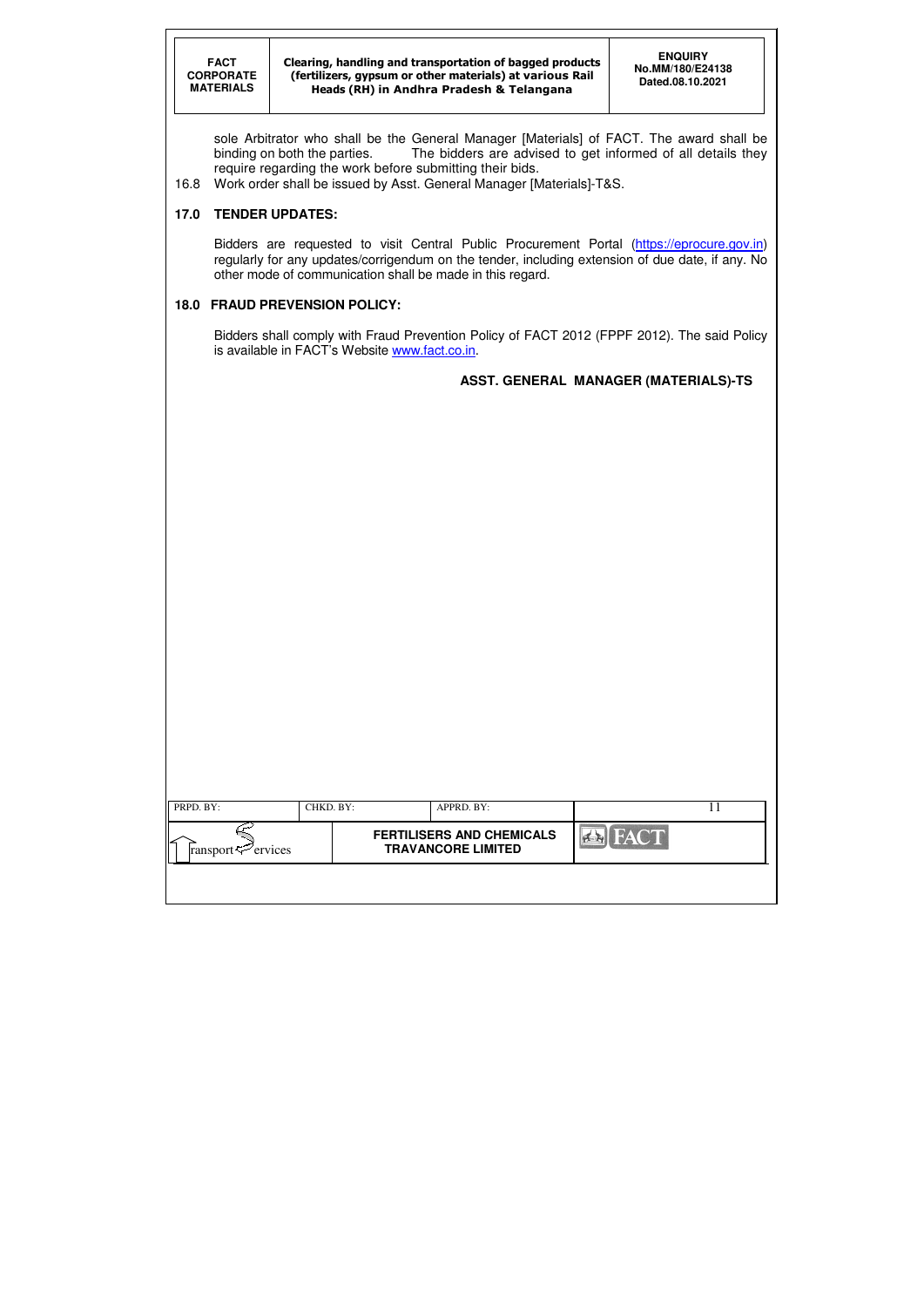Clearing, handling and transportation of bagged products (fertilizers, gypsum or other materials) at various Rail Heads (RH) in Andhra Pradesh & Telangana

sole Arbitrator who shall be the General Manager [Materials] of FACT. The award shall be binding on both the parties. The bidders are advised to get informed of all details they require regarding the work before submitting their bids.

Bidders are requested to visit Central Public Procurement Portal (https://eprocure.gov.in) regularly for any updates/corrigendum on the tender, including extension of due date, if any. No other mode of communication shall be made in this regard.

Bidders shall comply with Fraud Prevention Policy of FACT 2012 (FPPF 2012). The said Policy is available in FACT's Website www.fact.co.in.

16.8 Work order shall be issued by Asst. General Manager [Materials]-T&S.

# **17.0 TENDER UPDATES:**

# **18.0 FRAUD PREVENSION POLICY:**

# **ASST. GENERAL MANAGER (MATERIALS)-TS**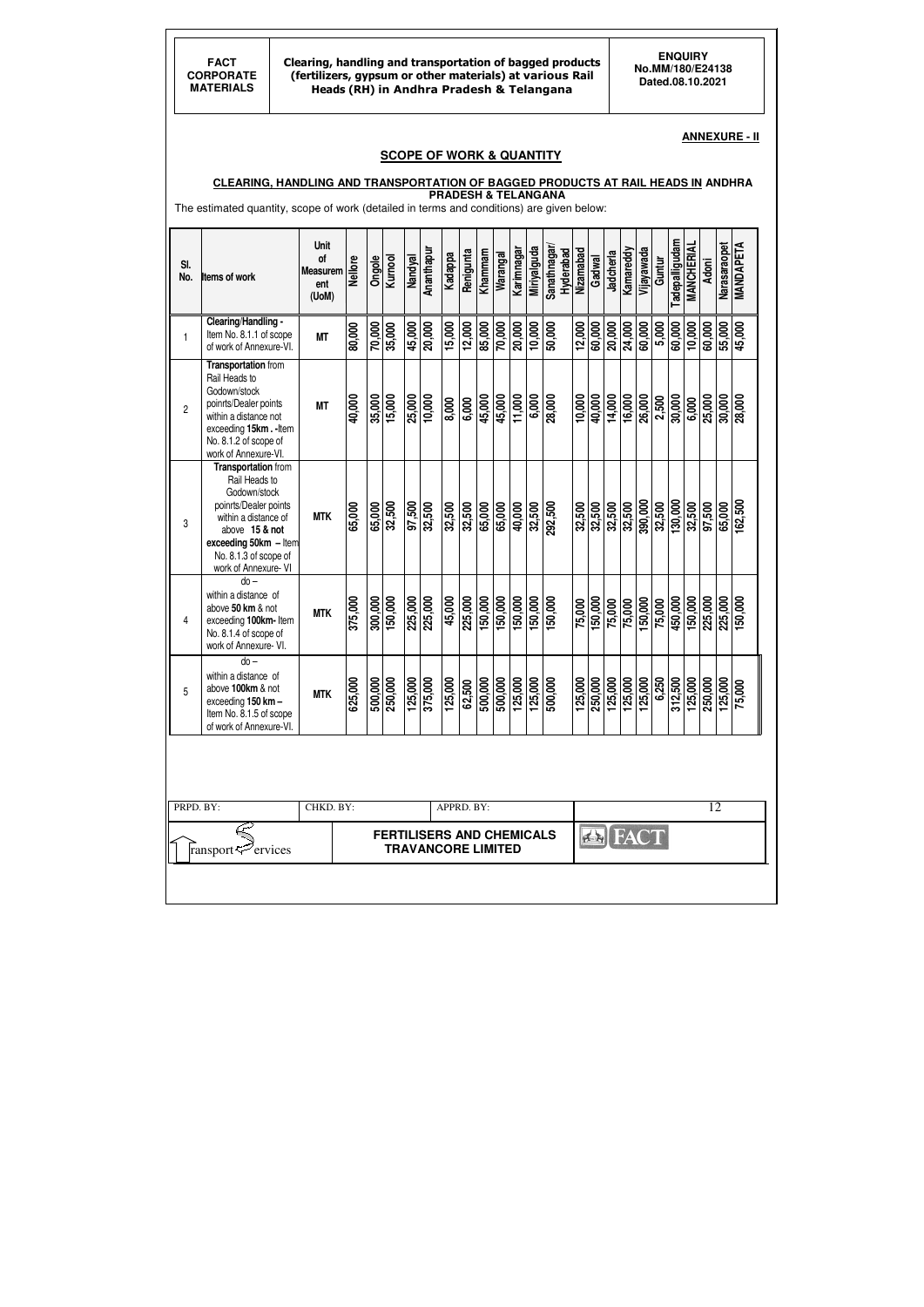Clearing, handling and transportation of bagged products (fertilizers, gypsum or other materials) at various Rail Heads (RH) in Andhra Pradesh & Telangana

### **ANNEXURE - II**

### **SCOPE OF WORK & QUANTITY**

#### **CLEARING, HANDLING AND TRANSPORTATION OF BAGGED PRODUCTS AT RAIL HEADS IN ANDHRA PRADESH & TELANGANA**

The estimated quantity, scope of work (detailed in terms and conditions) are given below:

| SI.<br>No.     | <b>Items of work</b>                                                                                                                                                                                     | Unit<br>of<br><b>Measurem</b><br>ent<br>(UoM) | <b>Nellore</b> | Ongole  | Kurnool | Nandyal | Ananthapur                                                    | Kadappa    | Renigunta | Khammam | Warangal | Karimnagar | <b>Miriyalguda</b> | Sanathnagar/<br>Hyderabad | Nizamabad | Gadwal              | Jadcherla | Kamareddy | Vijayawada  | Guntur | <b>Tadepalligudam</b> | <b>MANCHERIAL</b> | <b>Adoni</b> | Narasaraopet | <b>MANDAPETA</b> |
|----------------|----------------------------------------------------------------------------------------------------------------------------------------------------------------------------------------------------------|-----------------------------------------------|----------------|---------|---------|---------|---------------------------------------------------------------|------------|-----------|---------|----------|------------|--------------------|---------------------------|-----------|---------------------|-----------|-----------|-------------|--------|-----------------------|-------------------|--------------|--------------|------------------|
| 1              | Clearing/Handling -<br>Item No. 8.1.1 of scope<br>of work of Annexure-VI.                                                                                                                                | <b>MT</b>                                     | 80,000         | 70,000  | 35,000  | 45,000  | 20,000                                                        | 15,000     | 12,000    | 85,000  | 70,000   | 20,000     | 10,000             | 50,000                    | 12,000    | 60,000              | 20,000    | 24,000    | 60,000      | 5,000  | 60,000                | 10,000            | 60,000       | 55,000       | 45,000           |
| $\overline{c}$ | <b>Transportation from</b><br>Rail Heads to<br>Godown/stock<br>poinrts/Dealer points<br>within a distance not<br>exceeding 15km.-Item<br>No. 8.1.2 of scope of<br>work of Annexure-VI.                   | <b>MT</b>                                     | 40,000         | 35,000  | 15,000  | 25,000  | 10,000                                                        | 8,000      | 6,000     | 45,000  | 45,000   | 11,000     | 6,000              | 28,000                    | 10,000    | $40,\overline{000}$ | 14,000    | 16,000    | 26,000      | 2,500  | 30,000                | 6,000             | 25,000       | 30,000       | 28,000           |
| 3              | <b>Transportation</b> from<br>Rail Heads to<br>Godown/stock<br>poinrts/Dealer points<br>within a distance of<br>above 15 & not<br>exceeding 50km - Item<br>No. 8.1.3 of scope of<br>work of Annexure- VI | <b>MTK</b>                                    | 65,000         | 65,000  | 32,500  | 005'26  | 32,500                                                        | 32,500     | 32,500    | 65,000  | 65,000   | 40,000     | 32,500             | 292,500                   | 32,500    | 32,500              | 32,500    | 32,500    | 390,000     | 32,500 | 130,000               | 32,500            | 005'26       | 65,000       | 162,500          |
| 4              | $do -$<br>within a distance of<br>above 50 km & not<br>exceeding 100km- Item<br>No. 8.1.4 of scope of<br>work of Annexure- VI.                                                                           | <b>MTK</b>                                    | 375,000        | 300,000 | 150,000 | 225,000 | 225,000                                                       | 45,000     | 225,000   | 150,000 | 150,000  | 150,000    | 150,000            | 150,000                   | 75,000    | 150,000             | 75,000    | 75,000    | 150,000     | 75,000 | 450,000               | 150,000           | 225,000      | 225,000      | 150,000          |
| 5              | $do -$<br>within a distance of<br>above 100km & not<br>exceeding 150 km-<br>Item No. 8.1.5 of scope<br>of work of Annexure-VI.                                                                           | <b>MTK</b>                                    | 625,000        | 500,000 | 250,000 | 125,000 | 375,000                                                       | 125,000    | 62,500    | 500,000 | 500,000  | 125,000    | 125,000            | 500,000                   | 125,000   | 250,000             | 125,000   | 125,000   | 125,000     | 6,250  | 312,500               | 125,000           | 250,000      | 125,000      | 75,000           |
|                |                                                                                                                                                                                                          |                                               |                |         |         |         |                                                               |            |           |         |          |            |                    |                           |           |                     |           |           |             |        |                       |                   |              |              |                  |
| PRPD. BY:      |                                                                                                                                                                                                          | CHKD. BY:                                     |                |         |         |         |                                                               | APPRD. BY: |           |         |          |            |                    |                           |           |                     |           |           |             |        |                       |                   | 12           |              |                  |
|                | ransport $\overline{\nabla}$<br>$\mathcal{P}$ ervices                                                                                                                                                    |                                               |                |         |         |         | <b>FERTILISERS AND CHEMICALS</b><br><b>TRAVANCORE LIMITED</b> |            |           |         |          |            |                    |                           |           |                     |           |           | <b>FACT</b> |        |                       |                   |              |              |                  |
|                |                                                                                                                                                                                                          |                                               |                |         |         |         |                                                               |            |           |         |          |            |                    |                           |           |                     |           |           |             |        |                       |                   |              |              |                  |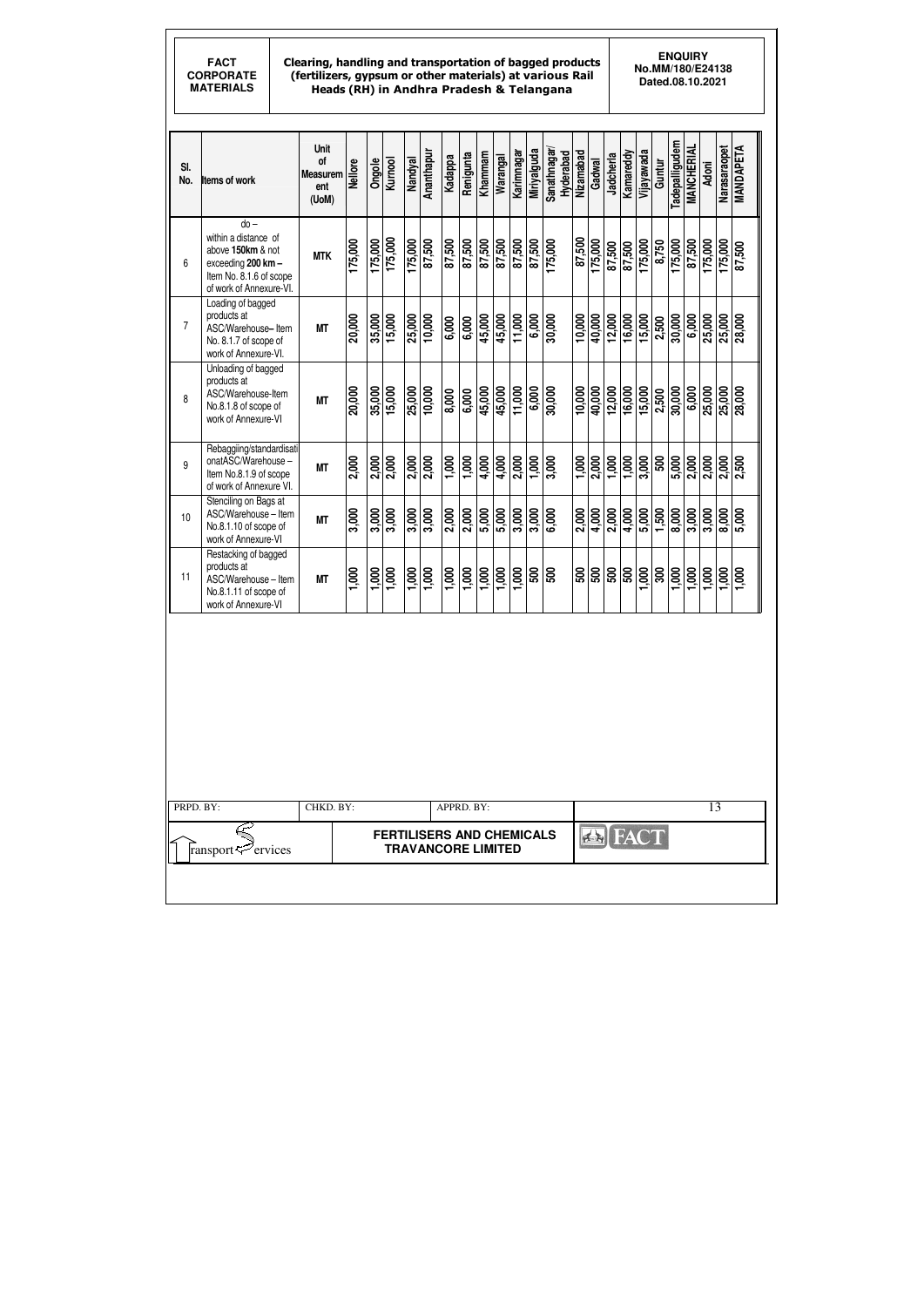#### Clearing, handling and transportation of bagged products (fertilizers, gypsum or other materials) at various Rail Heads (RH) in Andhra Pradesh & Telangana

**ENQUIRY No.MM/180/E24138 Dated.08.10.2021** 

| SI.<br>No.     | <b>Items of work</b>                                                                                                            | <b>Unit</b><br>of<br><b>Measurem</b><br>ent<br>(UoM) | <b>Nellore</b> | Ongole  | <b>Kurnool</b>                                                | Nandyal | Ananthapur           | Kadappa           | Renigunta          | Khammam | Warangal | <u>Karimnagar</u> | Miriyalguda          | Sanathnagar/      | Hyderabad | Nizamabad | Gadwal     | Jadcherla  | Kamareddy | Vijayawada  | Guntur | <b>radepalligudem</b> | <b>MANCHERIAL</b> | <b>Adoni</b> | Narasaraopet       | MANDAPETA |
|----------------|---------------------------------------------------------------------------------------------------------------------------------|------------------------------------------------------|----------------|---------|---------------------------------------------------------------|---------|----------------------|-------------------|--------------------|---------|----------|-------------------|----------------------|-------------------|-----------|-----------|------------|------------|-----------|-------------|--------|-----------------------|-------------------|--------------|--------------------|-----------|
| 6              | $do -$<br>within a distance of<br>above 150km & not<br>exceeding 200 km -<br>Item No. 8.1.6 of scope<br>of work of Annexure-VI. | <b>MTK</b>                                           | 175,000        | 175,000 | 175,000                                                       | 175,000 | 87,500               | 87,500            | 87,500             | 87,500  | 87,500   | 87,500            | 87,500               | 175,000           |           | 87,500    | 175,000    | 87,500     | 87,500    | 175,000     | 8,750  | 175,000               | 87,500            | 175,000      | 175,000            | 87,500    |
| $\overline{7}$ | Loading of bagged<br>products at<br>ASC/Warehouse-Item<br>No. 8.1.7 of scope of<br>work of Annexure-VI.                         | <b>MT</b>                                            | 20,000         | 35,000  | 15,000                                                        | 25,000  | 10,000               | 6,000             | $\frac{1}{6,000}$  | 45,000  | 45,000   | 11,000            | $\frac{1}{6}$ ,000   | 30,000            |           | 10,000    | 40,000     | 12,000     | 16,000    | 15,000      | 2,500  | 30,000                | 6,000             | 25,000       | 25,000             | 28,000    |
| 8              | Unloading of bagged<br>products at<br>ASC/Warehouse-Item<br>No.8.1.8 of scope of<br>work of Annexure-VI                         | <b>MT</b>                                            | 20,000         | 35,000  | 15,000                                                        | 25,000  | $\frac{10,000}{\pi}$ | 8,000             | $\frac{1}{6}$ ,000 | 45,000  | 45,000   | 11,000            | 6,000                | 30,000            |           | 10,000    | 40,000     | 12,000     | 16,000    | 15,000      | 2,500  | 30,000                | 6,000             | 25,000       | 25,000             | 28,000    |
| 9              | Rebaggiing/standardisati<br>onatASC/Warehouse-<br>Item No.8.1.9 of scope<br>of work of Annexure VI.                             | <b>MT</b>                                            | 2,000          | 2,000   | 2,000                                                         | 2,000   | 2,000                | $\frac{1}{1,000}$ | 1,000              | 4,000   | 4,000    | 2,000             | 1,000                | 3,000             |           | 1,000     | 2,000      | 1,000      | 1,000     | 3,000       | 500    | 5,000                 | 2,000             | 2,000        | 2,000              | 2,500     |
| 10             | Stenciling on Bags at<br>ASC/Warehouse - Item<br>No.8.1.10 of scope of<br>work of Annexure-VI                                   | <b>MT</b>                                            | 3,000          | 3,000   | 3,000                                                         | 3,000   | 3,000                | $\frac{2,000}{2}$ | 2,000              | 5,000   | 5,000    | 3,000             | $\frac{1}{3,000}$    | $\frac{1}{6,000}$ |           | 2,000     | 4,000      | 2,000      | 4,000     | 5,000       | 1,500  | 8,000                 | 3,000             | 3,000        | $\frac{1}{8}$ ,000 | 5,000     |
| 11             | Restacking of bagged<br>products at<br>ASC/Warehouse - Item<br>No.8.1.11 of scope of<br>work of Annexure-VI                     | <b>MT</b>                                            | 1,000          | 1,000   | 1,000                                                         | 1,000   | 1,000                | 1,000             | 1,000              | 1,000   | 1,000    | 1,000             | <u>ន្ត្រីន</u> ្ត្រី |                   |           | 500       | <b>OOS</b> | <b>OOS</b> | 500       | 000         | 300    | 1,000                 | 1,000             | 1,000        | 1,000              | 1,000     |
|                |                                                                                                                                 |                                                      |                |         |                                                               |         |                      |                   |                    |         |          |                   |                      |                   |           |           |            |            |           |             |        |                       |                   |              |                    |           |
| PRPD. BY:      |                                                                                                                                 | CHKD. BY:                                            |                |         |                                                               |         |                      | APPRD. BY:        |                    |         |          |                   |                      |                   |           |           |            |            |           |             |        |                       |                   | 13           |                    |           |
|                | ervices<br>ransport                                                                                                             |                                                      |                |         | <b>FERTILISERS AND CHEMICALS</b><br><b>TRAVANCORE LIMITED</b> |         |                      |                   |                    |         |          |                   |                      |                   |           |           |            |            |           | <b>FACT</b> |        |                       |                   |              |                    |           |
|                |                                                                                                                                 |                                                      |                |         |                                                               |         |                      |                   |                    |         |          |                   |                      |                   |           |           |            |            |           |             |        |                       |                   |              |                    |           |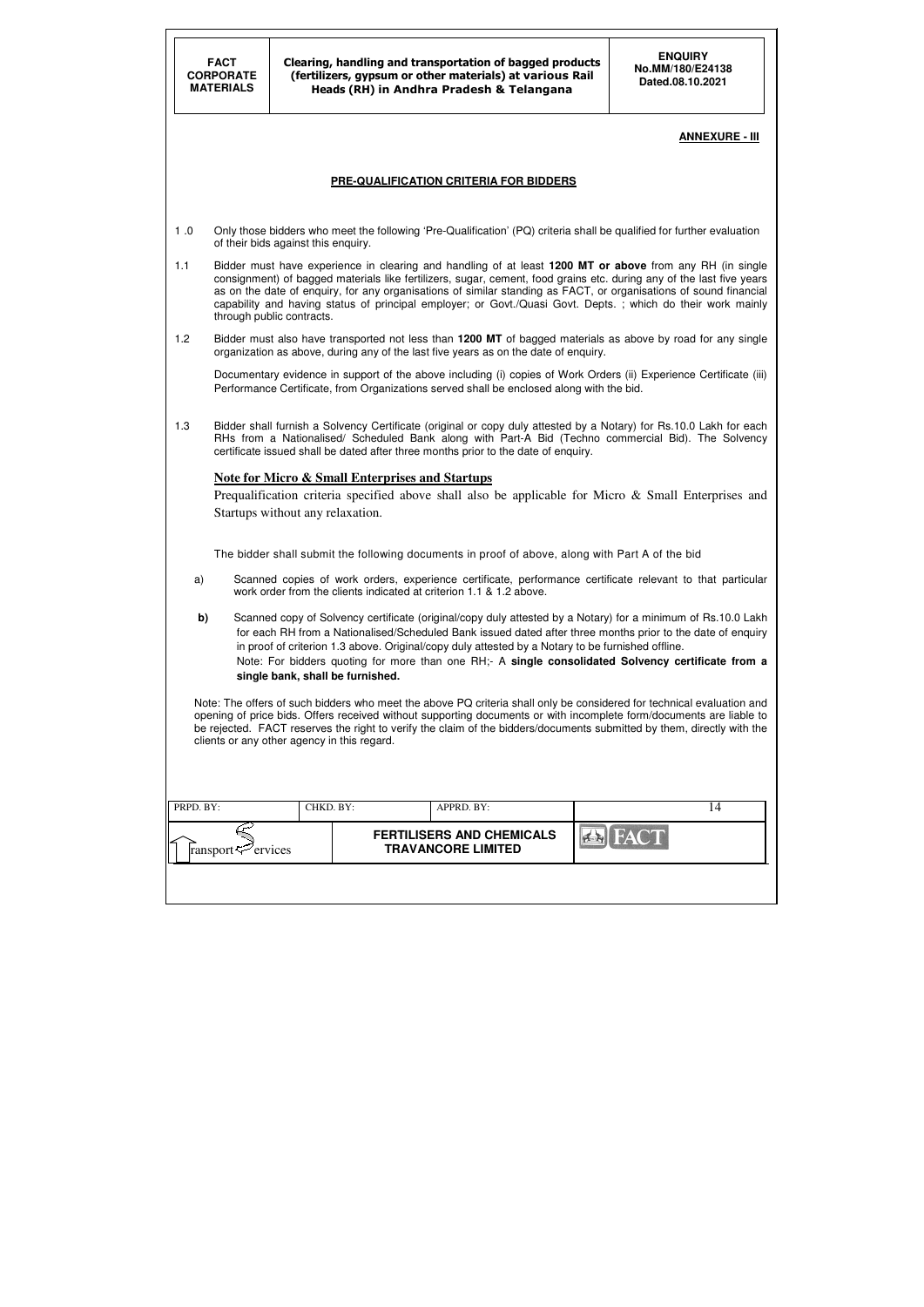|           | <b>FACT</b>                   | Clearing, handling and transportation of bagged products<br><b>CORPORATE</b><br>(fertilizers, gypsum or other materials) at various Rail<br><b>MATERIALS</b><br>Heads (RH) in Andhra Pradesh & Telangana |                                                                                                                                                                                                                                                                                                                                                                                                                                                                      |                       |  |  |  |  |  |
|-----------|-------------------------------|----------------------------------------------------------------------------------------------------------------------------------------------------------------------------------------------------------|----------------------------------------------------------------------------------------------------------------------------------------------------------------------------------------------------------------------------------------------------------------------------------------------------------------------------------------------------------------------------------------------------------------------------------------------------------------------|-----------------------|--|--|--|--|--|
|           |                               |                                                                                                                                                                                                          |                                                                                                                                                                                                                                                                                                                                                                                                                                                                      | <b>ANNEXURE - III</b> |  |  |  |  |  |
|           |                               |                                                                                                                                                                                                          | PRE-QUALIFICATION CRITERIA FOR BIDDERS                                                                                                                                                                                                                                                                                                                                                                                                                               |                       |  |  |  |  |  |
| 1.0       |                               | of their bids against this enquiry.                                                                                                                                                                      | Only those bidders who meet the following 'Pre-Qualification' (PQ) criteria shall be qualified for further evaluation                                                                                                                                                                                                                                                                                                                                                |                       |  |  |  |  |  |
| 1.1       |                               | through public contracts.                                                                                                                                                                                | Bidder must have experience in clearing and handling of at least 1200 MT or above from any RH (in single<br>consignment) of bagged materials like fertilizers, sugar, cement, food grains etc. during any of the last five years<br>as on the date of enquiry, for any organisations of similar standing as FACT, or organisations of sound financial<br>capability and having status of principal employer; or Govt./Quasi Govt. Depts.; which do their work mainly |                       |  |  |  |  |  |
| 1.2       |                               |                                                                                                                                                                                                          | Bidder must also have transported not less than 1200 MT of bagged materials as above by road for any single<br>organization as above, during any of the last five years as on the date of enquiry.                                                                                                                                                                                                                                                                   |                       |  |  |  |  |  |
|           |                               |                                                                                                                                                                                                          | Documentary evidence in support of the above including (i) copies of Work Orders (ii) Experience Certificate (iii)<br>Performance Certificate, from Organizations served shall be enclosed along with the bid.                                                                                                                                                                                                                                                       |                       |  |  |  |  |  |
| 1.3       |                               |                                                                                                                                                                                                          | Bidder shall furnish a Solvency Certificate (original or copy duly attested by a Notary) for Rs.10.0 Lakh for each<br>RHs from a Nationalised/ Scheduled Bank along with Part-A Bid (Techno commercial Bid). The Solvency<br>certificate issued shall be dated after three months prior to the date of enquiry.                                                                                                                                                      |                       |  |  |  |  |  |
|           |                               | Startups without any relaxation.                                                                                                                                                                         | <b>Note for Micro &amp; Small Enterprises and Startups</b><br>Prequalification criteria specified above shall also be applicable for Micro & Small Enterprises and                                                                                                                                                                                                                                                                                                   |                       |  |  |  |  |  |
|           |                               |                                                                                                                                                                                                          | The bidder shall submit the following documents in proof of above, along with Part A of the bid                                                                                                                                                                                                                                                                                                                                                                      |                       |  |  |  |  |  |
| a)        |                               |                                                                                                                                                                                                          | Scanned copies of work orders, experience certificate, performance certificate relevant to that particular<br>work order from the clients indicated at criterion 1.1 & 1.2 above.                                                                                                                                                                                                                                                                                    |                       |  |  |  |  |  |
| b)        |                               | single bank, shall be furnished.                                                                                                                                                                         | Scanned copy of Solvency certificate (original/copy duly attested by a Notary) for a minimum of Rs.10.0 Lakh<br>for each RH from a Nationalised/Scheduled Bank issued dated after three months prior to the date of enquiry<br>in proof of criterion 1.3 above. Original/copy duly attested by a Notary to be furnished offline.<br>Note: For bidders quoting for more than one RH;- A single consolidated Solvency certificate from a                               |                       |  |  |  |  |  |
|           |                               | clients or any other agency in this regard.                                                                                                                                                              | Note: The offers of such bidders who meet the above PQ criteria shall only be considered for technical evaluation and<br>opening of price bids. Offers received without supporting documents or with incomplete form/documents are liable to<br>be rejected. FACT reserves the right to verify the claim of the bidders/documents submitted by them, directly with the                                                                                               |                       |  |  |  |  |  |
| PRPD. BY: |                               | CHKD. BY:                                                                                                                                                                                                | APPRD. BY:                                                                                                                                                                                                                                                                                                                                                                                                                                                           | 14                    |  |  |  |  |  |
|           | ransport <sup>2</sup> ervices |                                                                                                                                                                                                          | <b>FERTILISERS AND CHEMICALS</b><br><b>TRAVANCORE LIMITED</b>                                                                                                                                                                                                                                                                                                                                                                                                        |                       |  |  |  |  |  |
|           |                               |                                                                                                                                                                                                          |                                                                                                                                                                                                                                                                                                                                                                                                                                                                      |                       |  |  |  |  |  |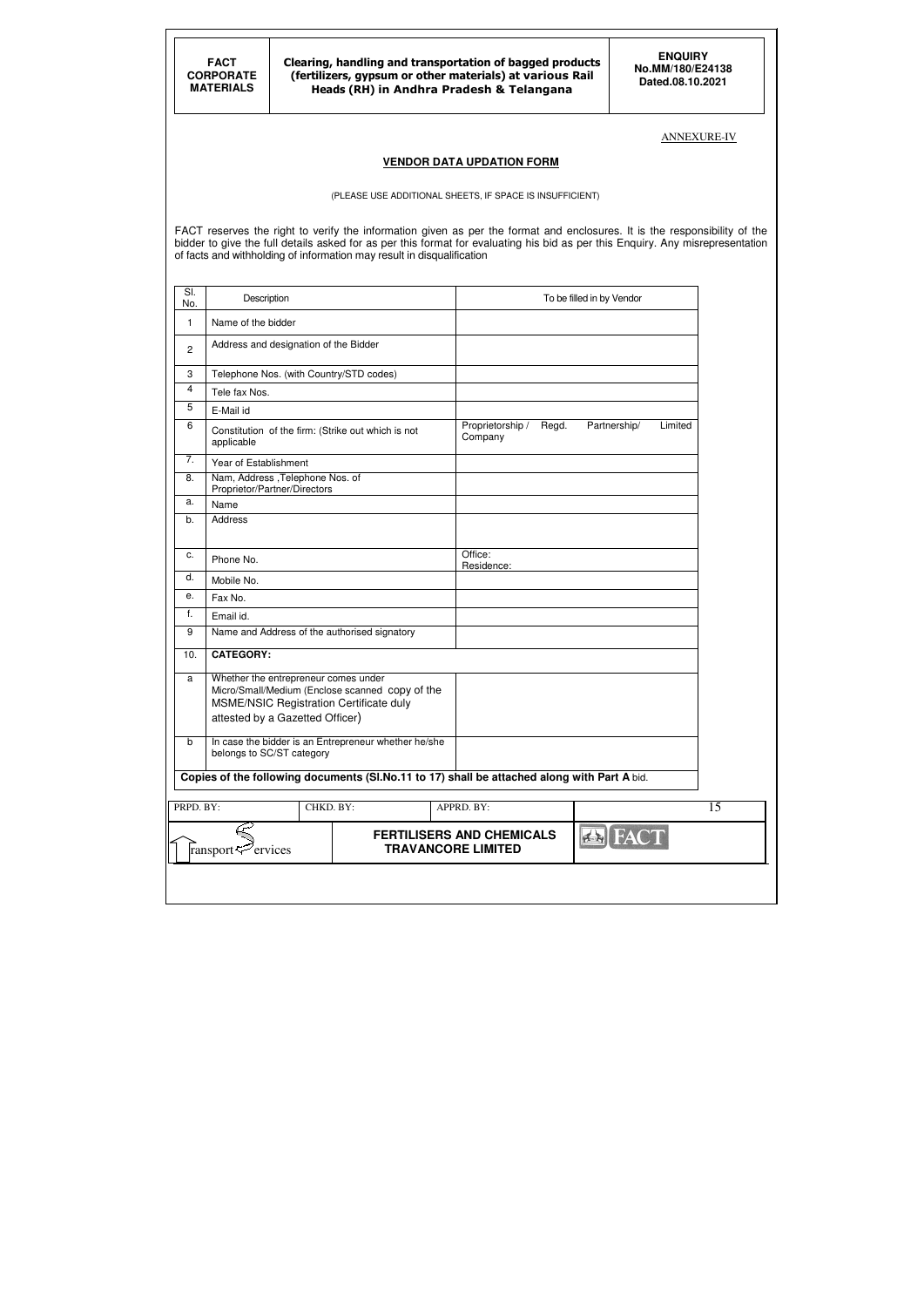#### ANNEXURE-IV

### **VENDOR DATA UPDATION FORM**

(PLEASE USE ADDITIONAL SHEETS, IF SPACE IS INSUFFICIENT)

FACT reserves the right to verify the information given as per the format and enclosures. It is the responsibility of the bidder to give the full details asked for as per this format for evaluating his bid as per this Enquiry. Any misrepresentation of facts and withholding of information may result in disqualification

| SI.<br>No.     | Description                                                                                                                                                           |           |                           |                                  |       | To be filled in by Vendor |         |
|----------------|-----------------------------------------------------------------------------------------------------------------------------------------------------------------------|-----------|---------------------------|----------------------------------|-------|---------------------------|---------|
| 1              | Name of the bidder                                                                                                                                                    |           |                           |                                  |       |                           |         |
| $\overline{c}$ | Address and designation of the Bidder                                                                                                                                 |           |                           |                                  |       |                           |         |
| 3              | Telephone Nos. (with Country/STD codes)                                                                                                                               |           |                           |                                  |       |                           |         |
| $\overline{4}$ | Tele fax Nos.                                                                                                                                                         |           |                           |                                  |       |                           |         |
| 5              | E-Mail id                                                                                                                                                             |           |                           |                                  |       |                           |         |
| 6              | Constitution of the firm: (Strike out which is not<br>applicable                                                                                                      |           |                           | Proprietorship /<br>Company      | Regd. | Partnership/              | Limited |
| 7.             | Year of Establishment                                                                                                                                                 |           |                           |                                  |       |                           |         |
| 8.             | Nam, Address , Telephone Nos. of<br>Proprietor/Partner/Directors                                                                                                      |           |                           |                                  |       |                           |         |
| a.             | Name                                                                                                                                                                  |           |                           |                                  |       |                           |         |
| b.             | Address                                                                                                                                                               |           |                           |                                  |       |                           |         |
| c.             | Phone No.                                                                                                                                                             |           |                           | Office:<br>Residence:            |       |                           |         |
| d.             | Mobile No.                                                                                                                                                            |           |                           |                                  |       |                           |         |
| е.             | Fax No.                                                                                                                                                               |           |                           |                                  |       |                           |         |
| f.             | Email id.                                                                                                                                                             |           |                           |                                  |       |                           |         |
| 9              | Name and Address of the authorised signatory                                                                                                                          |           |                           |                                  |       |                           |         |
| 10.            | <b>CATEGORY:</b>                                                                                                                                                      |           |                           |                                  |       |                           |         |
| a              | Whether the entrepreneur comes under<br>Micro/Small/Medium (Enclose scanned copy of the<br>MSME/NSIC Registration Certificate duly<br>attested by a Gazetted Officer) |           |                           |                                  |       |                           |         |
| b              | In case the bidder is an Entrepreneur whether he/she<br>belongs to SC/ST category                                                                                     |           |                           |                                  |       |                           |         |
|                | Copies of the following documents (SI.No.11 to 17) shall be attached along with Part A bid.                                                                           |           |                           |                                  |       |                           |         |
| PRPD. BY:      |                                                                                                                                                                       | CHKD. BY: |                           | APPRD. BY:                       |       |                           |         |
|                | ervices<br>ransport-                                                                                                                                                  |           | <b>TRAVANCORE LIMITED</b> | <b>FERTILISERS AND CHEMICALS</b> |       | <b>EN FACT</b>            |         |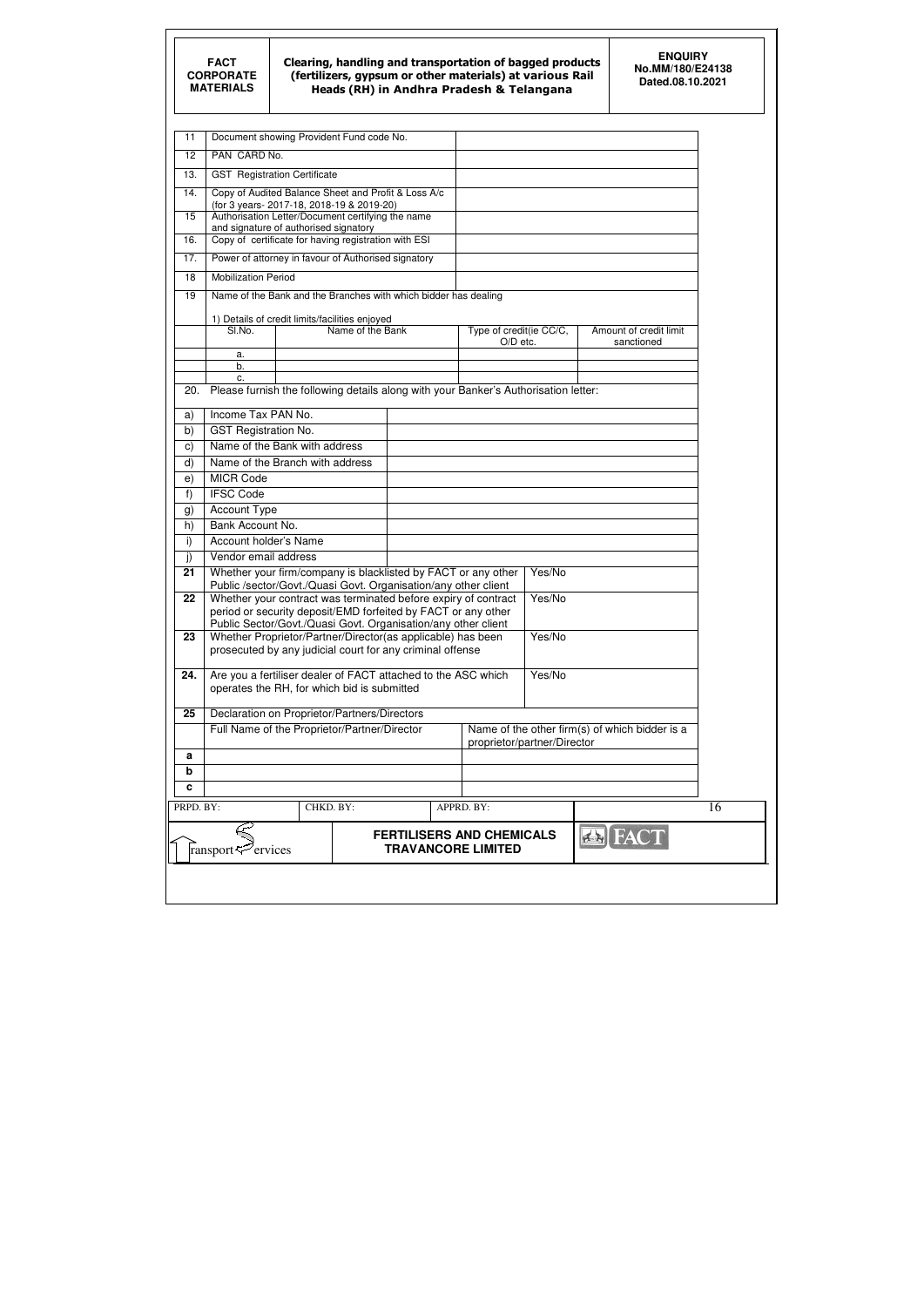#### Clearing, handling and transportation of bagged products (fertilizers, gypsum or other materials) at various Rail Heads (RH) in Andhra Pradesh & Telangana

| 11           |                                                          |           | Document showing Provident Fund code No.                                                                                        |                                  |        |                                                |
|--------------|----------------------------------------------------------|-----------|---------------------------------------------------------------------------------------------------------------------------------|----------------------------------|--------|------------------------------------------------|
| 12           | PAN CARD No.                                             |           |                                                                                                                                 |                                  |        |                                                |
| 13.          | <b>GST</b> Registration Certificate                      |           |                                                                                                                                 |                                  |        |                                                |
| 14.          |                                                          |           | Copy of Audited Balance Sheet and Profit & Loss A/c                                                                             |                                  |        |                                                |
| 15           | (for 3 years-2017-18, 2018-19 & 2019-20)                 |           | Authorisation Letter/Document certifying the name                                                                               |                                  |        |                                                |
|              | and signature of authorised signatory                    |           |                                                                                                                                 |                                  |        |                                                |
| 16.          |                                                          |           | Copy of certificate for having registration with ESI                                                                            |                                  |        |                                                |
| 17.          |                                                          |           | Power of attorney in favour of Authorised signatory                                                                             |                                  |        |                                                |
| 18           | <b>Mobilization Period</b>                               |           |                                                                                                                                 |                                  |        |                                                |
| 19           |                                                          |           | Name of the Bank and the Branches with which bidder has dealing                                                                 |                                  |        |                                                |
|              | 1) Details of credit limits/facilities enjoyed<br>SI.No. |           | Name of the Bank                                                                                                                | Type of credit(ie CC/C,          |        | Amount of credit limit                         |
|              |                                                          |           |                                                                                                                                 | $O/D$ etc.                       |        | sanctioned                                     |
|              | а.                                                       |           |                                                                                                                                 |                                  |        |                                                |
|              | b.<br>c.                                                 |           |                                                                                                                                 |                                  |        |                                                |
| 20.          |                                                          |           | Please furnish the following details along with your Banker's Authorisation letter:                                             |                                  |        |                                                |
| a)           | Income Tax PAN No.                                       |           |                                                                                                                                 |                                  |        |                                                |
| b)           | <b>GST Registration No.</b>                              |           |                                                                                                                                 |                                  |        |                                                |
| $\mathbf{C}$ | Name of the Bank with address                            |           |                                                                                                                                 |                                  |        |                                                |
| d)           | Name of the Branch with address                          |           |                                                                                                                                 |                                  |        |                                                |
| e)           | <b>MICR Code</b>                                         |           |                                                                                                                                 |                                  |        |                                                |
| f)           | <b>IFSC Code</b>                                         |           |                                                                                                                                 |                                  |        |                                                |
| g)           | <b>Account Type</b>                                      |           |                                                                                                                                 |                                  |        |                                                |
| h)           | Bank Account No.                                         |           |                                                                                                                                 |                                  |        |                                                |
| i)           | Account holder's Name                                    |           |                                                                                                                                 |                                  |        |                                                |
| j)           | Vendor email address                                     |           |                                                                                                                                 |                                  |        |                                                |
| 21           |                                                          |           | Whether your firm/company is blacklisted by FACT or any other<br>Public /sector/Govt./Quasi Govt. Organisation/any other client |                                  | Yes/No |                                                |
| 22           |                                                          |           | Whether your contract was terminated before expiry of contract<br>period or security deposit/EMD forfeited by FACT or any other |                                  | Yes/No |                                                |
|              |                                                          |           | Public Sector/Govt./Quasi Govt. Organisation/any other client                                                                   |                                  |        |                                                |
| 23           |                                                          |           | Whether Proprietor/Partner/Director(as applicable) has been<br>prosecuted by any judicial court for any criminal offense        |                                  | Yes/No |                                                |
| 24.          |                                                          |           | Are you a fertiliser dealer of FACT attached to the ASC which<br>operates the RH, for which bid is submitted                    |                                  | Yes/No |                                                |
| 25           |                                                          |           | Declaration on Proprietor/Partners/Directors                                                                                    |                                  |        |                                                |
|              |                                                          |           | Full Name of the Proprietor/Partner/Director                                                                                    | proprietor/partner/Director      |        | Name of the other firm(s) of which bidder is a |
| a            |                                                          |           |                                                                                                                                 |                                  |        |                                                |
| b            |                                                          |           |                                                                                                                                 |                                  |        |                                                |
| c            |                                                          |           |                                                                                                                                 |                                  |        |                                                |
| PRPD. BY:    |                                                          | CHKD. BY: |                                                                                                                                 | APPRD. BY:                       |        |                                                |
|              |                                                          |           |                                                                                                                                 |                                  |        |                                                |
|              |                                                          |           |                                                                                                                                 | <b>FERTILISERS AND CHEMICALS</b> |        | <b>EN FACT</b>                                 |
|              | $\mathcal{P}$ ervices<br>ransport                        |           |                                                                                                                                 | <b>TRAVANCORE LIMITED</b>        |        |                                                |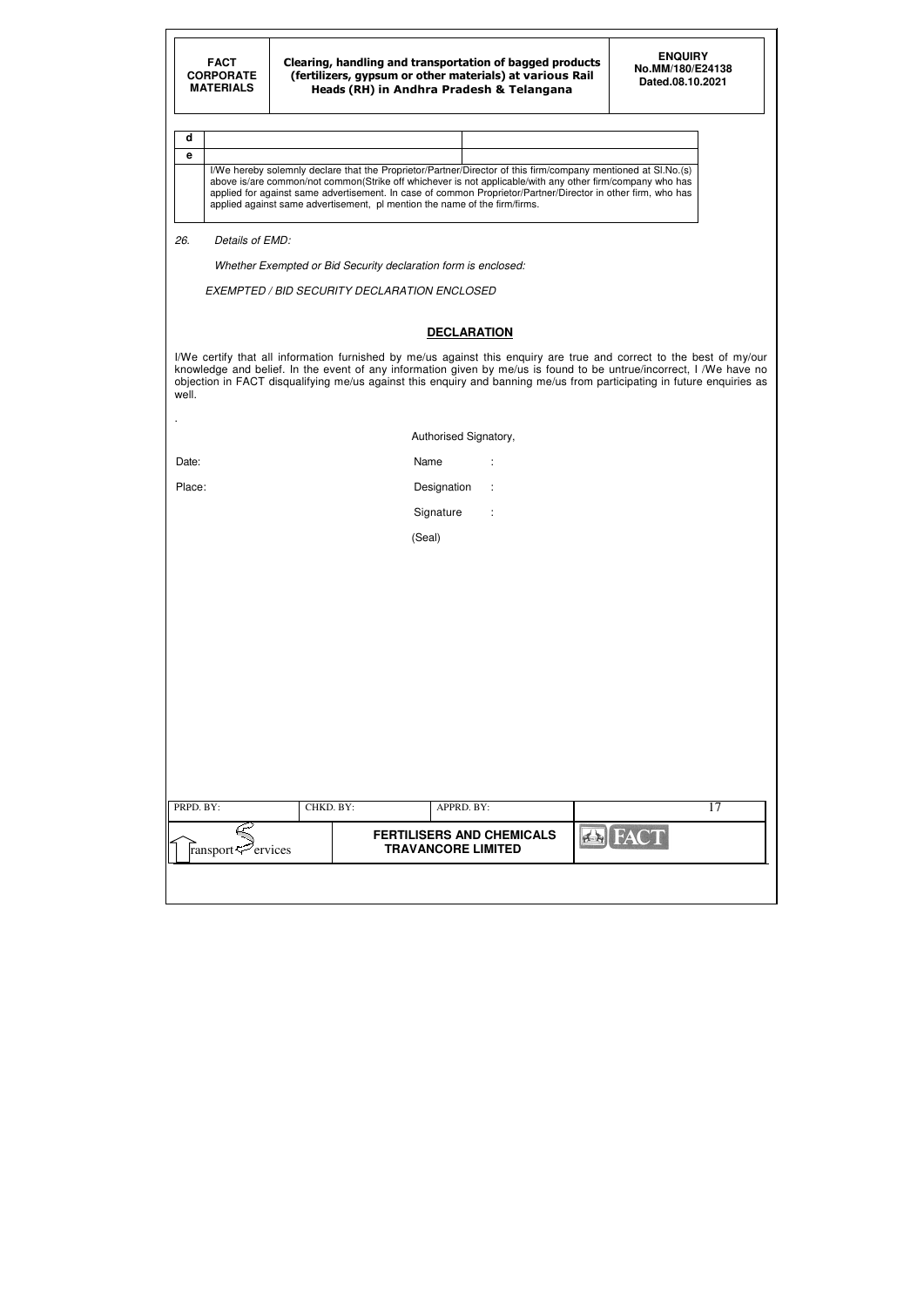**d e**

I/We hereby solemnly declare that the Proprietor/Partner/Director of this firm/company mentioned at Sl.No.(s) above is/are common/not common(Strike off whichever is not applicable/with any other firm/company who has applied for against same advertisement. In case of common Proprietor/Partner/Director in other firm, who has applied against same advertisement, pl mention the name of the firm/firms.

| $\blacksquare$                        |           |                                                               |                      |                |    |
|---------------------------------------|-----------|---------------------------------------------------------------|----------------------|----------------|----|
|                                       |           | Authorised Signatory,                                         |                      |                |    |
| Date:                                 |           | Name                                                          | $\ddot{\phantom{a}}$ |                |    |
| Place:                                |           | Designation                                                   | $\ddot{\phantom{a}}$ |                |    |
|                                       |           | Signature                                                     | $\ddot{\phantom{a}}$ |                |    |
|                                       |           | (Seal)                                                        |                      |                |    |
|                                       |           |                                                               |                      |                |    |
|                                       |           |                                                               |                      |                |    |
|                                       |           |                                                               |                      |                |    |
|                                       |           |                                                               |                      |                |    |
|                                       |           |                                                               |                      |                |    |
|                                       |           |                                                               |                      |                |    |
|                                       |           |                                                               |                      |                |    |
|                                       |           |                                                               |                      |                |    |
|                                       |           |                                                               |                      |                |    |
|                                       |           |                                                               |                      |                |    |
| PRPD. BY:                             | CHKD. BY: | APPRD. BY:                                                    |                      |                | 17 |
| ransport < <a> <sub>c</sub>rvices</a> |           | <b>FERTILISERS AND CHEMICALS</b><br><b>TRAVANCORE LIMITED</b> |                      | <b>EN FACT</b> |    |
|                                       |           |                                                               |                      |                |    |

#### 26. Details of EMD:

Whether Exempted or Bid Security declaration form is enclosed:

EXEMPTED / BID SECURITY DECLARATION ENCLOSED

### **DECLARATION**

I/We certify that all information furnished by me/us against this enquiry are true and correct to the best of my/our knowledge and belief. In the event of any information given by me/us is found to be untrue/incorrect, I /We have no objection in FACT disqualifying me/us against this enquiry and banning me/us from participating in future enquiries as well.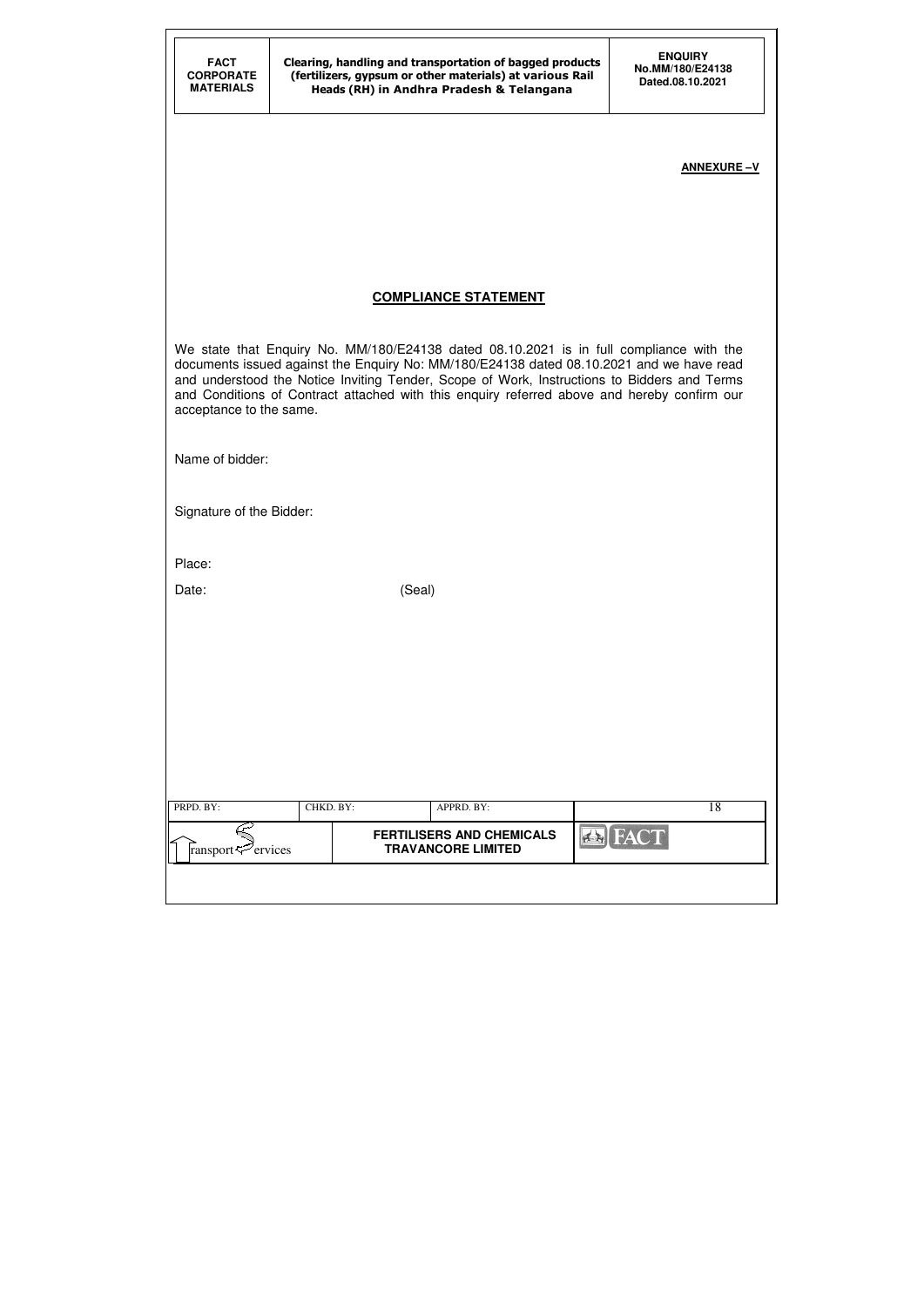| <b>CORPORATE</b><br><b>MATERIALS</b> |           | Clearing, handling and transportation of bagged products<br>(fertilizers, gypsum or other materials) at various Rail<br>Heads (RH) in Andhra Pradesh & Telangana                                                                                                                                                                                                                  | <b>ENQUIRY</b><br>No.MM/180/E24138<br>Dated.08.10.2021 |
|--------------------------------------|-----------|-----------------------------------------------------------------------------------------------------------------------------------------------------------------------------------------------------------------------------------------------------------------------------------------------------------------------------------------------------------------------------------|--------------------------------------------------------|
|                                      |           |                                                                                                                                                                                                                                                                                                                                                                                   | <b>ANNEXURE-V</b>                                      |
|                                      |           | <b>COMPLIANCE STATEMENT</b>                                                                                                                                                                                                                                                                                                                                                       |                                                        |
| acceptance to the same.              |           | We state that Enquiry No. MM/180/E24138 dated 08.10.2021 is in full compliance with the<br>documents issued against the Enquiry No: MM/180/E24138 dated 08.10.2021 and we have read<br>and understood the Notice Inviting Tender, Scope of Work, Instructions to Bidders and Terms<br>and Conditions of Contract attached with this enquiry referred above and hereby confirm our |                                                        |
| Name of bidder:                      |           |                                                                                                                                                                                                                                                                                                                                                                                   |                                                        |
| Signature of the Bidder:             |           |                                                                                                                                                                                                                                                                                                                                                                                   |                                                        |
| Place:                               |           |                                                                                                                                                                                                                                                                                                                                                                                   |                                                        |
| Date:                                |           | (Seal)                                                                                                                                                                                                                                                                                                                                                                            |                                                        |
|                                      |           |                                                                                                                                                                                                                                                                                                                                                                                   |                                                        |
|                                      |           |                                                                                                                                                                                                                                                                                                                                                                                   |                                                        |
|                                      |           |                                                                                                                                                                                                                                                                                                                                                                                   |                                                        |
|                                      |           |                                                                                                                                                                                                                                                                                                                                                                                   |                                                        |
| PRPD. BY:                            | CHKD. BY: | APPRD. BY:                                                                                                                                                                                                                                                                                                                                                                        | 18                                                     |
|                                      |           | <b>FERTILISERS AND CHEMICALS</b>                                                                                                                                                                                                                                                                                                                                                  | <b>EN FACT</b>                                         |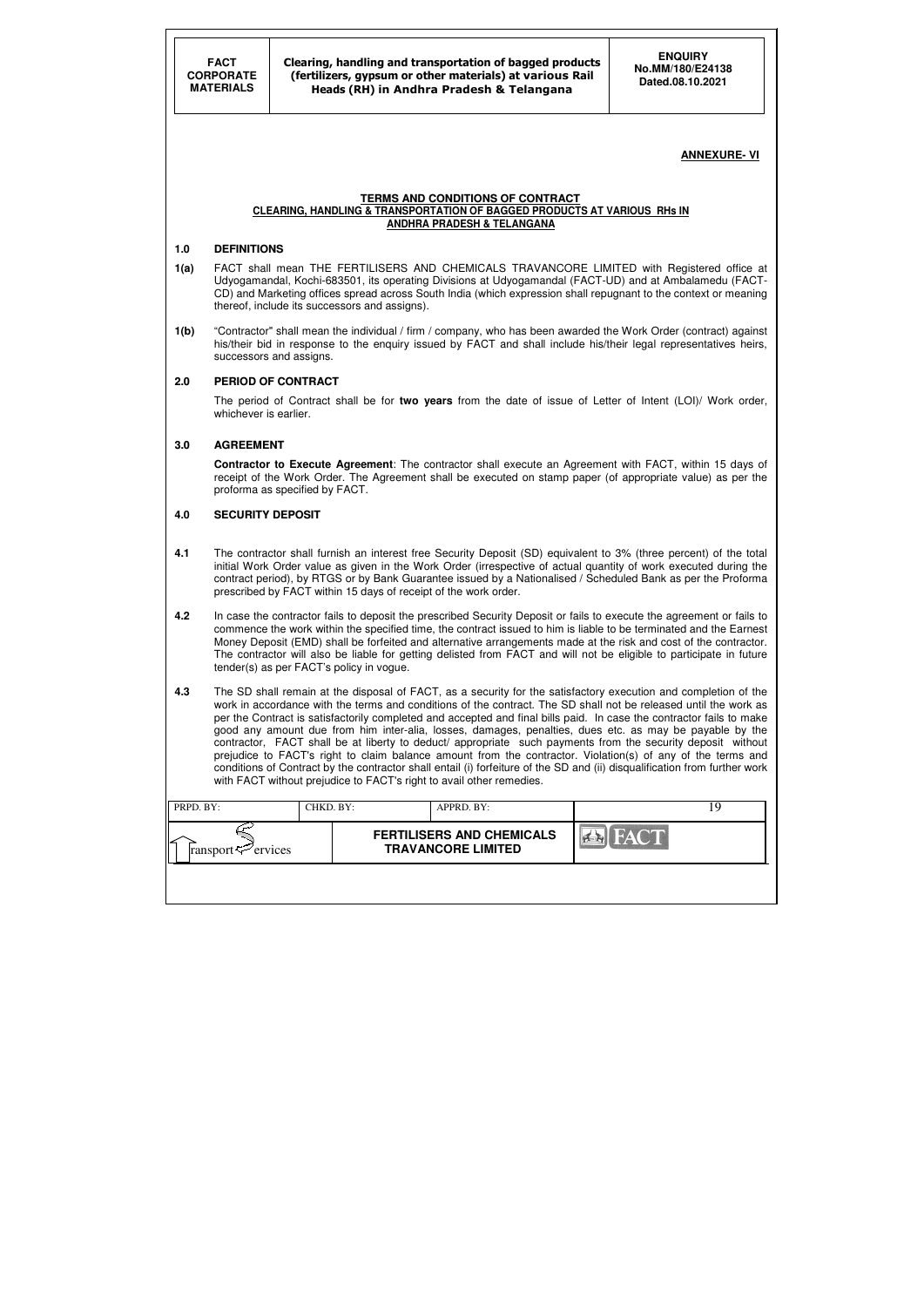| PRPD. BY:                      | CHKD. BY: | APPRD. BY:                                                    |      |  |
|--------------------------------|-----------|---------------------------------------------------------------|------|--|
| ransport $\mathcal{P}$ ervices |           | <b>FERTILISERS AND CHEMICALS</b><br><b>TRAVANCORE LIMITED</b> | FACT |  |
|                                |           |                                                               |      |  |

#### **ANNEXURE- VI**

#### **TERMS AND CONDITIONS OF CONTRACT CLEARING, HANDLING & TRANSPORTATION OF BAGGED PRODUCTS AT VARIOUS RHs IN ANDHRA PRADESH & TELANGANA**

#### **1.0 DEFINITIONS**

- **1(a)** FACT shall mean THE FERTILISERS AND CHEMICALS TRAVANCORE LIMITED with Registered office at Udyogamandal, Kochi-683501, its operating Divisions at Udyogamandal (FACT-UD) and at Ambalamedu (FACT-CD) and Marketing offices spread across South India (which expression shall repugnant to the context or meaning thereof, include its successors and assigns).
- **1(b)** "Contractor" shall mean the individual / firm / company, who has been awarded the Work Order (contract) against his/their bid in response to the enquiry issued by FACT and shall include his/their legal representatives heirs, successors and assigns.

#### **2.0 PERIOD OF CONTRACT**

 The period of Contract shall be for **two years** from the date of issue of Letter of Intent (LOI)/ Work order, whichever is earlier.

#### **3.0 AGREEMENT**

 **Contractor to Execute Agreement**: The contractor shall execute an Agreement with FACT, within 15 days of receipt of the Work Order. The Agreement shall be executed on stamp paper (of appropriate value) as per the proforma as specified by FACT.

#### **4.0 SECURITY DEPOSIT**

- **4.1** The contractor shall furnish an interest free Security Deposit (SD) equivalent to 3% (three percent) of the total initial Work Order value as given in the Work Order (irrespective of actual quantity of work executed during the contract period), by RTGS or by Bank Guarantee issued by a Nationalised / Scheduled Bank as per the Proforma prescribed by FACT within 15 days of receipt of the work order.
- **4.2** In case the contractor fails to deposit the prescribed Security Deposit or fails to execute the agreement or fails to commence the work within the specified time, the contract issued to him is liable to be terminated and the Earnest Money Deposit (EMD) shall be forfeited and alternative arrangements made at the risk and cost of the contractor. The contractor will also be liable for getting delisted from FACT and will not be eligible to participate in future tender(s) as per FACT's policy in vogue.
- **4.3** The SD shall remain at the disposal of FACT, as a security for the satisfactory execution and completion of the work in accordance with the terms and conditions of the contract. The SD shall not be released until the work as per the Contract is satisfactorily completed and accepted and final bills paid. In case the contractor fails to make good any amount due from him inter-alia, losses, damages, penalties, dues etc. as may be payable by the contractor, FACT shall be at liberty to deduct/ appropriate such payments from the security deposit without prejudice to FACT's right to claim balance amount from the contractor. Violation(s) of any of the terms and conditions of Contract by the contractor shall entail (i) forfeiture of the SD and (ii) disqualification from further work with FACT without prejudice to FACT's right to avail other remedies.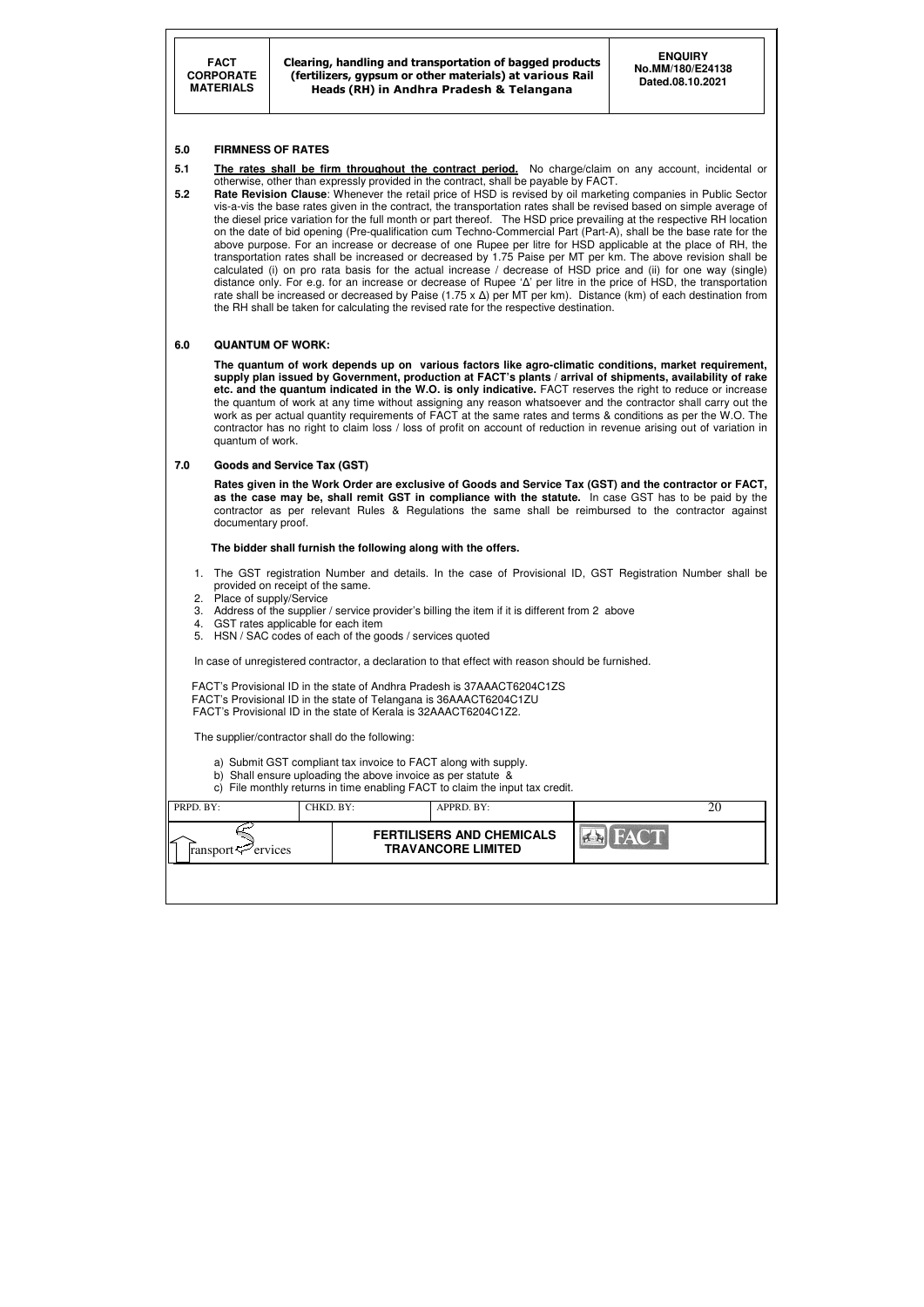Clearing, handling and transportation of bagged products (fertilizers, gypsum or other materials) at various Rail Heads (RH) in Andhra Pradesh & Telangana

| PRPD. BY:                        | CHKD. BY: | APPRD. BY:                                                    |             | ZU |
|----------------------------------|-----------|---------------------------------------------------------------|-------------|----|
| l∠<br>ransport $\approx$ ervices |           | <b>FERTILISERS AND CHEMICALS</b><br><b>TRAVANCORE LIMITED</b> | <b>FACT</b> |    |
|                                  |           |                                                               |             |    |

#### **5.0 FIRMNESS OF RATES**

- **5.1** The rates shall be firm throughout the contract period. No charge/claim on any account, incidental or otherwise, other than expressly provided in the contract, shall be payable by FACT.
- **5.2 Rate Revision Clause**: Whenever the retail price of HSD is revised by oil marketing companies in Public Sector vis-a-vis the base rates given in the contract, the transportation rates shall be revised based on simple average of the diesel price variation for the full month or part thereof. The HSD price prevailing at the respective RH location on the date of bid opening (Pre-qualification cum Techno-Commercial Part (Part-A), shall be the base rate for the above purpose. For an increase or decrease of one Rupee per litre for HSD applicable at the place of RH, the transportation rates shall be increased or decreased by 1.75 Paise per MT per km. The above revision shall be calculated (i) on pro rata basis for the actual increase / decrease of HSD price and (ii) for one way (single) distance only. For e.g. for an increase or decrease of Rupee 'Δ' per litre in the price of HSD, the transportation rate shall be increased or decreased by Paise (1.75 x  $\Delta$ ) per MT per km). Distance (km) of each destination from the RH shall be taken for calculating the revised rate for the respective destination.

#### **6.0 QUANTUM OF WORK:**

 **The quantum of work depends up on various factors like agro-climatic conditions, market requirement, supply plan issued by Government, production at FACT's plants / arrival of shipments, availability of rake etc. and the quantum indicated in the W.O. is only indicative.** FACT reserves the right to reduce or increase the quantum of work at any time without assigning any reason whatsoever and the contractor shall carry out the work as per actual quantity requirements of FACT at the same rates and terms & conditions as per the W.O. The contractor has no right to claim loss / loss of profit on account of reduction in revenue arising out of variation in quantum of work.

#### **7.0 Goods and Service Tax (GST)**

 **Rates given in the Work Order are exclusive of Goods and Service Tax (GST) and the contractor or FACT, as the case may be, shall remit GST in compliance with the statute.** In case GST has to be paid by the contractor as per relevant Rules & Regulations the same shall be reimbursed to the contractor against documentary proof.

#### **The bidder shall furnish the following along with the offers.**

- 1. The GST registration Number and details. In the case of Provisional ID, GST Registration Number shall be provided on receipt of the same.
- 2. Place of supply/Service
- 3. Address of the supplier / service provider's billing the item if it is different from 2 above
- 4. GST rates applicable for each item
- 5. HSN / SAC codes of each of the goods / services quoted

In case of unregistered contractor, a declaration to that effect with reason should be furnished.

 FACT's Provisional ID in the state of Andhra Pradesh is 37AAACT6204C1ZS FACT's Provisional ID in the state of Telangana is 36AAACT6204C1ZU FACT's Provisional ID in the state of Kerala is 32AAACT6204C1Z2.

The supplier/contractor shall do the following:

- a) Submit GST compliant tax invoice to FACT along with supply.
- b) Shall ensure uploading the above invoice as per statute &
- c) File monthly returns in time enabling FACT to claim the input tax credit.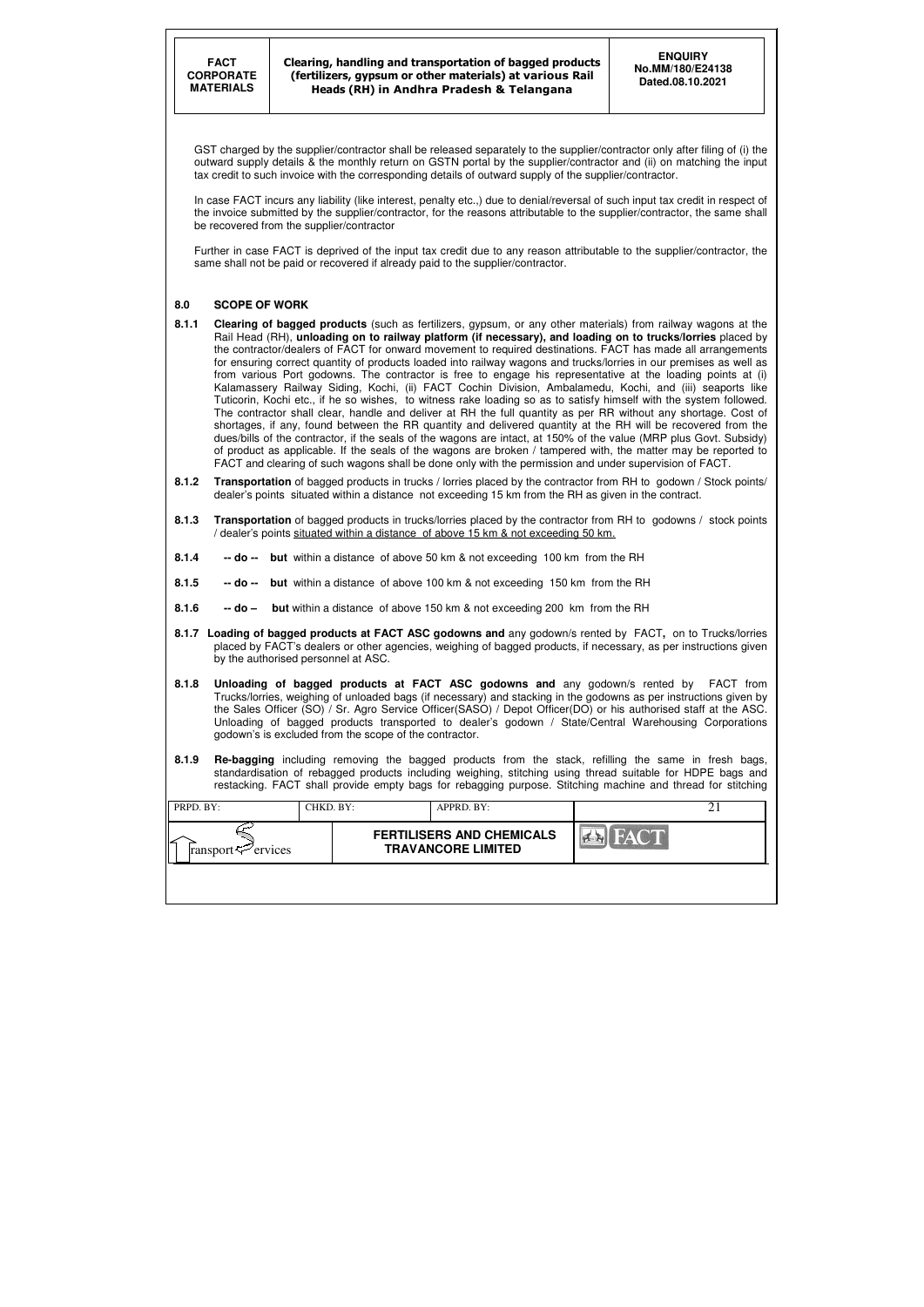| PRPD. BY:                       | CHKD. BY: | APPRD. BY:                                                    |             |  |
|---------------------------------|-----------|---------------------------------------------------------------|-------------|--|
| ∠<br>ransport $\approx$ ervices |           | <b>FERTILISERS AND CHEMICALS</b><br><b>TRAVANCORE LIMITED</b> | <b>FACT</b> |  |
|                                 |           |                                                               |             |  |

GST charged by the supplier/contractor shall be released separately to the supplier/contractor only after filing of (i) the outward supply details & the monthly return on GSTN portal by the supplier/contractor and (ii) on matching the input tax credit to such invoice with the corresponding details of outward supply of the supplier/contractor.

In case FACT incurs any liability (like interest, penalty etc.,) due to denial/reversal of such input tax credit in respect of the invoice submitted by the supplier/contractor, for the reasons attributable to the supplier/contractor, the same shall be recovered from the supplier/contractor

Further in case FACT is deprived of the input tax credit due to any reason attributable to the supplier/contractor, the same shall not be paid or recovered if already paid to the supplier/contractor.

#### **8.0 SCOPE OF WORK**

- **8.1.1 Clearing of bagged products** (such as fertilizers, gypsum, or any other materials) from railway wagons at the Rail Head (RH), **unloading on to railway platform (if necessary), and loading on to trucks/lorries** placed by the contractor/dealers of FACT for onward movement to required destinations. FACT has made all arrangements for ensuring correct quantity of products loaded into railway wagons and trucks/lorries in our premises as well as from various Port godowns. The contractor is free to engage his representative at the loading points at (i) Kalamassery Railway Siding, Kochi, (ii) FACT Cochin Division, Ambalamedu, Kochi, and (iii) seaports like Tuticorin, Kochi etc., if he so wishes, to witness rake loading so as to satisfy himself with the system followed. The contractor shall clear, handle and deliver at RH the full quantity as per RR without any shortage. Cost of shortages, if any, found between the RR quantity and delivered quantity at the RH will be recovered from the dues/bills of the contractor, if the seals of the wagons are intact, at 150% of the value (MRP plus Govt. Subsidy) of product as applicable. If the seals of the wagons are broken / tampered with, the matter may be reported to FACT and clearing of such wagons shall be done only with the permission and under supervision of FACT.
- **8.1.2 Transportation** of bagged products in trucks / lorries placed by the contractor from RH to godown / Stock points/ dealer's points situated within a distance not exceeding 15 km from the RH as given in the contract.
- **8.1.3 Transportation** of bagged products in trucks/lorries placed by the contractor from RH to godowns / stock points / dealer's points situated within a distance of above 15 km & not exceeding 50 km.
- **8.1.4 -- do -- but** within a distance of above 50 km & not exceeding 100 km from the RH
- **8.1.5 -- do -- but** within a distance of above 100 km & not exceeding 150 km from the RH
- **8.1.6** -- **do** but within a distance of above 150 km & not exceeding 200 km from the RH
- **8.1.7 Loading of bagged products at FACT ASC godowns and** any godown/s rented by FACT**,** on to Trucks/lorries placed by FACT's dealers or other agencies, weighing of bagged products, if necessary, as per instructions given by the authorised personnel at ASC.
- **8.1.8 Unloading of bagged products at FACT ASC godowns and** any godown/s rented by FACT from Trucks/lorries, weighing of unloaded bags (if necessary) and stacking in the godowns as per instructions given by the Sales Officer (SO) / Sr. Agro Service Officer(SASO) / Depot Officer(DO) or his authorised staff at the ASC. Unloading of bagged products transported to dealer's godown / State/Central Warehousing Corporations godown's is excluded from the scope of the contractor.
- **8.1.9 Re-bagging** including removing the bagged products from the stack, refilling the same in fresh bags, standardisation of rebagged products including weighing, stitching using thread suitable for HDPE bags and restacking. FACT shall provide empty bags for rebagging purpose. Stitching machine and thread for stitching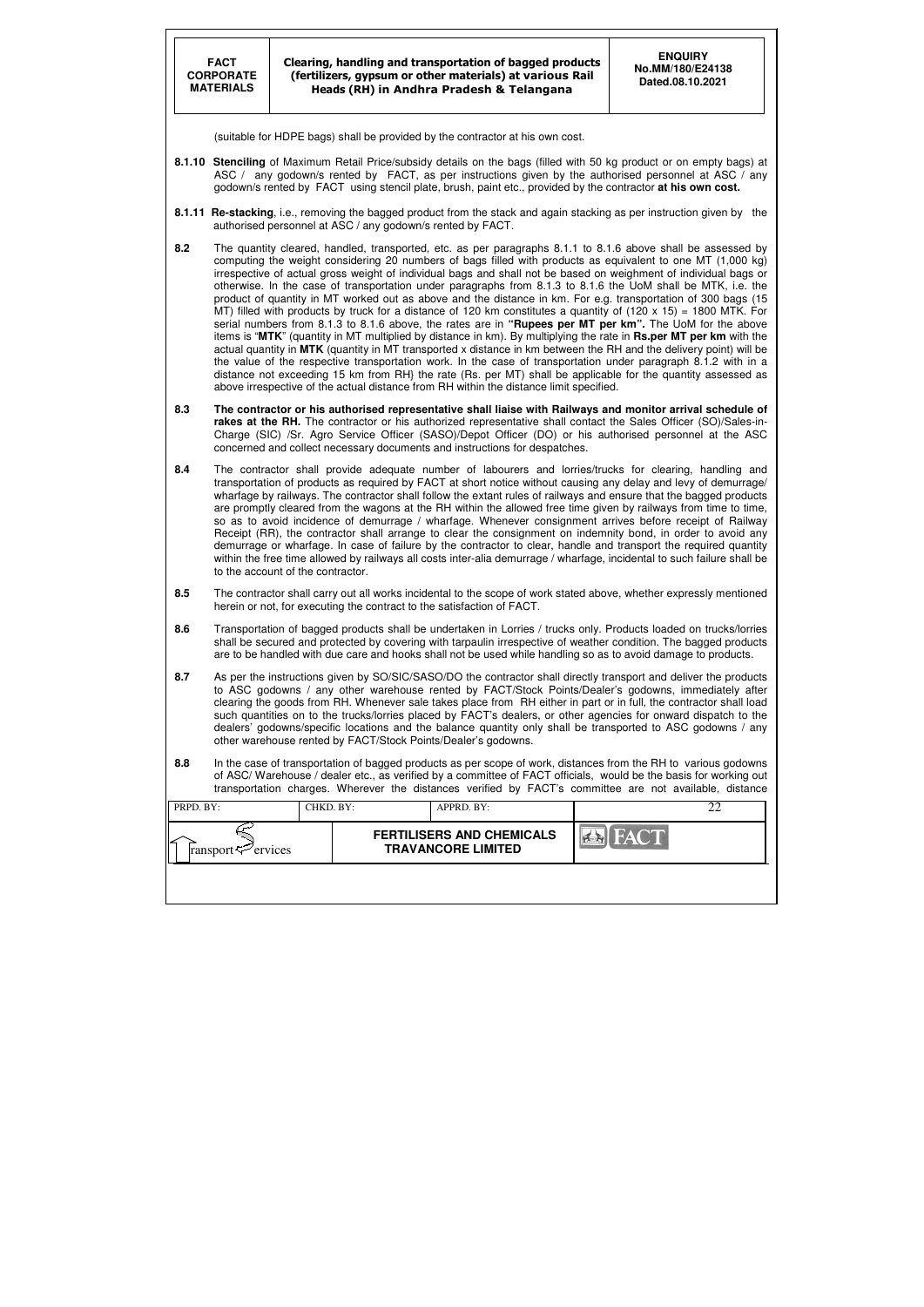|           | <b>FACT</b><br><b>CORPORATE</b><br><b>MATERIALS</b>                                                                                                                                                                                                                                                                                                                                                                                                                                                                                                                                                                                               |                                   | <b>ENQUIRY</b><br>Clearing, handling and transportation of bagged products<br>No.MM/180/E24138<br>(fertilizers, gypsum or other materials) at various Rail<br>Dated.08.10.2021<br>Heads (RH) in Andhra Pradesh & Telangana |                                                                                                               |  |                                                                                                                                                                                                                                                                                                                                                                                                                                                                                                                                                                                                                                                                                                                                                                                                                                                                                                                                                                                                                                                                                                                                                                                                                                                                                                      |  |  |  |  |
|-----------|---------------------------------------------------------------------------------------------------------------------------------------------------------------------------------------------------------------------------------------------------------------------------------------------------------------------------------------------------------------------------------------------------------------------------------------------------------------------------------------------------------------------------------------------------------------------------------------------------------------------------------------------------|-----------------------------------|----------------------------------------------------------------------------------------------------------------------------------------------------------------------------------------------------------------------------|---------------------------------------------------------------------------------------------------------------|--|------------------------------------------------------------------------------------------------------------------------------------------------------------------------------------------------------------------------------------------------------------------------------------------------------------------------------------------------------------------------------------------------------------------------------------------------------------------------------------------------------------------------------------------------------------------------------------------------------------------------------------------------------------------------------------------------------------------------------------------------------------------------------------------------------------------------------------------------------------------------------------------------------------------------------------------------------------------------------------------------------------------------------------------------------------------------------------------------------------------------------------------------------------------------------------------------------------------------------------------------------------------------------------------------------|--|--|--|--|
|           |                                                                                                                                                                                                                                                                                                                                                                                                                                                                                                                                                                                                                                                   |                                   |                                                                                                                                                                                                                            | (suitable for HDPE bags) shall be provided by the contractor at his own cost.                                 |  |                                                                                                                                                                                                                                                                                                                                                                                                                                                                                                                                                                                                                                                                                                                                                                                                                                                                                                                                                                                                                                                                                                                                                                                                                                                                                                      |  |  |  |  |
|           |                                                                                                                                                                                                                                                                                                                                                                                                                                                                                                                                                                                                                                                   |                                   |                                                                                                                                                                                                                            | godown/s rented by FACT using stencil plate, brush, paint etc., provided by the contractor at his own cost.   |  | 8.1.10 Stenciling of Maximum Retail Price/subsidy details on the bags (filled with 50 kg product or on empty bags) at<br>ASC / any godown/s rented by FACT, as per instructions given by the authorised personnel at ASC / any                                                                                                                                                                                                                                                                                                                                                                                                                                                                                                                                                                                                                                                                                                                                                                                                                                                                                                                                                                                                                                                                       |  |  |  |  |
|           |                                                                                                                                                                                                                                                                                                                                                                                                                                                                                                                                                                                                                                                   |                                   |                                                                                                                                                                                                                            | authorised personnel at ASC / any godown/s rented by FACT.                                                    |  | 8.1.11 Re-stacking, i.e., removing the bagged product from the stack and again stacking as per instruction given by the                                                                                                                                                                                                                                                                                                                                                                                                                                                                                                                                                                                                                                                                                                                                                                                                                                                                                                                                                                                                                                                                                                                                                                              |  |  |  |  |
| 8.2       |                                                                                                                                                                                                                                                                                                                                                                                                                                                                                                                                                                                                                                                   |                                   |                                                                                                                                                                                                                            | above irrespective of the actual distance from RH within the distance limit specified.                        |  | The quantity cleared, handled, transported, etc. as per paragraphs 8.1.1 to 8.1.6 above shall be assessed by<br>computing the weight considering 20 numbers of bags filled with products as equivalent to one MT (1,000 kg)<br>irrespective of actual gross weight of individual bags and shall not be based on weighment of individual bags or<br>otherwise. In the case of transportation under paragraphs from 8.1.3 to 8.1.6 the UoM shall be MTK, i.e. the<br>product of quantity in MT worked out as above and the distance in km. For e.g. transportation of 300 bags (15<br>MT) filled with products by truck for a distance of 120 km constitutes a quantity of $(120 \times 15) = 1800$ MTK. For<br>serial numbers from 8.1.3 to 8.1.6 above, the rates are in "Rupees per MT per km". The UoM for the above<br>items is "MTK" (quantity in MT multiplied by distance in km). By multiplying the rate in Rs.per MT per km with the<br>actual quantity in MTK (quantity in MT transported x distance in km between the RH and the delivery point) will be<br>the value of the respective transportation work. In the case of transportation under paragraph 8.1.2 with in a<br>distance not exceeding 15 km from RH} the rate (Rs. per MT) shall be applicable for the quantity assessed as |  |  |  |  |
| 8.3       |                                                                                                                                                                                                                                                                                                                                                                                                                                                                                                                                                                                                                                                   |                                   |                                                                                                                                                                                                                            | concerned and collect necessary documents and instructions for despatches.                                    |  | The contractor or his authorised representative shall liaise with Railways and monitor arrival schedule of<br>rakes at the RH. The contractor or his authorized representative shall contact the Sales Officer (SO)/Sales-in-<br>Charge (SIC) /Sr. Agro Service Officer (SASO)/Depot Officer (DO) or his authorised personnel at the ASC                                                                                                                                                                                                                                                                                                                                                                                                                                                                                                                                                                                                                                                                                                                                                                                                                                                                                                                                                             |  |  |  |  |
| 8.4       |                                                                                                                                                                                                                                                                                                                                                                                                                                                                                                                                                                                                                                                   | to the account of the contractor. |                                                                                                                                                                                                                            |                                                                                                               |  | The contractor shall provide adequate number of labourers and lorries/trucks for clearing, handling and<br>transportation of products as required by FACT at short notice without causing any delay and levy of demurrage/<br>wharfage by railways. The contractor shall follow the extant rules of railways and ensure that the bagged products<br>are promptly cleared from the wagons at the RH within the allowed free time given by railways from time to time,<br>so as to avoid incidence of demurrage / wharfage. Whenever consignment arrives before receipt of Railway<br>Receipt (RR), the contractor shall arrange to clear the consignment on indemnity bond, in order to avoid any<br>demurrage or wharfage. In case of failure by the contractor to clear, handle and transport the required quantity<br>within the free time allowed by railways all costs inter-alia demurrage / wharfage, incidental to such failure shall be                                                                                                                                                                                                                                                                                                                                                      |  |  |  |  |
| 8.5       |                                                                                                                                                                                                                                                                                                                                                                                                                                                                                                                                                                                                                                                   |                                   |                                                                                                                                                                                                                            | herein or not, for executing the contract to the satisfaction of FACT.                                        |  | The contractor shall carry out all works incidental to the scope of work stated above, whether expressly mentioned                                                                                                                                                                                                                                                                                                                                                                                                                                                                                                                                                                                                                                                                                                                                                                                                                                                                                                                                                                                                                                                                                                                                                                                   |  |  |  |  |
| 8.6       |                                                                                                                                                                                                                                                                                                                                                                                                                                                                                                                                                                                                                                                   |                                   |                                                                                                                                                                                                                            | are to be handled with due care and hooks shall not be used while handling so as to avoid damage to products. |  | Transportation of bagged products shall be undertaken in Lorries / trucks only. Products loaded on trucks/lorries<br>shall be secured and protected by covering with tarpaulin irrespective of weather condition. The bagged products                                                                                                                                                                                                                                                                                                                                                                                                                                                                                                                                                                                                                                                                                                                                                                                                                                                                                                                                                                                                                                                                |  |  |  |  |
| 8.7       | As per the instructions given by SO/SIC/SASO/DO the contractor shall directly transport and deliver the products<br>to ASC godowns / any other warehouse rented by FACT/Stock Points/Dealer's godowns, immediately after<br>clearing the goods from RH. Whenever sale takes place from RH either in part or in full, the contractor shall load<br>such quantities on to the trucks/lorries placed by FACT's dealers, or other agencies for onward dispatch to the<br>dealers' godowns/specific locations and the balance quantity only shall be transported to ASC godowns / any<br>other warehouse rented by FACT/Stock Points/Dealer's godowns. |                                   |                                                                                                                                                                                                                            |                                                                                                               |  |                                                                                                                                                                                                                                                                                                                                                                                                                                                                                                                                                                                                                                                                                                                                                                                                                                                                                                                                                                                                                                                                                                                                                                                                                                                                                                      |  |  |  |  |
| 8.8       |                                                                                                                                                                                                                                                                                                                                                                                                                                                                                                                                                                                                                                                   |                                   |                                                                                                                                                                                                                            |                                                                                                               |  | In the case of transportation of bagged products as per scope of work, distances from the RH to various godowns<br>of ASC/Warehouse / dealer etc., as verified by a committee of FACT officials, would be the basis for working out<br>transportation charges. Wherever the distances verified by FACT's committee are not available, distance                                                                                                                                                                                                                                                                                                                                                                                                                                                                                                                                                                                                                                                                                                                                                                                                                                                                                                                                                       |  |  |  |  |
| PRPD. BY: |                                                                                                                                                                                                                                                                                                                                                                                                                                                                                                                                                                                                                                                   | CHKD. BY:                         |                                                                                                                                                                                                                            | APPRD. BY:                                                                                                    |  | 22                                                                                                                                                                                                                                                                                                                                                                                                                                                                                                                                                                                                                                                                                                                                                                                                                                                                                                                                                                                                                                                                                                                                                                                                                                                                                                   |  |  |  |  |
|           | ransport <sup>2</sup> ervices                                                                                                                                                                                                                                                                                                                                                                                                                                                                                                                                                                                                                     |                                   |                                                                                                                                                                                                                            | <b>FERTILISERS AND CHEMICALS</b><br><b>TRAVANCORE LIMITED</b>                                                 |  |                                                                                                                                                                                                                                                                                                                                                                                                                                                                                                                                                                                                                                                                                                                                                                                                                                                                                                                                                                                                                                                                                                                                                                                                                                                                                                      |  |  |  |  |
|           |                                                                                                                                                                                                                                                                                                                                                                                                                                                                                                                                                                                                                                                   |                                   |                                                                                                                                                                                                                            |                                                                                                               |  |                                                                                                                                                                                                                                                                                                                                                                                                                                                                                                                                                                                                                                                                                                                                                                                                                                                                                                                                                                                                                                                                                                                                                                                                                                                                                                      |  |  |  |  |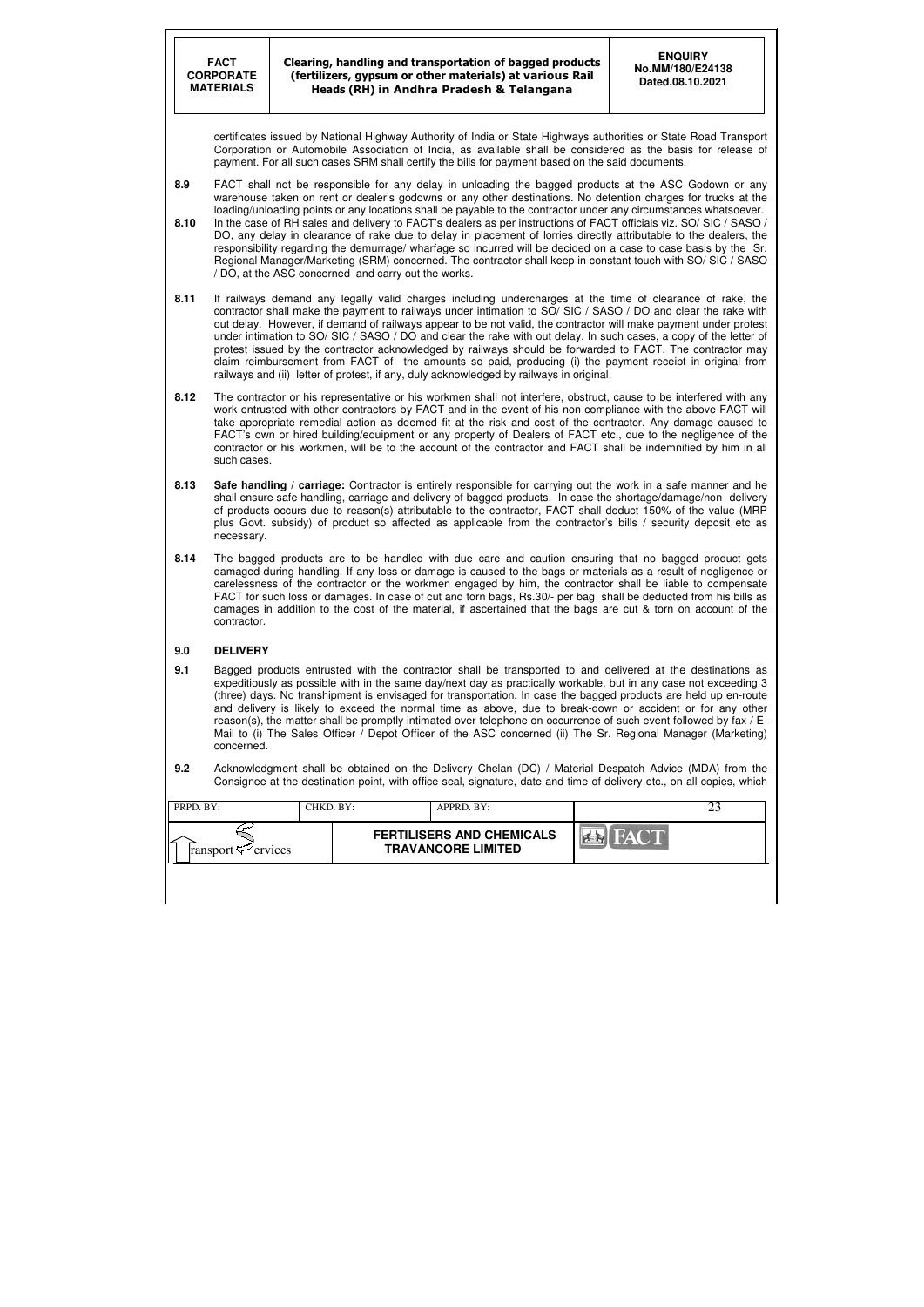| PRPD. BY:                  | CHKD. BY: | APPRD. BY:                                                    |             |  |
|----------------------------|-----------|---------------------------------------------------------------|-------------|--|
| ransport $\varphi$ ervices |           | <b>FERTILISERS AND CHEMICALS</b><br><b>TRAVANCORE LIMITED</b> | <b>FACT</b> |  |
|                            |           |                                                               |             |  |

certificates issued by National Highway Authority of India or State Highways authorities or State Road Transport Corporation or Automobile Association of India, as available shall be considered as the basis for release of payment. For all such cases SRM shall certify the bills for payment based on the said documents.

- **8.9** FACT shall not be responsible for any delay in unloading the bagged products at the ASC Godown or any warehouse taken on rent or dealer's godowns or any other destinations. No detention charges for trucks at the loading/unloading points or any locations shall be payable to the contractor under any circumstances whatsoever.
- **8.10** In the case of RH sales and delivery to FACT's dealers as per instructions of FACT officials viz. SO/ SIC / SASO / DO, any delay in clearance of rake due to delay in placement of lorries directly attributable to the dealers, the responsibility regarding the demurrage/ wharfage so incurred will be decided on a case to case basis by the Sr. Regional Manager/Marketing (SRM) concerned. The contractor shall keep in constant touch with SO/ SIC / SASO / DO, at the ASC concerned and carry out the works.
- **8.11** If railways demand any legally valid charges including undercharges at the time of clearance of rake, the contractor shall make the payment to railways under intimation to SO/ SIC / SASO / DO and clear the rake with out delay. However, if demand of railways appear to be not valid, the contractor will make payment under protest under intimation to SO/ SIC / SASO / DO and clear the rake with out delay. In such cases, a copy of the letter of protest issued by the contractor acknowledged by railways should be forwarded to FACT. The contractor may claim reimbursement from FACT of the amounts so paid, producing (i) the payment receipt in original from railways and (ii) letter of protest, if any, duly acknowledged by railways in original.
- **8.12** The contractor or his representative or his workmen shall not interfere, obstruct, cause to be interfered with any work entrusted with other contractors by FACT and in the event of his non-compliance with the above FACT will take appropriate remedial action as deemed fit at the risk and cost of the contractor. Any damage caused to FACT's own or hired building/equipment or any property of Dealers of FACT etc., due to the negligence of the contractor or his workmen, will be to the account of the contractor and FACT shall be indemnified by him in all such cases.
- **8.13 Safe handling / carriage:** Contractor is entirely responsible for carrying out the work in a safe manner and he shall ensure safe handling, carriage and delivery of bagged products. In case the shortage/damage/non--delivery of products occurs due to reason(s) attributable to the contractor, FACT shall deduct 150% of the value (MRP plus Govt. subsidy) of product so affected as applicable from the contractor's bills / security deposit etc as necessary.
- **8.14** The bagged products are to be handled with due care and caution ensuring that no bagged product gets damaged during handling. If any loss or damage is caused to the bags or materials as a result of negligence or carelessness of the contractor or the workmen engaged by him, the contractor shall be liable to compensate FACT for such loss or damages. In case of cut and torn bags, Rs.30/- per bag shall be deducted from his bills as damages in addition to the cost of the material, if ascertained that the bags are cut & torn on account of the contractor.

#### **9.0 DELIVERY**

- **9.1** Bagged products entrusted with the contractor shall be transported to and delivered at the destinations as expeditiously as possible with in the same day/next day as practically workable, but in any case not exceeding 3 (three) days. No transhipment is envisaged for transportation. In case the bagged products are held up en-route and delivery is likely to exceed the normal time as above, due to break-down or accident or for any other reason(s), the matter shall be promptly intimated over telephone on occurrence of such event followed by fax / E-Mail to (i) The Sales Officer / Depot Officer of the ASC concerned (ii) The Sr. Regional Manager (Marketing) concerned.
- **9.2** Acknowledgment shall be obtained on the Delivery Chelan (DC) / Material Despatch Advice (MDA) from the Consignee at the destination point, with office seal, signature, date and time of delivery etc., on all copies, which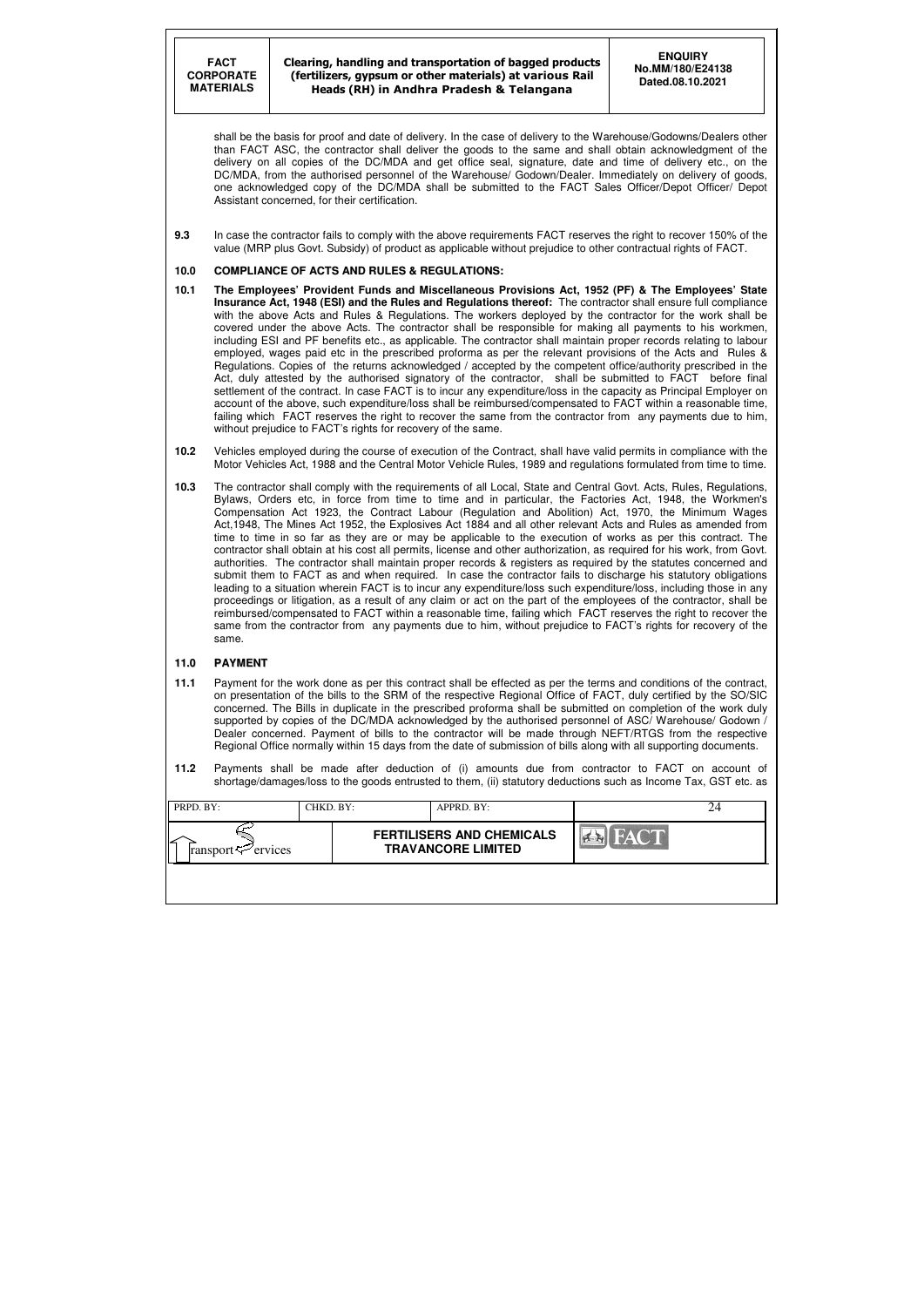| PRPD. BY:                  | CHKD. BY: |                                                               | APPRD. BY: |             |  |
|----------------------------|-----------|---------------------------------------------------------------|------------|-------------|--|
| ransport $\varphi$ ervices |           | <b>FERTILISERS AND CHEMICALS</b><br><b>TRAVANCORE LIMITED</b> |            | <b>FACT</b> |  |
|                            |           |                                                               |            |             |  |

shall be the basis for proof and date of delivery. In the case of delivery to the Warehouse/Godowns/Dealers other than FACT ASC, the contractor shall deliver the goods to the same and shall obtain acknowledgment of the delivery on all copies of the DC/MDA and get office seal, signature, date and time of delivery etc., on the DC/MDA, from the authorised personnel of the Warehouse/ Godown/Dealer. Immediately on delivery of goods, one acknowledged copy of the DC/MDA shall be submitted to the FACT Sales Officer/Depot Officer/ Depot Assistant concerned, for their certification.

**9.3** In case the contractor fails to comply with the above requirements FACT reserves the right to recover 150% of the value (MRP plus Govt. Subsidy) of product as applicable without prejudice to other contractual rights of FACT.

#### **10.0 COMPLIANCE OF ACTS AND RULES & REGULATIONS:**

- **10.1 The Employees' Provident Funds and Miscellaneous Provisions Act, 1952 (PF) & The Employees' State Insurance Act, 1948 (ESI) and the Rules and Regulations thereof:** The contractor shall ensure full compliance with the above Acts and Rules & Regulations. The workers deployed by the contractor for the work shall be covered under the above Acts. The contractor shall be responsible for making all payments to his workmen, including ESI and PF benefits etc., as applicable. The contractor shall maintain proper records relating to labour employed, wages paid etc in the prescribed proforma as per the relevant provisions of the Acts and Rules & Regulations. Copies of the returns acknowledged / accepted by the competent office/authority prescribed in the Act, duly attested by the authorised signatory of the contractor, shall be submitted to FACT before final settlement of the contract. In case FACT is to incur any expenditure/loss in the capacity as Principal Employer on account of the above, such expenditure/loss shall be reimbursed/compensated to FACT within a reasonable time, failing which FACT reserves the right to recover the same from the contractor from any payments due to him, without prejudice to FACT's rights for recovery of the same.
- **10.2** Vehicles employed during the course of execution of the Contract, shall have valid permits in compliance with the Motor Vehicles Act, 1988 and the Central Motor Vehicle Rules, 1989 and regulations formulated from time to time.
- **10.3** The contractor shall comply with the requirements of all Local, State and Central Govt. Acts, Rules, Regulations, Bylaws, Orders etc, in force from time to time and in particular, the Factories Act, 1948, the Workmen's Compensation Act 1923, the Contract Labour (Regulation and Abolition) Act, 1970, the Minimum Wages Act,1948, The Mines Act 1952, the Explosives Act 1884 and all other relevant Acts and Rules as amended from time to time in so far as they are or may be applicable to the execution of works as per this contract. The contractor shall obtain at his cost all permits, license and other authorization, as required for his work, from Govt. authorities. The contractor shall maintain proper records & registers as required by the statutes concerned and submit them to FACT as and when required. In case the contractor fails to discharge his statutory obligations leading to a situation wherein FACT is to incur any expenditure/loss such expenditure/loss, including those in any proceedings or litigation, as a result of any claim or act on the part of the employees of the contractor, shall be reimbursed/compensated to FACT within a reasonable time, failing which FACT reserves the right to recover the same from the contractor from any payments due to him, without prejudice to FACT's rights for recovery of the same.

#### **11.0 PAYMENT**

- **11.1** Payment for the work done as per this contract shall be effected as per the terms and conditions of the contract, on presentation of the bills to the SRM of the respective Regional Office of FACT, duly certified by the SO/SIC concerned. The Bills in duplicate in the prescribed proforma shall be submitted on completion of the work duly supported by copies of the DC/MDA acknowledged by the authorised personnel of ASC/ Warehouse/ Godown / Dealer concerned. Payment of bills to the contractor will be made through NEFT/RTGS from the respective Regional Office normally within 15 days from the date of submission of bills along with all supporting documents.
- **11.2** Payments shall be made after deduction of (i) amounts due from contractor to FACT on account of shortage/damages/loss to the goods entrusted to them, (ii) statutory deductions such as Income Tax, GST etc. as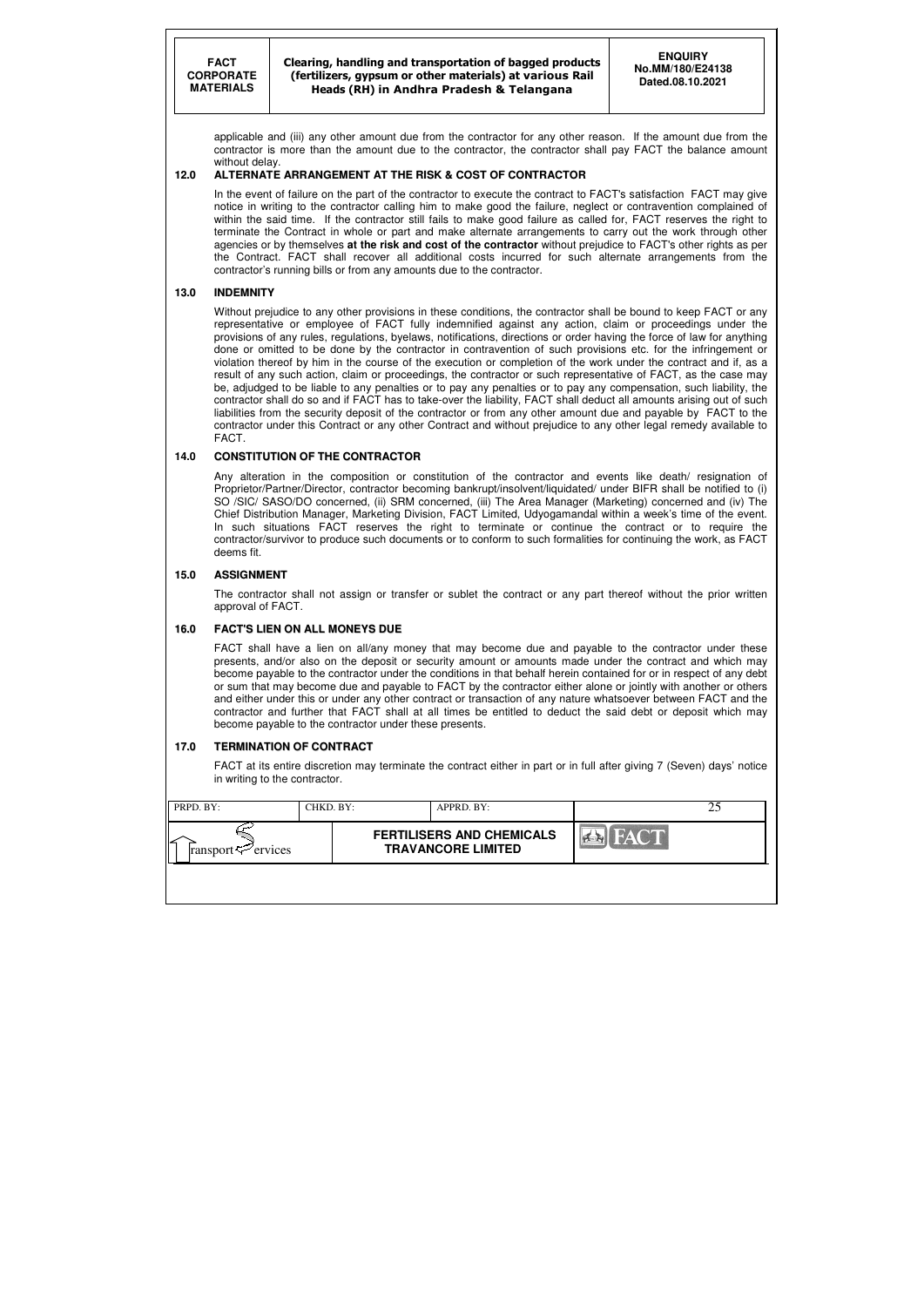Clearing, handling and transportation of bagged products (fertilizers, gypsum or other materials) at various Rail Heads (RH) in Andhra Pradesh & Telangana

| PRPD. BY:                      | CHKD. BY: | APPRD. BY:                                                    |             |  |
|--------------------------------|-----------|---------------------------------------------------------------|-------------|--|
| ransport $\mathcal{P}$ ervices |           | <b>FERTILISERS AND CHEMICALS</b><br><b>TRAVANCORE LIMITED</b> | <b>FACT</b> |  |
|                                |           |                                                               |             |  |

applicable and (iii) any other amount due from the contractor for any other reason. If the amount due from the contractor is more than the amount due to the contractor, the contractor shall pay FACT the balance amount without delay.

#### **12.0 ALTERNATE ARRANGEMENT AT THE RISK & COST OF CONTRACTOR**

In the event of failure on the part of the contractor to execute the contract to FACT's satisfaction FACT may give notice in writing to the contractor calling him to make good the failure, neglect or contravention complained of within the said time. If the contractor still fails to make good failure as called for, FACT reserves the right to terminate the Contract in whole or part and make alternate arrangements to carry out the work through other agencies or by themselves **at the risk and cost of the contractor** without prejudice to FACT's other rights as per the Contract. FACT shall recover all additional costs incurred for such alternate arrangements from the contractor's running bills or from any amounts due to the contractor.

#### **13.0 INDEMNITY**

Without prejudice to any other provisions in these conditions, the contractor shall be bound to keep FACT or any representative or employee of FACT fully indemnified against any action, claim or proceedings under the provisions of any rules, regulations, byelaws, notifications, directions or order having the force of law for anything done or omitted to be done by the contractor in contravention of such provisions etc. for the infringement or violation thereof by him in the course of the execution or completion of the work under the contract and if, as a result of any such action, claim or proceedings, the contractor or such representative of FACT, as the case may be, adjudged to be liable to any penalties or to pay any penalties or to pay any compensation, such liability, the contractor shall do so and if FACT has to take-over the liability, FACT shall deduct all amounts arising out of such liabilities from the security deposit of the contractor or from any other amount due and payable by FACT to the contractor under this Contract or any other Contract and without prejudice to any other legal remedy available to FACT.

#### **14.0 CONSTITUTION OF THE CONTRACTOR**

Any alteration in the composition or constitution of the contractor and events like death/ resignation of Proprietor/Partner/Director, contractor becoming bankrupt/insolvent/liquidated/ under BIFR shall be notified to (i) SO /SIC/ SASO/DO concerned, (ii) SRM concerned, (iii) The Area Manager (Marketing) concerned and (iv) The Chief Distribution Manager, Marketing Division, FACT Limited, Udyogamandal within a week's time of the event. In such situations FACT reserves the right to terminate or continue the contract or to require the contractor/survivor to produce such documents or to conform to such formalities for continuing the work, as FACT deems fit.

#### **15.0 ASSIGNMENT**

 The contractor shall not assign or transfer or sublet the contract or any part thereof without the prior written approval of FACT.

#### **16.0 FACT'S LIEN ON ALL MONEYS DUE**

 FACT shall have a lien on all/any money that may become due and payable to the contractor under these presents, and/or also on the deposit or security amount or amounts made under the contract and which may become payable to the contractor under the conditions in that behalf herein contained for or in respect of any debt or sum that may become due and payable to FACT by the contractor either alone or jointly with another or others and either under this or under any other contract or transaction of any nature whatsoever between FACT and the contractor and further that FACT shall at all times be entitled to deduct the said debt or deposit which may become payable to the contractor under these presents.

#### **17.0 TERMINATION OF CONTRACT**

FACT at its entire discretion may terminate the contract either in part or in full after giving 7 (Seven) days' notice in writing to the contractor.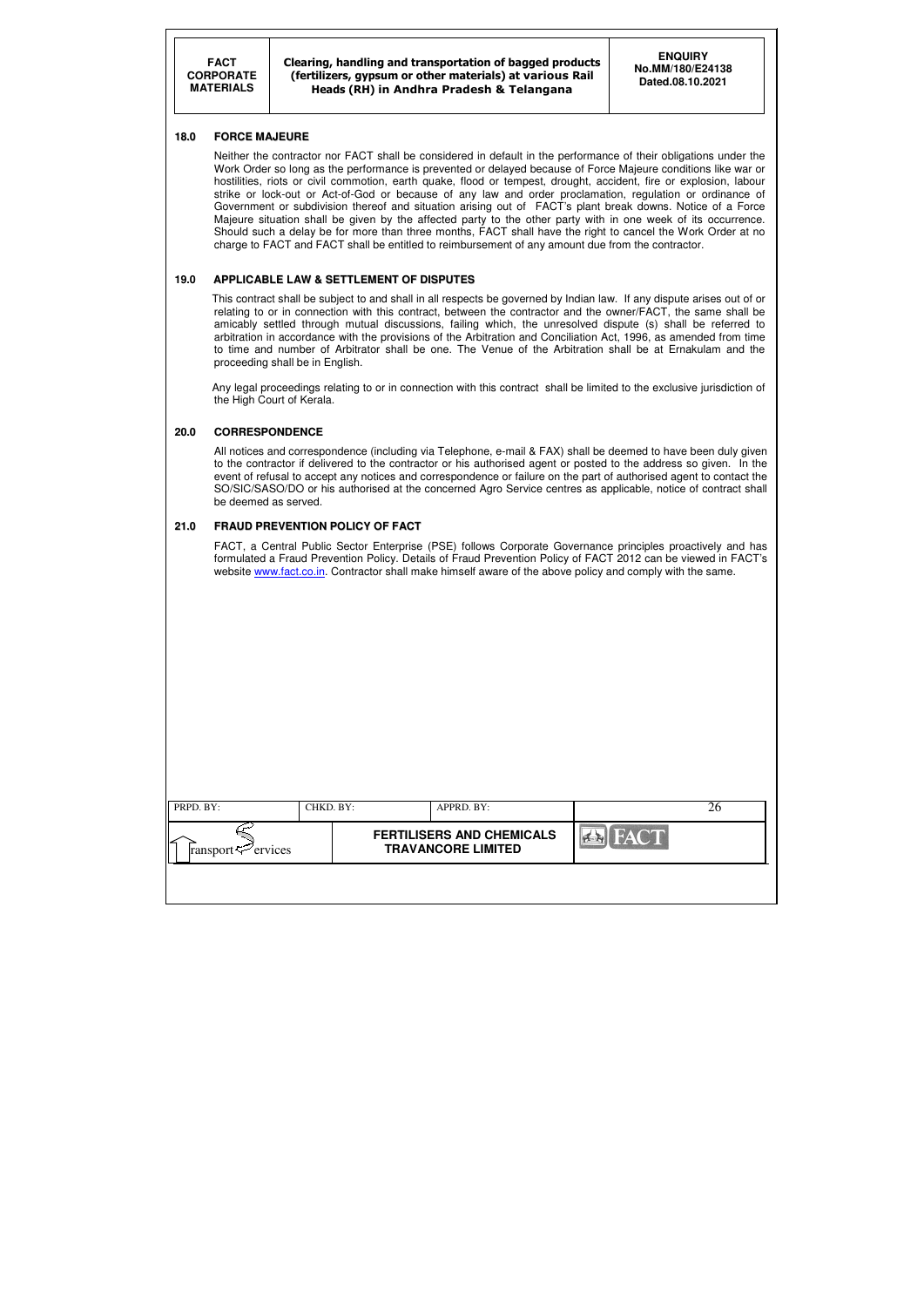Clearing, handling and transportation of bagged products (fertilizers, gypsum or other materials) at various Rail Heads (RH) in Andhra Pradesh & Telangana

| PRPD. BY:                      | CHKD. BY: | APPRD. BY:                                                    |      |  |
|--------------------------------|-----------|---------------------------------------------------------------|------|--|
| ransport $\mathcal{P}$ ervices |           | <b>FERTILISERS AND CHEMICALS</b><br><b>TRAVANCORE LIMITED</b> | FACT |  |
|                                |           |                                                               |      |  |

#### **18.0 FORCE MAJEURE**

Neither the contractor nor FACT shall be considered in default in the performance of their obligations under the Work Order so long as the performance is prevented or delayed because of Force Majeure conditions like war or hostilities, riots or civil commotion, earth quake, flood or tempest, drought, accident, fire or explosion, labour strike or lock-out or Act-of-God or because of any law and order proclamation, regulation or ordinance of Government or subdivision thereof and situation arising out of FACT's plant break downs. Notice of a Force Majeure situation shall be given by the affected party to the other party with in one week of its occurrence. Should such a delay be for more than three months, FACT shall have the right to cancel the Work Order at no charge to FACT and FACT shall be entitled to reimbursement of any amount due from the contractor.

#### **19.0 APPLICABLE LAW & SETTLEMENT OF DISPUTES**

 This contract shall be subject to and shall in all respects be governed by Indian law. If any dispute arises out of or relating to or in connection with this contract, between the contractor and the owner/FACT, the same shall be amicably settled through mutual discussions, failing which, the unresolved dispute (s) shall be referred to arbitration in accordance with the provisions of the Arbitration and Conciliation Act, 1996, as amended from time to time and number of Arbitrator shall be one. The Venue of the Arbitration shall be at Ernakulam and the proceeding shall be in English.

 Any legal proceedings relating to or in connection with this contract shall be limited to the exclusive jurisdiction of the High Court of Kerala.

#### **20.0 CORRESPONDENCE**

 All notices and correspondence (including via Telephone, e-mail & FAX) shall be deemed to have been duly given to the contractor if delivered to the contractor or his authorised agent or posted to the address so given. In the event of refusal to accept any notices and correspondence or failure on the part of authorised agent to contact the SO/SIC/SASO/DO or his authorised at the concerned Agro Service centres as applicable, notice of contract shall be deemed as served.

#### **21.0 FRAUD PREVENTION POLICY OF FACT**

FACT, a Central Public Sector Enterprise (PSE) follows Corporate Governance principles proactively and has formulated a Fraud Prevention Policy. Details of Fraud Prevention Policy of FACT 2012 can be viewed in FACT's website www.fact.co.in. Contractor shall make himself aware of the above policy and comply with the same.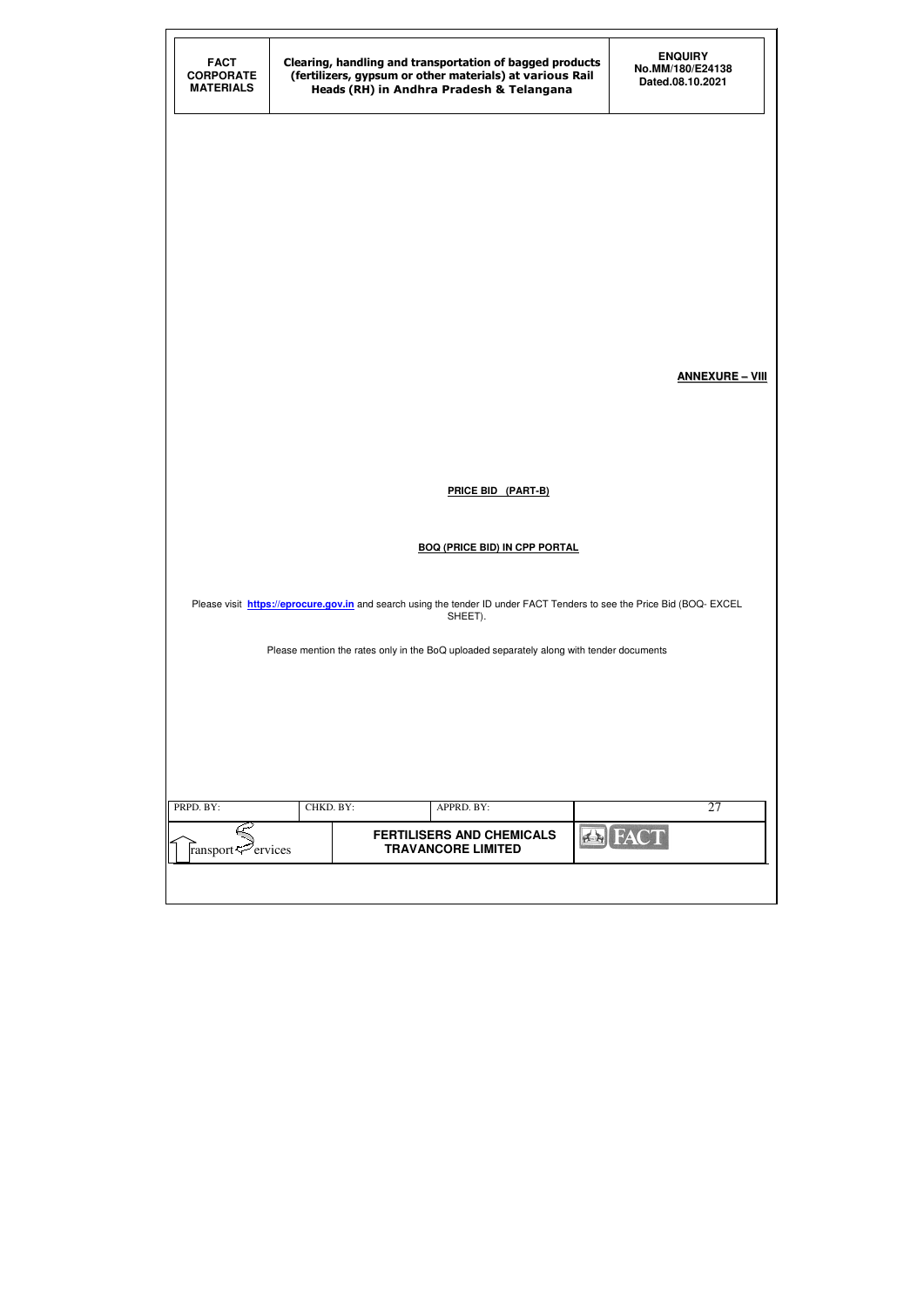| <b>FACT</b><br><b>CORPORATE</b><br><b>MATERIALS</b> |                                                                                                                                   | Clearing, handling and transportation of bagged products<br>(fertilizers, gypsum or other materials) at various Rail<br>Heads (RH) in Andhra Pradesh & Telangana | <b>ENQUIRY</b><br>No.MM/180/E24138<br>Dated.08.10.2021 |  |  |  |  |
|-----------------------------------------------------|-----------------------------------------------------------------------------------------------------------------------------------|------------------------------------------------------------------------------------------------------------------------------------------------------------------|--------------------------------------------------------|--|--|--|--|
|                                                     |                                                                                                                                   |                                                                                                                                                                  |                                                        |  |  |  |  |
|                                                     |                                                                                                                                   |                                                                                                                                                                  |                                                        |  |  |  |  |
|                                                     |                                                                                                                                   |                                                                                                                                                                  |                                                        |  |  |  |  |
|                                                     |                                                                                                                                   |                                                                                                                                                                  | <b>ANNEXURE - VIII</b>                                 |  |  |  |  |
|                                                     |                                                                                                                                   | <b>PRICE BID (PART-B)</b>                                                                                                                                        |                                                        |  |  |  |  |
|                                                     | <b>BOQ (PRICE BID) IN CPP PORTAL</b>                                                                                              |                                                                                                                                                                  |                                                        |  |  |  |  |
|                                                     | Please visit https://eprocure.gov.in and search using the tender ID under FACT Tenders to see the Price Bid (BOQ-EXCEL<br>SHEET). |                                                                                                                                                                  |                                                        |  |  |  |  |
|                                                     |                                                                                                                                   | Please mention the rates only in the BoQ uploaded separately along with tender documents                                                                         |                                                        |  |  |  |  |
|                                                     |                                                                                                                                   |                                                                                                                                                                  |                                                        |  |  |  |  |
| PRPD. BY:                                           | CHKD. BY:                                                                                                                         | APPRD. BY:                                                                                                                                                       | 27                                                     |  |  |  |  |
| ransport <sup>rap</sup> ervices                     |                                                                                                                                   | <b>FERTILISERS AND CHEMICALS</b><br><b>TRAVANCORE LIMITED</b>                                                                                                    | <b>EX FAC</b>                                          |  |  |  |  |
|                                                     |                                                                                                                                   |                                                                                                                                                                  |                                                        |  |  |  |  |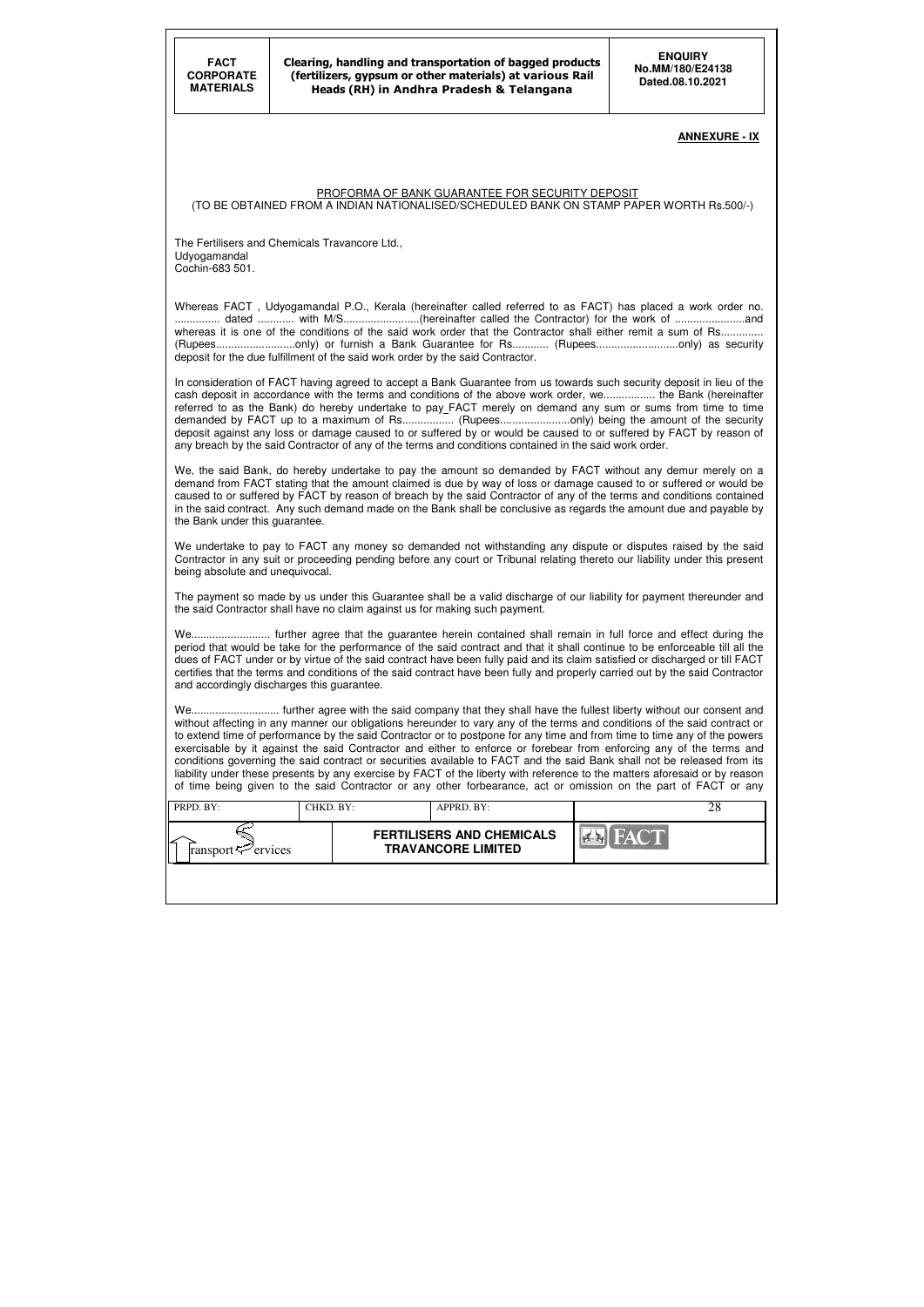| PRPD. BY:                      | CHKD. BY: | APPRD. BY:                                                    | ∠∧ |
|--------------------------------|-----------|---------------------------------------------------------------|----|
| ransport $\mathcal{P}$ ervices |           | <b>FERTILISERS AND CHEMICALS</b><br><b>TRAVANCORE LIMITED</b> |    |
|                                |           |                                                               |    |

#### **ANNEXURE - IX**

#### PROFORMA OF BANK GUARANTEE FOR SECURITY DEPOSIT

(TO BE OBTAINED FROM A INDIAN NATIONALISED/SCHEDULED BANK ON STAMP PAPER WORTH Rs.500/-)

The Fertilisers and Chemicals Travancore Ltd., Udyogamandal Cochin-683 501.

Whereas FACT , Udyogamandal P.O., Kerala (hereinafter called referred to as FACT) has placed a work order no. ............... dated ............ with M/S.........................(hereinafter called the Contractor) for the work of .......................and whereas it is one of the conditions of the said work order that the Contractor shall either remit a sum of Rs............. (Rupees..........................only) or furnish a Bank Guarantee for Rs............ (Rupees...........................only) as security deposit for the due fulfillment of the said work order by the said Contractor.

We undertake to pay to FACT any money so demanded not withstanding any dispute or disputes raised by the said Contractor in any suit or proceeding pending before any court or Tribunal relating thereto our liability under this present being absolute and unequivocal.

In consideration of FACT having agreed to accept a Bank Guarantee from us towards such security deposit in lieu of the cash deposit in accordance with the terms and conditions of the above work order, we................. the Bank (hereinafter referred to as the Bank) do hereby undertake to pay FACT merely on demand any sum or sums from time to time demanded by FACT up to a maximum of Rs................... (Rupees.........................only) being the amount of the security deposit against any loss or damage caused to or suffered by or would be caused to or suffered by FACT by reason of any breach by the said Contractor of any of the terms and conditions contained in the said work order.

We, the said Bank, do hereby undertake to pay the amount so demanded by FACT without any demur merely on a demand from FACT stating that the amount claimed is due by way of loss or damage caused to or suffered or would be caused to or suffered by FACT by reason of breach by the said Contractor of any of the terms and conditions contained in the said contract. Any such demand made on the Bank shall be conclusive as regards the amount due and payable by the Bank under this guarantee.

The payment so made by us under this Guarantee shall be a valid discharge of our liability for payment thereunder and the said Contractor shall have no claim against us for making such payment.

We.......................... further agree that the guarantee herein contained shall remain in full force and effect during the period that would be take for the performance of the said contract and that it shall continue to be enforceable till all the dues of FACT under or by virtue of the said contract have been fully paid and its claim satisfied or discharged or till FACT certifies that the terms and conditions of the said contract have been fully and properly carried out by the said Contractor and accordingly discharges this guarantee.

We............................. further agree with the said company that they shall have the fullest liberty without our consent and without affecting in any manner our obligations hereunder to vary any of the terms and conditions of the said contract or to extend time of performance by the said Contractor or to postpone for any time and from time to time any of the powers exercisable by it against the said Contractor and either to enforce or forebear from enforcing any of the terms and conditions governing the said contract or securities available to FACT and the said Bank shall not be released from its liability under these presents by any exercise by FACT of the liberty with reference to the matters aforesaid or by reason of time being given to the said Contractor or any other forbearance, act or omission on the part of FACT or any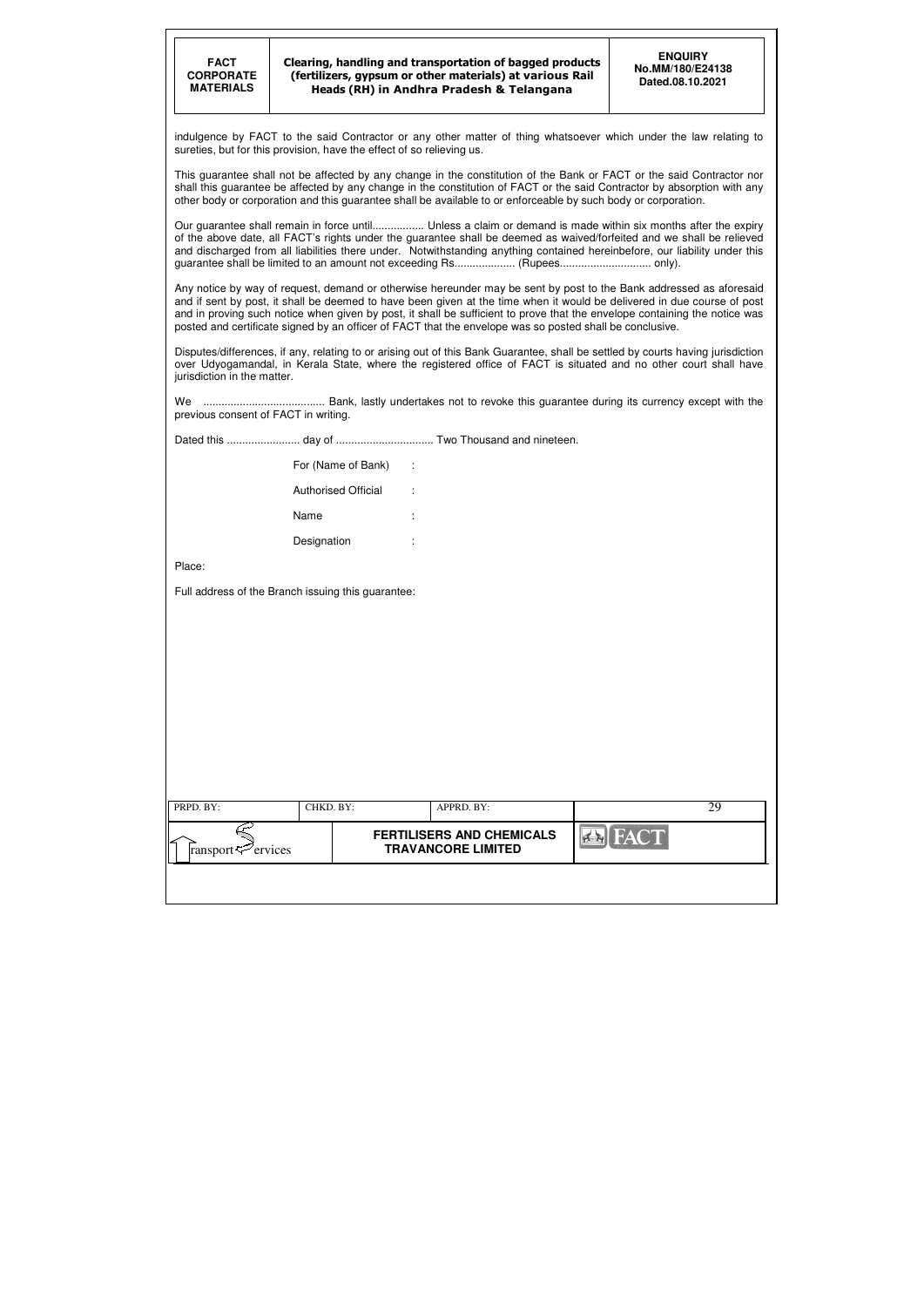| FACT             |
|------------------|
| <b>CORPORATE</b> |
| <b>MATERIALS</b> |
|                  |

| PRPD. BY:                           | CHKD. BY: | APPRD. BY:                                                    |             |  |
|-------------------------------------|-----------|---------------------------------------------------------------|-------------|--|
| ∠<br>ransport $\mathcal{P}$ ervices |           | <b>FERTILISERS AND CHEMICALS</b><br><b>TRAVANCORE LIMITED</b> | <b>FACT</b> |  |
|                                     |           |                                                               |             |  |

indulgence by FACT to the said Contractor or any other matter of thing whatsoever which under the law relating to sureties, but for this provision, have the effect of so relieving us.

This guarantee shall not be affected by any change in the constitution of the Bank or FACT or the said Contractor nor shall this guarantee be affected by any change in the constitution of FACT or the said Contractor by absorption with any other body or corporation and this guarantee shall be available to or enforceable by such body or corporation.

Our guarantee shall remain in force until................. Unless a claim or demand is made within six months after the expiry of the above date, all FACT's rights under the guarantee shall be deemed as waived/forfeited and we shall be relieved and discharged from all liabilities there under. Notwithstanding anything contained hereinbefore, our liability under this guarantee shall be limited to an amount not exceeding Rs.................... (Rupees.............................. only).

Any notice by way of request, demand or otherwise hereunder may be sent by post to the Bank addressed as aforesaid and if sent by post, it shall be deemed to have been given at the time when it would be delivered in due course of post and in proving such notice when given by post, it shall be sufficient to prove that the envelope containing the notice was posted and certificate signed by an officer of FACT that the envelope was so posted shall be conclusive.

Disputes/differences, if any, relating to or arising out of this Bank Guarantee, shall be settled by courts having jurisdiction over Udyogamandal, in Kerala State, where the registered office of FACT is situated and no other court shall have jurisdiction in the matter.

We ........................................ Bank, lastly undertakes not to revoke this guarantee during its currency except with the previous consent of FACT in writing.

Dated this ........................ day of ................................ Two Thousand and nineteen.

| For (Name of Bank)         | ÷      |
|----------------------------|--------|
| <b>Authorised Official</b> | ÷      |
| Name                       | ٠.     |
| Designation                | ٠<br>٠ |

Place:

Full address of the Branch issuing this guarantee: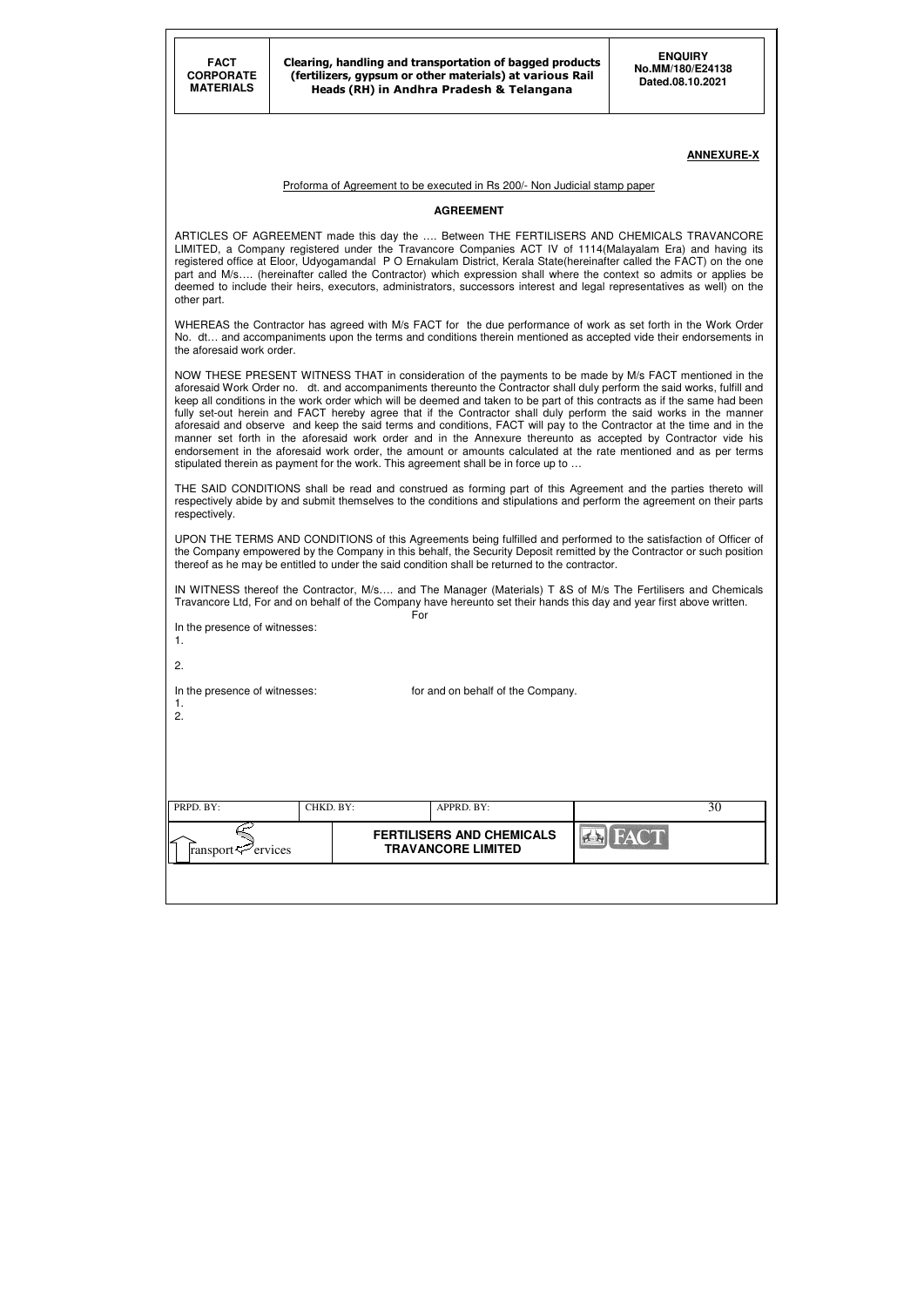#### **ANNEXURE-X**

#### Proforma of Agreement to be executed in Rs 200/- Non Judicial stamp paper

#### **AGREEMENT**

ARTICLES OF AGREEMENT made this day the …. Between THE FERTILISERS AND CHEMICALS TRAVANCORE LIMITED, a Company registered under the Travancore Companies ACT IV of 1114(Malayalam Era) and having its registered office at Eloor, Udyogamandal P O Ernakulam District, Kerala State(hereinafter called the FACT) on the one part and M/s.... (hereinafter called the Contractor) which expression shall where the context so admits or applies be deemed to include their heirs, executors, administrators, successors interest and legal representatives as well) on the other part.

WHEREAS the Contractor has agreed with M/s FACT for the due performance of work as set forth in the Work Order No. dt… and accompaniments upon the terms and conditions therein mentioned as accepted vide their endorsements in the aforesaid work order.

| ransport <sup>7</sup> ervices             |           | <b>FERTILISERS AND CHEMICALS</b><br><b>TRAVANCORE LIMITED</b> | <b>FACT</b><br>f(x) |    |
|-------------------------------------------|-----------|---------------------------------------------------------------|---------------------|----|
| PRPD. BY:                                 | CHKD. BY: | APPRD. BY:                                                    |                     | 30 |
|                                           |           |                                                               |                     |    |
| In the presence of witnesses:<br>1.<br>2. |           | for and on behalf of the Company.                             |                     |    |
| 2.                                        |           |                                                               |                     |    |
| In the presence of witnesses:<br>1.       |           | For                                                           |                     |    |

NOW THESE PRESENT WITNESS THAT in consideration of the payments to be made by M/s FACT mentioned in the aforesaid Work Order no. dt. and accompaniments thereunto the Contractor shall duly perform the said works, fulfill and keep all conditions in the work order which will be deemed and taken to be part of this contracts as if the same had been fully set-out herein and FACT hereby agree that if the Contractor shall duly perform the said works in the manner aforesaid and observe and keep the said terms and conditions, FACT will pay to the Contractor at the time and in the manner set forth in the aforesaid work order and in the Annexure thereunto as accepted by Contractor vide his endorsement in the aforesaid work order, the amount or amounts calculated at the rate mentioned and as per terms stipulated therein as payment for the work. This agreement shall be in force up to …

THE SAID CONDITIONS shall be read and construed as forming part of this Agreement and the parties thereto will respectively abide by and submit themselves to the conditions and stipulations and perform the agreement on their parts respectively.

UPON THE TERMS AND CONDITIONS of this Agreements being fulfilled and performed to the satisfaction of Officer of the Company empowered by the Company in this behalf, the Security Deposit remitted by the Contractor or such position thereof as he may be entitled to under the said condition shall be returned to the contractor.

IN WITNESS thereof the Contractor, M/s…. and The Manager (Materials) T &S of M/s The Fertilisers and Chemicals Travancore Ltd, For and on behalf of the Company have hereunto set their hands this day and year first above written.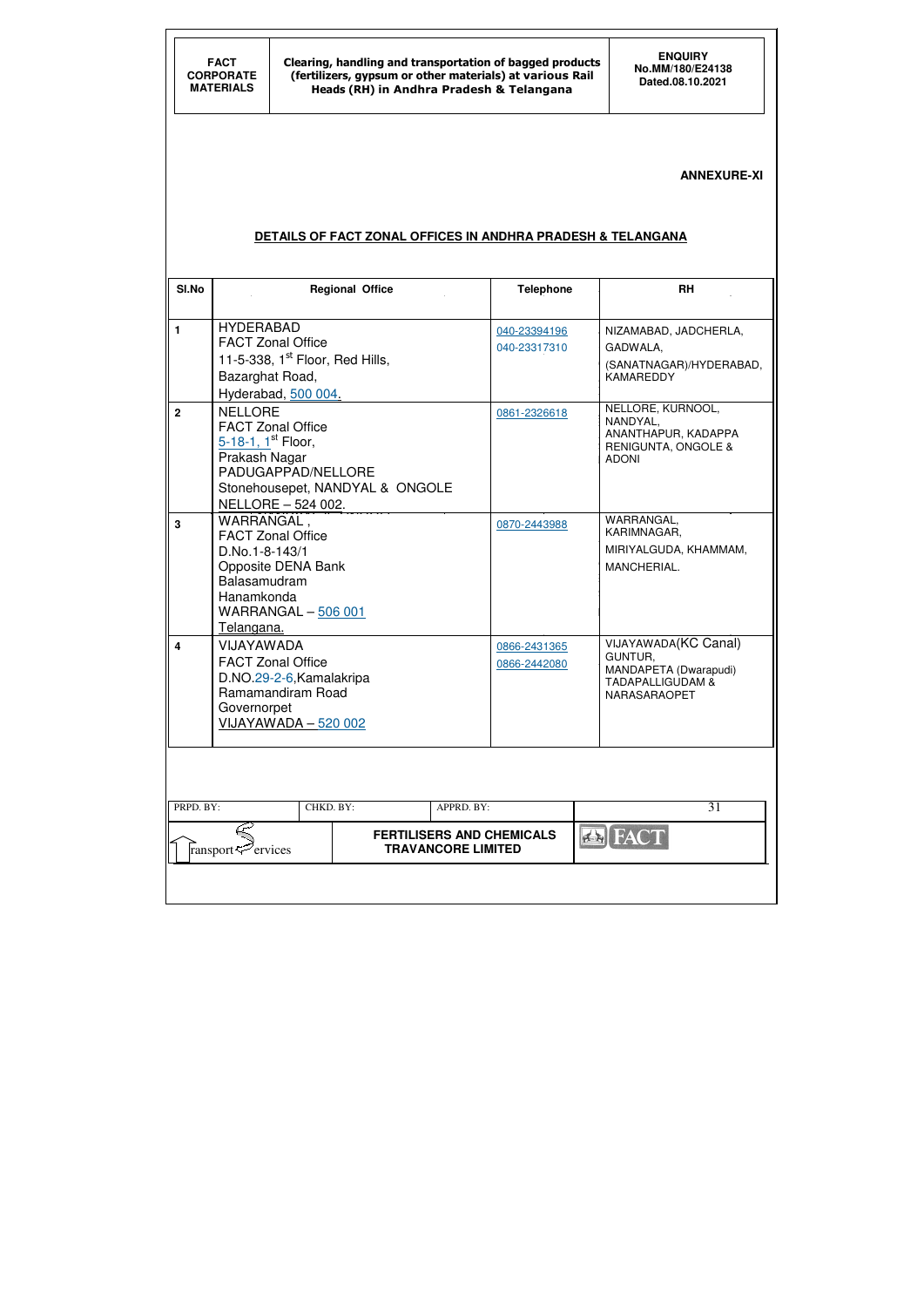# **ANNEXURE-XI**

# **DETAILS OF FACT ZONAL OFFICES IN ANDHRA PRADESH & TELANGANA**

| SI.No                   |                                               | <b>Regional Office</b> |                           |                                  | <b>Telephone</b>      | <b>RH</b>                       |
|-------------------------|-----------------------------------------------|------------------------|---------------------------|----------------------------------|-----------------------|---------------------------------|
|                         |                                               |                        |                           |                                  |                       |                                 |
| 1                       | <b>HYDERABAD</b>                              |                        |                           | 040-23394196                     |                       | NIZAMABAD, JADCHERLA,           |
|                         | <b>FACT Zonal Office</b>                      |                        |                           | 040-23317310                     |                       | GADWALA,                        |
|                         | 11-5-338, $1st$ Floor, Red Hills,             |                        |                           |                                  |                       | (SANATNAGAR)/HYDERABAD,         |
|                         | Bazarghat Road,                               |                        |                           |                                  |                       | <b>KAMAREDDY</b>                |
|                         | Hyderabad, 500 004.                           |                        |                           |                                  |                       |                                 |
| $\mathbf{2}$            | <b>NELLORE</b>                                |                        |                           | 0861-2326618                     |                       | NELLORE, KURNOOL,<br>NANDYAL,   |
|                         | <b>FACT Zonal Office</b>                      |                        |                           |                                  |                       | ANANTHAPUR, KADAPPA             |
|                         | 5-18-1, 1 <sup>st</sup> Floor,                |                        |                           |                                  |                       | RENIGUNTA, ONGOLE &             |
|                         | Prakash Nagar<br>PADUGAPPAD/NELLORE           |                        |                           |                                  |                       | <b>ADONI</b>                    |
|                         | Stonehousepet, NANDYAL & ONGOLE               |                        |                           |                                  |                       |                                 |
|                         | NELLORE - 524 002.                            |                        |                           |                                  |                       |                                 |
| $\overline{3}$          | WARRANGAL,                                    |                        |                           |                                  |                       | WARRANGAL,                      |
|                         | <b>FACT Zonal Office</b>                      |                        |                           | 0870-2443988                     |                       | KARIMNAGAR,                     |
|                         | D.No.1-8-143/1                                |                        |                           |                                  | MIRIYALGUDA, KHAMMAM, |                                 |
|                         | Opposite DENA Bank                            |                        |                           | MANCHERIAL.                      |                       |                                 |
|                         | Balasamudram                                  |                        |                           |                                  |                       |                                 |
|                         | Hanamkonda                                    |                        |                           |                                  |                       |                                 |
|                         | <b>WARRANGAL - 506 001</b>                    |                        |                           |                                  |                       |                                 |
|                         | Telangana.                                    |                        |                           |                                  |                       |                                 |
| $\overline{\mathbf{4}}$ | <b>VIJAYAWADA</b>                             |                        |                           | 0866-2431365                     |                       | VIJAYAWADA(KC Canal)<br>GUNTUR, |
|                         | <b>FACT Zonal Office</b>                      |                        |                           | 0866-2442080                     |                       | MANDAPETA (Dwarapudi)           |
|                         | D.NO.29-2-6, Kamalakripa<br>Ramamandiram Road |                        |                           |                                  |                       | <b>TADAPALLIGUDAM &amp;</b>     |
|                         |                                               |                        |                           |                                  |                       | NARASARAOPET                    |
|                         | Governorpet<br>VIJAYAWADA - 520 002           |                        |                           |                                  |                       |                                 |
|                         |                                               |                        |                           |                                  |                       |                                 |
|                         |                                               |                        |                           |                                  |                       |                                 |
|                         |                                               |                        |                           |                                  |                       |                                 |
|                         |                                               |                        |                           |                                  |                       |                                 |
| PRPD. BY:               | CHKD. BY:                                     |                        | APPRD. BY:                |                                  |                       | 31                              |
|                         |                                               |                        |                           | <b>FERTILISERS AND CHEMICALS</b> |                       | <b>AS FACT</b>                  |
|                         | 'ervices<br>ransport≮                         |                        | <b>TRAVANCORE LIMITED</b> |                                  |                       |                                 |
|                         |                                               |                        |                           |                                  |                       |                                 |
|                         |                                               |                        |                           |                                  |                       |                                 |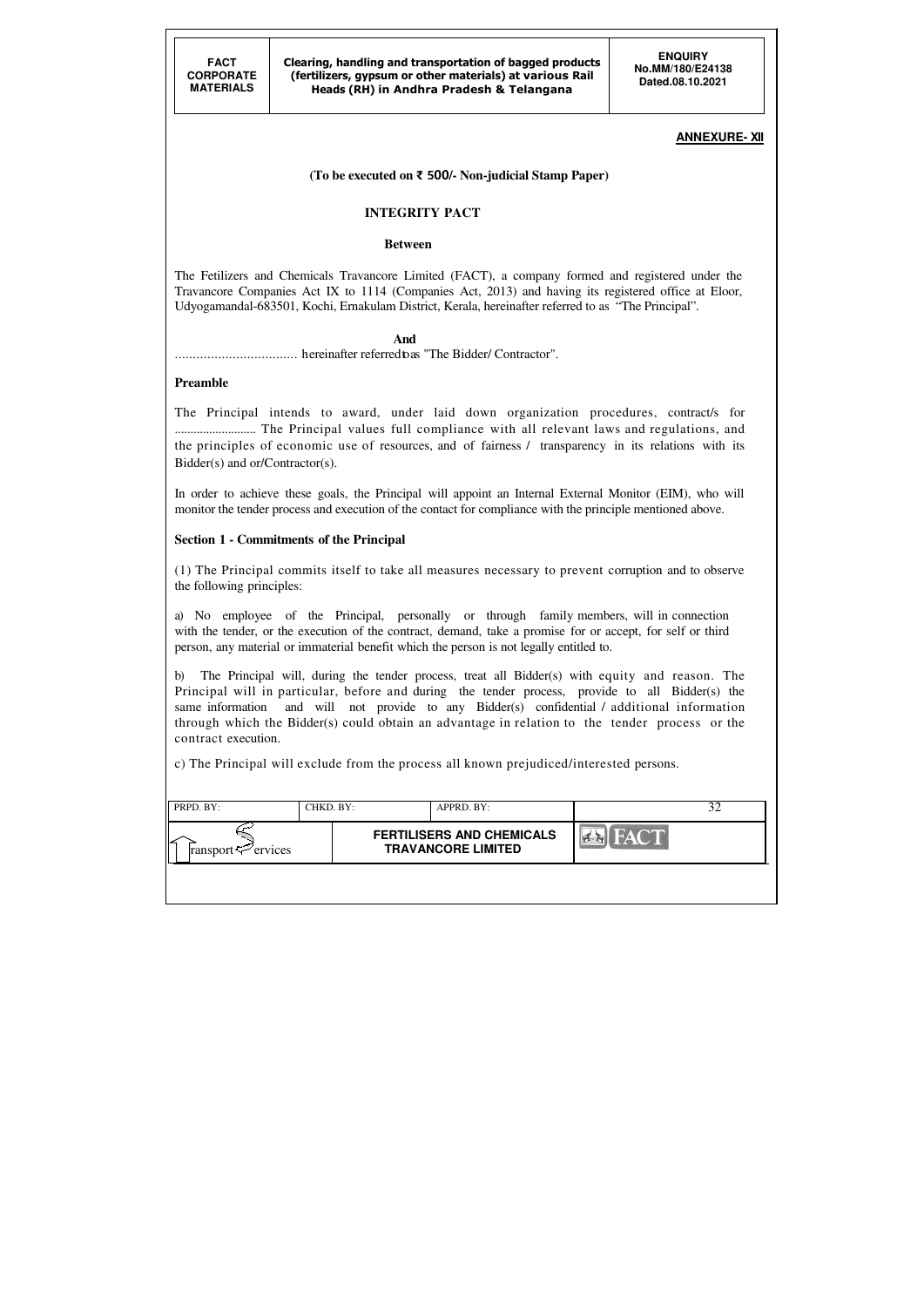| PRPD. BY:                      | CHKD. BY: | APPRD. BY:                                                    |             |  |
|--------------------------------|-----------|---------------------------------------------------------------|-------------|--|
| ransport $\mathcal{P}$ ervices |           | <b>FERTILISERS AND CHEMICALS</b><br><b>TRAVANCORE LIMITED</b> | <b>FACT</b> |  |
|                                |           |                                                               |             |  |

### **ANNEXURE- XII**

### **(To be executed on** ₹ 500**/- Non-judicial Stamp Paper)**

### **INTEGRITY PACT**

#### **Between**

The Fetilizers and Chemicals Travancore Limited (FACT), a company formed and registered under the Travancore Companies Act IX to 1114 (Companies Act, 2013) and having its registered office at Eloor, Udyogamandal-683501, Kochi, Ernakulam District, Kerala, hereinafter referred to as "The Principal".

#### **And**

.................................. hereinafter referred to as "The Bidder/ Contractor".

#### **Preamble**

The Principal intends to award, under laid down organization procedures, contract/s for .......................... The Principal values full compliance with all relevant laws and regulations, and the principles of economic use of resources, and of fairness / transparency in its relations with its Bidder(s) and or/Contractor(s).

In order to achieve these goals, the Principal will appoint an Internal External Monitor (EIM), who will monitor the tender process and execution of the contact for compliance with the principle mentioned above.

#### **Section 1 - Commitments of the Principal**

(1) The Principal commits itself to take all measures necessary to prevent corruption and to observe the following principles:

a) No employee of the Principal, personally or through family members, will in connection with the tender, or the execution of the contract, demand, take a promise for or accept, for self or third person, any material or immaterial benefit which the person is not legally entitled to.

b) The Principal will, during the tender process, treat all Bidder(s) with equity and reason. The Principal will in particular, before and during the tender process, provide to all Bidder(s) the same information and will not provide to any Bidder(s) confidential / additional information through which the Bidder(s) could obtain an advantage in relation to the tender process or the contract execution.

c) The Principal will exclude from the process all known prejudiced/interested persons.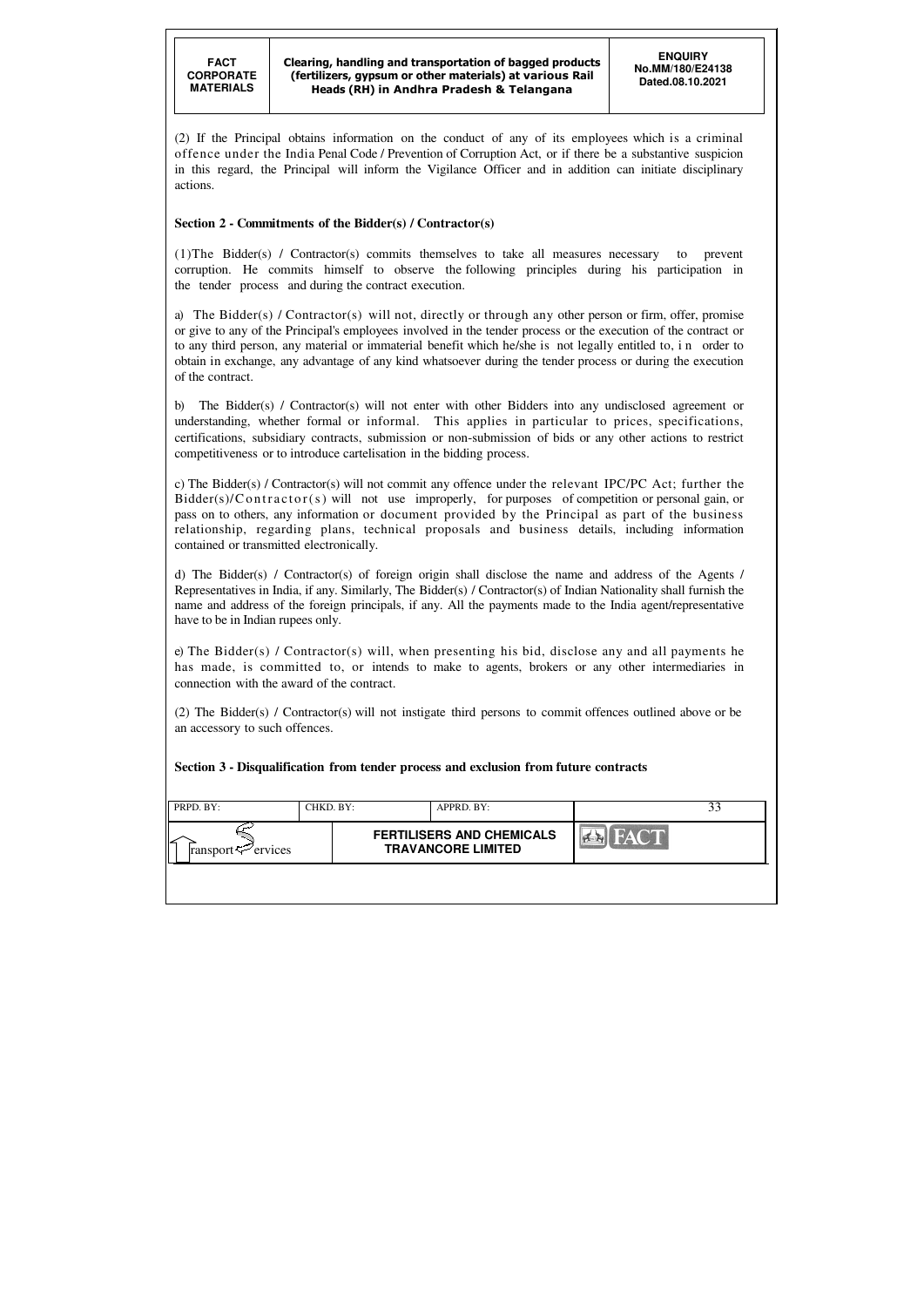| PRPD. BY:                           | CHKD. BY: | APPRD. BY:                                                    |      |
|-------------------------------------|-----------|---------------------------------------------------------------|------|
| ∠<br>ransport $\mathcal{P}$ ervices |           | <b>FERTILISERS AND CHEMICALS</b><br><b>TRAVANCORE LIMITED</b> | FACT |
|                                     |           |                                                               |      |

(2) If the Principal obtains information on the conduct of any of its employees which is a criminal offence under the India Penal Code / Prevention of Corruption Act, or if there be a substantive suspicion in this regard, the Principal will inform the Vigilance Officer and in addition can initiate disciplinary actions.

### **Section 2 - Commitments of the Bidder(s) / Contractor(s)**

(1)The Bidder(s) / Contractor(s) commits themselves to take all measures necessary to prevent corruption. He commits himself to observe the following principles during his participation in the tender process and during the contract execution.

a) The Bidder(s) / Contractor(s) will not, directly or through any other person or firm, offer, promise or give to any of the Principal's employees involved in the tender process or the execution of the contract or to any third person, any material or immaterial benefit which he/she is not legally entitled to, i n order to obtain in exchange, any advantage of any kind whatsoever during the tender process or during the execution of the contract.

b) The Bidder(s) / Contractor(s) will not enter with other Bidders into any undisclosed agreement or understanding, whether formal or informal. This applies in particular to prices, specifications, certifications, subsidiary contracts, submission or non-submission of bids or any other actions to restrict competitiveness or to introduce cartelisation in the bidding process.

c) The Bidder(s) / Contractor(s) will not commit any offence under the relevant IPC/PC Act; further the  $Bidder(s)/Contractor(s)$  will not use improperly, for purposes of competition or personal gain, or pass on to others, any information or document provided by the Principal as part of the business relationship, regarding plans, technical proposals and business details, including information contained or transmitted electronically.

d) The Bidder(s) / Contractor(s) of foreign origin shall disclose the name and address of the Agents / Representatives in India, if any. Similarly, The Bidder(s) / Contractor(s) of Indian Nationality shall furnish the name and address of the foreign principals, if any. All the payments made to the India agent/representative have to be in Indian rupees only.

e) The Bidder(s) / Contractor(s) will, when presenting his bid, disclose any and all payments he has made, is committed to, or intends to make to agents, brokers or any other intermediaries in connection with the award of the contract.

(2) The Bidder(s) / Contractor(s) will not instigate third persons to commit offences outlined above or be an accessory to such offences.

### **Section 3 - Disqualification from tender process and exclusion from future contracts**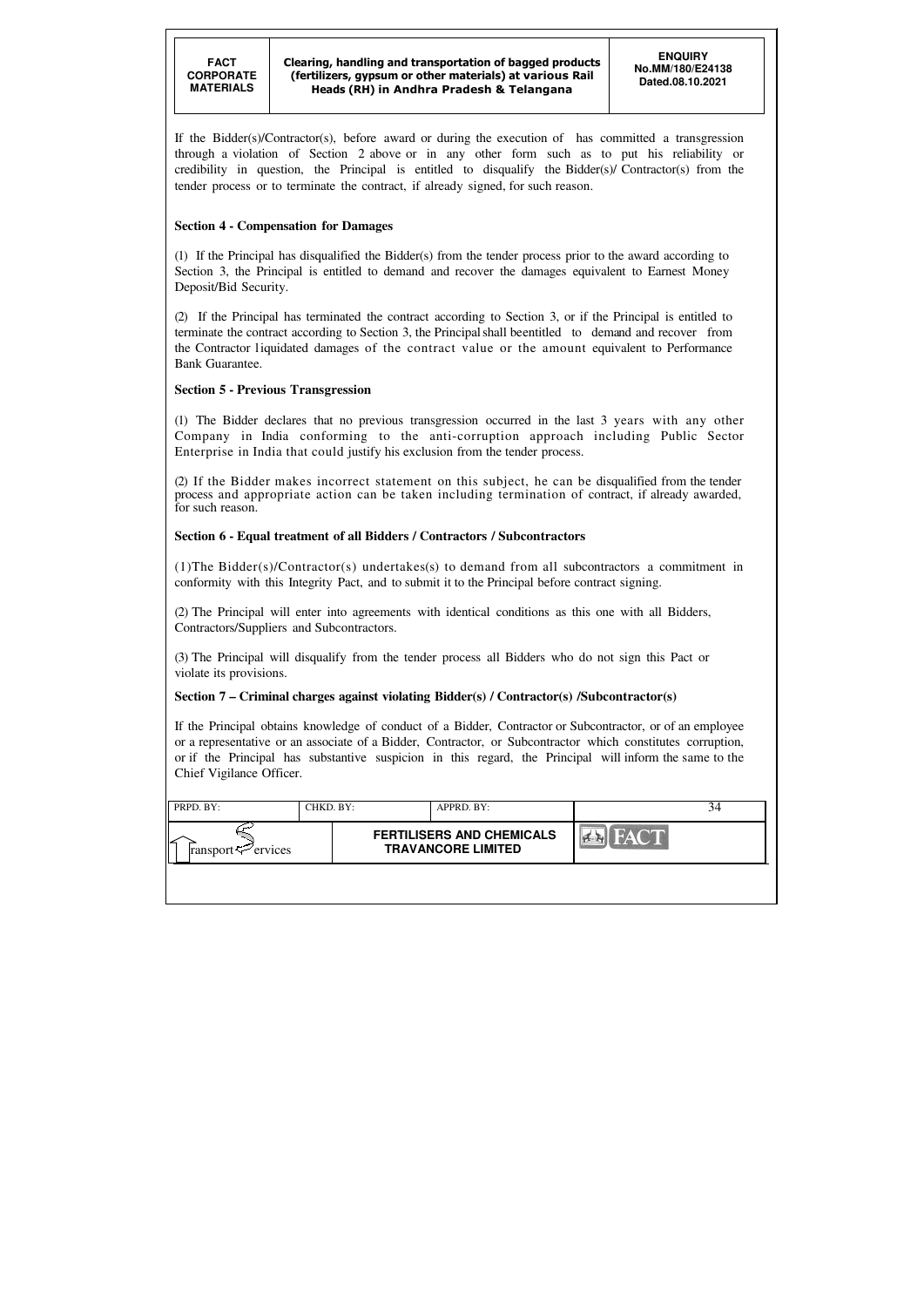| PRPD. BY:                      | CHKD. BY: | APPRD. BY:                                                    |             |  |
|--------------------------------|-----------|---------------------------------------------------------------|-------------|--|
| ransport $\mathcal{F}$ ervices |           | <b>FERTILISERS AND CHEMICALS</b><br><b>TRAVANCORE LIMITED</b> | <b>FACT</b> |  |
|                                |           |                                                               |             |  |

If the Bidder(s)/Contractor(s), before award or during the execution of has committed a transgression through a violation of Section 2 above or in any other form such as to put his reliability or credibility in question, the Principal is entitled to disqualify the Bidder(s)/ Contractor(s) from the tender process or to terminate the contract, if already signed, for such reason.

### **Section 4 - Compensation for Damages**

(1) If the Principal has disqualified the Bidder(s) from the tender process prior to the award according to Section 3, the Principal is entitled to demand and recover the damages equivalent to Earnest Money Deposit/Bid Security.

(2) If the Principal has terminated the contract according to Section 3, or if the Principal is entitled to terminate the contract according to Section 3, the Principal shall be entitled to demand and recover from the Contractor liquidated damages of the contract value or the amount equivalent to Performance Bank Guarantee.

### **Section 5 - Previous Transgression**

(1) The Bidder declares that no previous transgression occurred in the last 3 years with any other Company in India conforming to the anti-corruption approach including Public Sector Enterprise in India that could justify his exclusion from the tender process.

(2) If the Bidder makes incorrect statement on this subject, he can be disqualified from the tender process and appropriate action can be taken including termination of contract, if already awarded, for such reason.

### **Section 6 - Equal treatment of all Bidders / Contractors / Subcontractors**

(1)The Bidder(s)/Contractor(s) undertakes(s) to demand from all subcontractors a commitment in conformity with this Integrity Pact, and to submit it to the Principal before contract signing.

(2) The Principal will enter into agreements with identical conditions as this one with all Bidders, Contractors/Suppliers and Subcontractors.

(3) The Principal will disqualify from the tender process all Bidders who do not sign this Pact or violate its provisions.

### **Section 7 – Criminal charges against violating Bidder(s) / Contractor(s) /Subcontractor(s)**

If the Principal obtains knowledge of conduct of a Bidder, Contractor or Subcontractor, or of an employee or a representative or an associate of a Bidder, Contractor, or Subcontractor which constitutes corruption, or if the Principal has substantive suspicion in this regard, the Principal will inform the same to the Chief Vigilance Officer.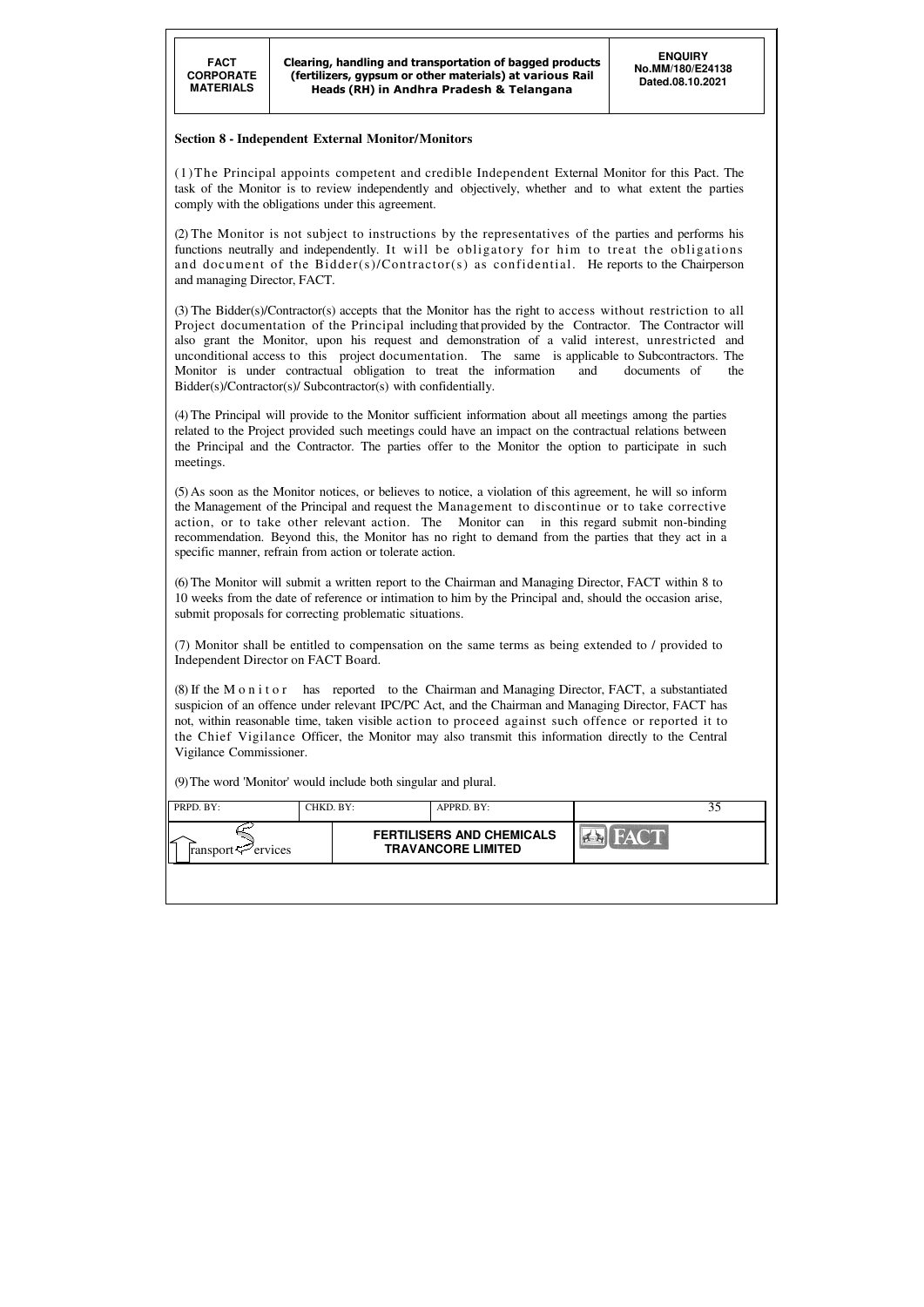| PRPD. BY:                      | CHKD. BY: |                                                               | APPRD. BY: |      |  |
|--------------------------------|-----------|---------------------------------------------------------------|------------|------|--|
| ransport $\mathcal{F}$ ervices |           | <b>FERTILISERS AND CHEMICALS</b><br><b>TRAVANCORE LIMITED</b> |            | FACT |  |
|                                |           |                                                               |            |      |  |

#### **Section 8 - Independent External Monitor/Monitors**

(1)The Principal appoints competent and credible Independent External Monitor for this Pact. The task of the Monitor is to review independently and objectively, whether and to what extent the parties comply with the obligations under this agreement.

(2) The Monitor is not subject to instructions by the representatives of the parties and performs his functions neutrally and independently. It will be obligatory for him to treat the obligations and document of the Bidder(s)/Contractor(s) as confidential. He reports to the Chairperson and managing Director, FACT.

(5) As soon as the Monitor notices, or believes to notice, a violation of this agreement, he will so inform the Management of the Principal and request the Management to discontinue or to take corrective action, or to take other relevant action. The Monitor can in this regard submit non-binding recommendation. Beyond this, the Monitor has no right to demand from the parties that they act in a specific manner, refrain from action or tolerate action.

(3) The Bidder(s)/Contractor(s) accepts that the Monitor has the right to access without restriction to all Project documentation of the Principal including that provided by the Contractor. The Contractor will also grant the Monitor, upon his request and demonstration of a valid interest, unrestricted and unconditional access to this project documentation. The same is applicable to Subcontractors. The Monitor is under contractual obligation to treat the information and documents of the Bidder(s)/Contractor(s)/ Subcontractor(s) with confidentially.

(4) The Principal will provide to the Monitor sufficient information about all meetings among the parties related to the Project provided such meetings could have an impact on the contractual relations between the Principal and the Contractor. The parties offer to the Monitor the option to participate in such meetings.

(6) The Monitor will submit a written report to the Chairman and Managing Director, FACT within 8 to 10 weeks from the date of reference or intimation to him by the Principal and, should the occasion arise, submit proposals for correcting problematic situations.

(7) Monitor shall be entitled to compensation on the same terms as being extended to / provided to Independent Director on FACT Board.

(8) If the M o n i t o r has reported to the Chairman and Managing Director, FACT, a substantiated suspicion of an offence under relevant IPC/PC Act, and the Chairman and Managing Director, FACT has not, within reasonable time, taken visible action to proceed against such offence or reported it to the Chief Vigilance Officer, the Monitor may also transmit this information directly to the Central Vigilance Commissioner.

(9) The word 'Monitor' would include both singular and plural.